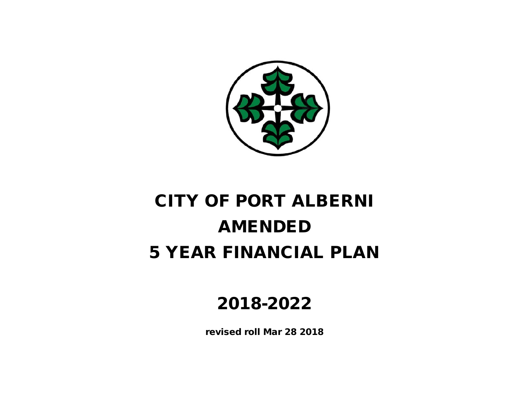

# CITY OF PORT ALBERNI 5 YEAR FINANCIAL PLAN AMENDED

## 2018-2022

revised roll Mar 28 2018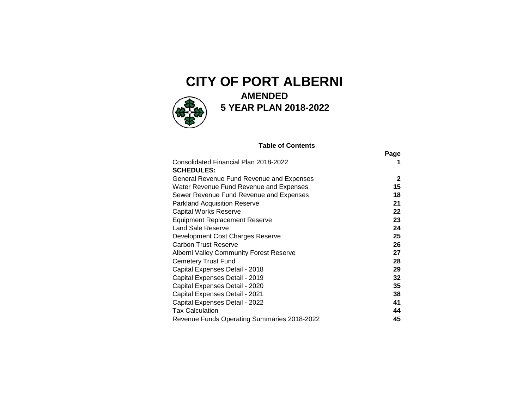## **CITY OF PORT ALBERNI**



## **AMENDED 5 YEAR PLAN 2018-2022**

#### **Table of Contents**

|                                             | Page |
|---------------------------------------------|------|
| Consolidated Financial Plan 2018-2022       |      |
| <b>SCHEDULES:</b>                           |      |
| General Revenue Fund Revenue and Expenses   | 2    |
| Water Revenue Fund Revenue and Expenses     | 15   |
| Sewer Revenue Fund Revenue and Expenses     | 18   |
| <b>Parkland Acquisition Reserve</b>         | 21   |
| <b>Capital Works Reserve</b>                | 22   |
| <b>Equipment Replacement Reserve</b>        | 23   |
| Land Sale Reserve                           | 24   |
| Development Cost Charges Reserve            | 25   |
| <b>Carbon Trust Reserve</b>                 | 26   |
| Alberni Valley Community Forest Reserve     | 27   |
| <b>Cemetery Trust Fund</b>                  | 28   |
| Capital Expenses Detail - 2018              | 29   |
| Capital Expenses Detail - 2019              | 32   |
| Capital Expenses Detail - 2020              | 35   |
| Capital Expenses Detail - 2021              | 38   |
| Capital Expenses Detail - 2022              | 41   |
| <b>Tax Calculation</b>                      | 44   |
| Revenue Funds Operating Summaries 2018-2022 | 45   |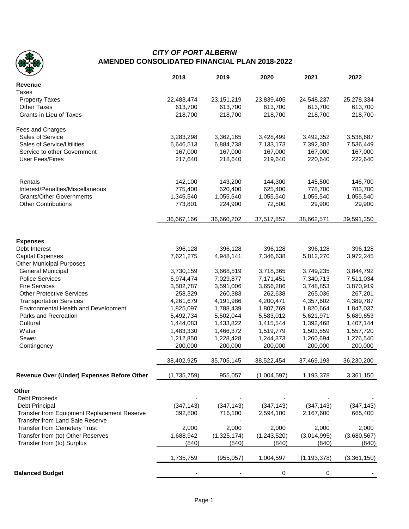

### *CITY OF PORT ALBERNI* **AMENDED CONSOLIDATED FINANCIAL PLAN 2018-2022**

|                                             | 2018        | 2019                 | 2020                   | 2021          | 2022        |
|---------------------------------------------|-------------|----------------------|------------------------|---------------|-------------|
| <b>Revenue</b>                              |             |                      |                        |               |             |
| <b>Taxes</b>                                |             |                      |                        |               |             |
| <b>Property Taxes</b>                       | 22,483,474  | 23, 151, 219         | 23,839,405             | 24,548,237    | 25,278,334  |
| <b>Other Taxes</b>                          | 613,700     | 613,700              | 613,700                | 613,700       | 613,700     |
| Grants in Lieu of Taxes                     | 218,700     | 218,700              | 218,700                | 218,700       | 218,700     |
| Fees and Charges                            |             |                      |                        |               |             |
| Sales of Service                            | 3,283,298   | 3,362,165            | 3,428,499              | 3,492,352     | 3,538,687   |
| Sales of Service/Utilities                  | 6,646,513   | 6,884,738            | 7,133,173              | 7,392,302     | 7,536,449   |
| Service to other Government                 | 167,000     | 167,000              | 167,000                | 167,000       | 167,000     |
| <b>User Fees/Fines</b>                      | 217,640     | 218,640              | 219,640                | 220,640       | 222,640     |
|                                             |             |                      |                        |               |             |
| Rentals                                     | 142,100     | 143,200              | 144,300                | 145,500       | 146,700     |
| Interest/Penalties/Miscellaneous            | 775,400     | 620,400              | 625,400                | 778,700       | 783,700     |
| <b>Grants/Other Governments</b>             | 1,345,540   | 1,055,540            | 1,055,540              | 1,055,540     | 1,055,540   |
| <b>Other Contributions</b>                  | 773,801     | 224,900              | 72,500                 | 29,900        | 29,900      |
|                                             | 36,667,166  | 36,660,202           | 37,517,857             | 38,662,571    | 39,591,350  |
|                                             |             |                      |                        |               |             |
| <b>Expenses</b><br>Debt Interest            | 396,128     | 396,128              | 396,128                | 396,128       | 396,128     |
| <b>Capital Expenses</b>                     | 7,621,275   | 4,948,141            | 7,346,638              | 5,812,270     | 3,972,245   |
| <b>Other Municipal Purposes</b>             |             |                      |                        |               |             |
| General Municipal                           | 3,730,159   | 3,668,519            | 3,718,365              | 3,749,235     | 3,844,792   |
| <b>Police Services</b>                      | 6,974,474   | 7,029,877            | 7,171,451              | 7,340,713     | 7,511,034   |
| <b>Fire Services</b>                        | 3,502,787   | 3,591,006            | 3,656,286              | 3,748,853     | 3,870,919   |
| <b>Other Protective Services</b>            | 258,329     | 260,383              | 262,638                | 265,036       | 267,201     |
| <b>Transportation Services</b>              | 4,261,679   | 4,191,986            | 4,200,471              | 4,357,602     | 4,389,787   |
| Environmental Health and Development        | 1,825,097   | 1,788,439            | 1,807,769              | 1,820,664     | 1,847,037   |
| Parks and Recreation                        | 5,492,734   | 5,502,044            | 5,583,012              | 5,621,971     | 5,689,653   |
|                                             | 1,444,083   | 1,433,822            |                        | 1,392,468     |             |
| Cultural                                    |             |                      | 1,415,544              |               | 1,407,144   |
| Water                                       | 1,483,330   | 1,466,372            | 1,519,779<br>1,244,373 | 1,503,559     | 1,557,720   |
| Sewer                                       | 1,212,850   | 1,228,428<br>200,000 |                        | 1,260,694     | 1,276,540   |
| Contingency                                 | 200,000     |                      | 200,000                | 200,000       | 200,000     |
|                                             | 38,402,925  | 35,705,145           | 38,522,454             | 37,469,193    | 36,230,200  |
| Revenue Over (Under) Expenses Before Other  | (1,735,759) | 955,057              | (1,004,597)            | 1,193,378     | 3,361,150   |
| Other                                       |             |                      |                        |               |             |
| Debt Proceeds                               |             |                      |                        |               |             |
| Debt Principal                              | (347, 143)  | (347, 143)           | (347, 143)             | (347, 143)    | (347, 143)  |
| Transfer from Equipment Replacement Reserve | 392,800     | 716,100              | 2,594,100              | 2,167,600     | 665,400     |
| Transfer from Land Sale Reserve             |             |                      |                        |               |             |
| <b>Transfer from Cemetery Trust</b>         | 2,000       | 2,000                | 2,000                  | 2,000         | 2,000       |
| Transfer from (to) Other Reserves           | 1,688,942   | (1,325,174)          | (1,243,520)            | (3,014,995)   | (3,680,567) |
| Transfer from (to) Surplus                  | (840)       | (840)                | (840)                  | (840)         | (840)       |
|                                             | 1,735,759   | (955, 057)           | 1,004,597              | (1, 193, 378) | (3,361,150) |
| <b>Balanced Budget</b>                      |             |                      | 0                      | 0             |             |
|                                             |             |                      |                        |               |             |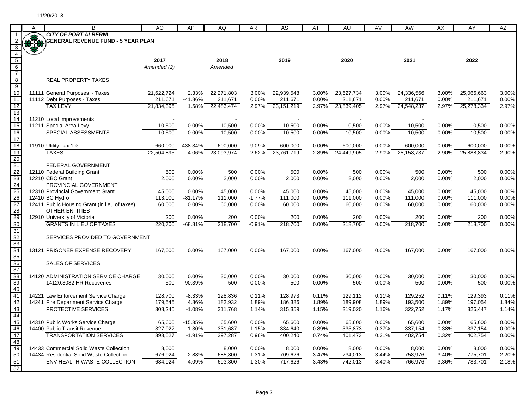|                                                       | A         | B                                                                      | AO                | AP                  | AQ                | AR             | AS                    | AT                | <b>AU</b>         | AV                | AW                | AX                | AY                | AZ                |
|-------------------------------------------------------|-----------|------------------------------------------------------------------------|-------------------|---------------------|-------------------|----------------|-----------------------|-------------------|-------------------|-------------------|-------------------|-------------------|-------------------|-------------------|
|                                                       | $\bullet$ | <b>CITY OF PORT ALBERNI</b>                                            |                   |                     |                   |                |                       |                   |                   |                   |                   |                   |                   |                   |
|                                                       |           | <b>GENERAL REVENUE FUND - 5 YEAR PLAN</b>                              |                   |                     |                   |                |                       |                   |                   |                   |                   |                   |                   |                   |
| 3<br>$\overline{4}$                                   |           |                                                                        |                   |                     |                   |                |                       |                   |                   |                   |                   |                   |                   |                   |
| $\overline{5}$                                        |           |                                                                        | 2017              |                     | 2018              |                | 2019                  |                   | 2020              |                   | 2021              |                   | 2022              |                   |
|                                                       |           |                                                                        | Amended (2)       |                     | Amended           |                |                       |                   |                   |                   |                   |                   |                   |                   |
| $\frac{6}{7}$                                         |           |                                                                        |                   |                     |                   |                |                       |                   |                   |                   |                   |                   |                   |                   |
| $8\overline{6}$                                       |           | <b>REAL PROPERTY TAXES</b>                                             |                   |                     |                   |                |                       |                   |                   |                   |                   |                   |                   |                   |
| $\overline{9}$<br>$\overline{10}$                     |           | 11111 General Purposes - Taxes                                         | 21,622,724        |                     | 22,271,803        | 3.00%          |                       | 3.00%             | 23,627,734        |                   | 24,336,566        | 3.00%             | 25,066,663        | 3.00%             |
| $\overline{11}$                                       |           | 11112 Debt Purposes - Taxes                                            | 211,671           | 2.33%<br>$-41.86%$  | 211,671           | 0.00%          | 22,939,548<br>211,671 | 0.00%             | 211,671           | 3.00%<br>$0.00\%$ | 211,671           | 0.00%             | 211,671           | 0.00%             |
| 12                                                    |           | <b>TAX LEVY</b>                                                        | 21,834,395        | 1.58%               | 22,483,474        | 2.97%          | 23, 151, 219          | 2.97%             | 23,839,405        |                   | 2.97% 24,548,237  | 2.97%             | 25,278,334        | 2.97%             |
| $\overline{13}$                                       |           |                                                                        |                   |                     |                   |                |                       |                   |                   |                   |                   |                   |                   |                   |
| $\overline{14}$                                       |           | 11210 Local Improvements                                               |                   |                     |                   |                |                       |                   |                   |                   |                   |                   |                   |                   |
| $\overline{15}$                                       |           | 11211 Special Area Levy                                                | 10,500            | 0.00%               | 10,500            | 0.00%          | 10,500                | 0.00%             | 10,500            | 0.00%             | 10,500            | 0.00%             | 10,500            | 0.00%             |
| $\overline{16}$<br>$\overline{17}$                    |           | SPECIAL ASSESSMENTS                                                    | 10,500            | 0.00%               | 10,500            | 0.00%          | 10,500                | 0.00%             | 10,500            | 0.00%             | 10,500            | 0.00%             | 10,500            | 0.00%             |
| 18                                                    |           | 11910 Utility Tax 1%                                                   | 660,000           | 438.34%             | 600,000           | $-9.09%$       | 600,000               | 0.00%             | 600,000           | 0.00%             | 600,000           | 0.00%             | 600,000           | 0.00%             |
| 19                                                    |           | <b>TAXES</b>                                                           | 22,504,895        | 4.06%               | 23,093,974        | 2.62%          | 23,761,719            | 2.89%             | 24,449,905        | 2.90%             | 25, 158, 737      | 2.90%             | 25,888,834        | 2.90%             |
| $\overline{20}$                                       |           |                                                                        |                   |                     |                   |                |                       |                   |                   |                   |                   |                   |                   |                   |
| 21<br>22<br>23                                        |           | FEDERAL GOVERNMENT                                                     |                   |                     |                   |                |                       |                   |                   |                   |                   |                   |                   |                   |
|                                                       |           | 12110 Federal Building Grant<br>12210 CBC Grant                        | 500<br>2,000      | 0.00%<br>0.00%      | 500<br>2,000      | 0.00%<br>0.00% | 500<br>2,000          | 0.00%<br>0.00%    | 500<br>2,000      | 0.00%<br>0.00%    | 500<br>2,000      | 0.00%<br>0.00%    | 500<br>2,000      | 0.00%<br>0.00%    |
|                                                       |           | PROVINCIAL GOVERNMENT                                                  |                   |                     |                   |                |                       |                   |                   |                   |                   |                   |                   |                   |
| 24<br>25                                              |           | 12310 Provincial Government Grant                                      | 45,000            | 0.00%               | 45,000            | 0.00%          | 45,000                | 0.00%             | 45,000            | 0.00%             | 45,000            | 0.00%             | 45,000            | 0.00%             |
|                                                       |           | 12410 BC Hydro                                                         | 113,000           | $-81.17%$           | 111,000           | $-1.77%$       | 111,000               | 0.00%             | 111,000           | 0.00%             | 111,000           | 0.00%             | 111,000           | 0.00%             |
|                                                       |           | 12411 Public Housing Grant (in lieu of taxes)<br><b>OTHER ENTITIES</b> | 60,000            | 0.00%               | 60,000            | 0.00%          | 60,000                | 0.00%             | 60,000            | 0.00%             | 60,000            | 0.00%             | 60,000            | 0.00%             |
|                                                       |           | 12910 University of Victoria                                           | 200               | 0.00%               | 200               | 0.00%          | 200                   | 0.00%             | 200               | 0.00%             | 200               | 0.00%             | 200               | 0.00%             |
| $\frac{26}{27}$<br>$\frac{28}{29}$<br>$\frac{29}{30}$ |           | <b>GRANTS IN LIEU OF TAXES</b>                                         | 220,700           | -68.81%             | 218,700           | $-0.91%$       | 218,700               | 0.00%             | 218,700           | 0.00%             | 218,700           | 0.00%             | 218,700           | 0.00%             |
| 31                                                    |           |                                                                        |                   |                     |                   |                |                       |                   |                   |                   |                   |                   |                   |                   |
|                                                       |           | SERVICES PROVIDED TO GOVERNMENT                                        |                   |                     |                   |                |                       |                   |                   |                   |                   |                   |                   |                   |
| 32<br>33<br>34                                        |           |                                                                        |                   |                     |                   | 0.00%          |                       | 0.00%             |                   |                   |                   |                   |                   |                   |
| 35                                                    |           | 13121 PRISONER EXPENSE RECOVERY                                        | 167,000           | 0.00%               | 167,000           |                | 167,000               |                   | 167,000           | 0.00%             | 167,000           | 0.00%             | 167,000           | 0.00%             |
|                                                       |           | <b>SALES OF SERVICES</b>                                               |                   |                     |                   |                |                       |                   |                   |                   |                   |                   |                   |                   |
| $\frac{36}{37}$<br>$\frac{38}{39}$                    |           |                                                                        |                   |                     |                   |                |                       |                   |                   |                   |                   |                   |                   |                   |
|                                                       |           | 14120 ADMINISTRATION SERVICE CHARGE                                    | 30,000            | 0.00%               | 30,000            | 0.00%          | 30,000                | 0.00%             | 30,000            | 0.00%             | 30,000            | 0.00%             | 30,000            | 0.00%             |
| 40                                                    |           | 14120.3082 HR Recoveries                                               | 500               | $-90.39%$           | 500               | 0.00%          | 500                   | 0.00%             | 500               | 0.00%             | 500               | 0.00%             | 500               | 0.00%             |
| 41                                                    |           | 14221 Law Enforcement Service Charge                                   | 128,700           | $-8.33%$            | 128,836           | 0.11%          | 128,973               | 0.11%             | 129,112           | 0.11%             | 129,252           | 0.11%             | 129,393           | 0.11%             |
| 42                                                    |           | 14241 Fire Department Service Charge                                   | 179,545           | 4.86%               | 182,932           | 1.89%          | 186,386               | 1.89%             | 189,908           | 1.89%             | 193,500           | 1.89%             | 197,054           | 1.84%             |
| 43                                                    |           | <b>PROTECTIVE SERVICES</b>                                             | 308,245           | $-1.08%$            | 311.768           | 1.14%          | 315,359               | 1.15%             | 319,020           | 1.16%             | 322,752           | 1.17%             | 326,447           | 1.14%             |
| 44                                                    |           |                                                                        |                   |                     |                   |                |                       |                   |                   |                   |                   |                   |                   |                   |
| 46                                                    |           | 14310 Public Works Service Charge<br>14400 Public Transit Revenue      | 65,600<br>327,927 | $-15.35\%$<br>1.30% | 65,600<br>331,687 | 0.00%<br>1.15% | 65,600<br>334,640     | $0.00\%$<br>0.89% | 65,600<br>335,873 | 0.00%<br>0.37%    | 65,600<br>337,154 | $0.00\%$<br>0.38% | 65,600<br>337,154 | $0.00\%$<br>0.00% |
| 47                                                    |           | <b>TRANSPORTATION SERVICES</b>                                         | 393,527           | $-1.91%$            | 397,287           | 0.96%          | 400,240               | 0.74%             | 401,473           | 0.31%             | 402,754           | 0.32%             | 402,754           | 0.00%             |
| 48                                                    |           |                                                                        |                   |                     |                   |                |                       |                   |                   |                   |                   |                   |                   |                   |
| 49                                                    |           | 14433 Commercial Solid Waste Collection                                | 8,000             |                     | 8,000             | 0.00%          | 8,000                 | $0.00\%$          | 8,000             | 0.00%             | 8,000             | 0.00%             | 8,000             | 0.00%             |
| 50                                                    |           | 14434 Residential Solid Waste Collection                               | 676,924           | 2.88%               | 685,800           | 1.31%          | 709,626               | 3.47%             | 734,013           | 3.44%             | 758,976           | 3.40%             | 775,701           | 2.20%             |
| 51<br>52                                              |           | ENV HEALTH WASTE COLLECTION                                            | 684,924           | 4.09%               | 693,800           | 1.30%          | 717,626               | 3.43%             | 742,013           | 3.40%             | 766,976           | 3.36%             | 783,701           | 2.18%             |
|                                                       |           |                                                                        |                   |                     |                   |                |                       |                   |                   |                   |                   |                   |                   |                   |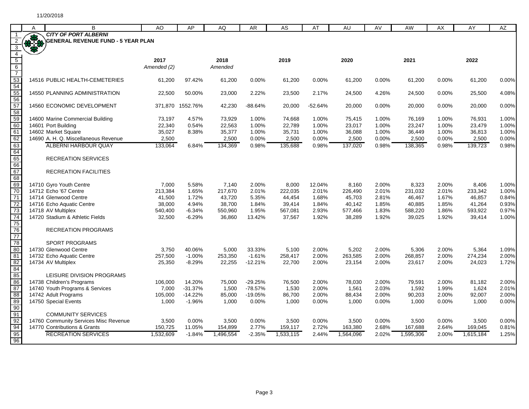| A            | B                                     | AO          | AP               | AQ        | <b>AR</b> | AS        | AT        | AU        | AV       | <b>AW</b> | AX       | AY        | <b>AZ</b> |
|--------------|---------------------------------------|-------------|------------------|-----------|-----------|-----------|-----------|-----------|----------|-----------|----------|-----------|-----------|
|              | <b>CITY OF PORT ALBERNI</b>           |             |                  |           |           |           |           |           |          |           |          |           |           |
| <b>RALES</b> | GENERAL REVENUE FUND - 5 YEAR PLAN    |             |                  |           |           |           |           |           |          |           |          |           |           |
|              |                                       |             |                  |           |           |           |           |           |          |           |          |           |           |
|              |                                       | 2017        |                  | 2018      |           | 2019      |           | 2020      |          | 2021      |          | 2022      |           |
|              |                                       | Amended (2) |                  | Amended   |           |           |           |           |          |           |          |           |           |
|              |                                       |             |                  |           |           |           |           |           |          |           |          |           |           |
|              | 14516 PUBLIC HEALTH-CEMETERIES        | 61,200      | 97.42%           | 61,200    | 0.00%     | 61,200    | 0.00%     | 61,200    | 0.00%    | 61,200    | 0.00%    | 61,200    | 0.00%     |
|              |                                       |             |                  |           |           |           |           |           |          |           |          |           |           |
|              | 14550 PLANNING ADMINISTRATION         | 22,500      | 50.00%           | 23,000    | 2.22%     | 23,500    | 2.17%     | 24,500    | 4.26%    | 24,500    | $0.00\%$ | 25,500    | 4.08%     |
|              | 14560 ECONOMIC DEVELOPMENT            |             | 371,870 1552.76% | 42,230    | $-88.64%$ | 20,000    | $-52.64%$ | 20,000    | $0.00\%$ | 20,000    | $0.00\%$ | 20,000    | 0.00%     |
|              |                                       |             |                  |           |           |           |           |           |          |           |          |           |           |
|              | 14600 Marine Commercial Building      | 73,197      | 4.57%            | 73,929    | 1.00%     | 74,668    | 1.00%     | 75,415    | 1.00%    | 76,169    | 1.00%    | 76,931    | 1.00%     |
|              | 14601 Port Building                   | 22,340      | 0.54%            | 22,563    | 1.00%     | 22,789    | 1.00%     | 23,017    | 1.00%    | 23,247    | 1.00%    | 23,479    | 1.00%     |
|              | 14602 Market Square                   | 35,027      | 8.38%            | 35,377    | 1.00%     | 35,731    | 1.00%     | 36,088    | 1.00%    | 36,449    | 1.00%    | 36,813    | 1.00%     |
|              | 14690 A. H. Q. Miscellaneous Revenue  | 2,500       |                  | 2,500     | 0.00%     | 2,500     | 0.00%     | 2,500     | 0.00%    | 2,500     | 0.00%    | 2,500     | 0.00%     |
|              | <b>ALBERNI HARBOUR QUAY</b>           | 133,064     | 6.84%            | 134,369   | 0.98%     | 135,688   | 0.98%     | 137,020   | 0.98%    | 138,365   | 0.98%    | 139,723   | 0.98%     |
|              | <b>RECREATION SERVICES</b>            |             |                  |           |           |           |           |           |          |           |          |           |           |
|              |                                       |             |                  |           |           |           |           |           |          |           |          |           |           |
|              | <b>RECREATION FACILITIES</b>          |             |                  |           |           |           |           |           |          |           |          |           |           |
|              |                                       |             |                  |           |           |           |           |           |          |           |          |           |           |
|              | 14710 Gyro Youth Centre               | 7,000       | 5.58%            | 7,140     | 2.00%     | 8,000     | 12.04%    | 8,160     | 2.00%    | 8,323     | 2.00%    | 8,406     | 1.00%     |
|              | 14712 Echo '67 Centre                 | 213,384     | 1.65%            | 217,670   | 2.01%     | 222,035   | 2.01%     | 226,490   | 2.01%    | 231,032   | 2.01%    | 233,342   | 1.00%     |
|              | 14714 Glenwood Centre                 | 41,500      | 1.72%            | 43,720    | 5.35%     | 44,454    | 1.68%     | 45,703    | 2.81%    | 46,467    | 1.67%    | 46,857    | 0.84%     |
|              | 14716 Echo Aquatic Centre             | 38,000      | 4.94%            | 38,700    | 1.84%     | 39,414    | 1.84%     | 40,142    | 1.85%    | 40,885    | 1.85%    | 41,264    | 0.93%     |
|              | 14718 AV Multiplex                    | 540,400     | $-6.34%$         | 550,960   | 1.95%     | 567,081   | 2.93%     | 577,466   | 1.83%    | 588,220   | 1.86%    | 593,922   | 0.97%     |
|              | 14720 Stadium & Athletic Fields       | 32,500      | $-6.29%$         | 36,860    | 13.42%    | 37,567    | 1.92%     | 38,289    | 1.92%    | 39,025    | 1.92%    | 39,414    | 1.00%     |
|              |                                       |             |                  |           |           |           |           |           |          |           |          |           |           |
|              | <b>RECREATION PROGRAMS</b>            |             |                  |           |           |           |           |           |          |           |          |           |           |
|              | <b>SPORT PROGRAMS</b>                 |             |                  |           |           |           |           |           |          |           |          |           |           |
|              | 14730 Glenwood Centre                 | 3,750       | 40.06%           | 5,000     | 33.33%    | 5,100     | 2.00%     | 5,202     | 2.00%    | 5,306     | 2.00%    | 5,364     | 1.09%     |
|              | 14732 Echo Aquatic Centre             | 257,500     | $-1.00%$         | 253,350   | $-1.61%$  | 258,417   | 2.00%     | 263,585   | 2.00%    | 268,857   | 2.00%    | 274,234   | 2.00%     |
|              | 14734 AV Multiplex                    | 25,350      | $-8.29%$         | 22,255    | $-12.21%$ | 22,700    | 2.00%     | 23,154    | 2.00%    | 23,617    | 2.00%    | 24,023    | 1.72%     |
|              |                                       |             |                  |           |           |           |           |           |          |           |          |           |           |
|              | <b>LEISURE DIVISION PROGRAMS</b>      |             |                  |           |           |           |           |           |          |           |          |           |           |
|              | 14738 Children's Programs             | 106,000     | 14.20%           | 75,000    | $-29.25%$ | 76,500    | 2.00%     | 78,030    | 2.00%    | 79,591    | 2.00%    | 81,182    | 2.00%     |
|              | 14740 Youth Programs & Services       | 7,000       | $-31.37%$        | 1,500     | $-78.57%$ | 1,530     | 2.00%     | 1,561     | 2.03%    | 1,592     | 1.99%    | 1,624     | 2.01%     |
|              | 14742 Adult Programs                  | 105,000     | $-14.22%$        | 85,000    | $-19.05%$ | 86,700    | 2.00%     | 88,434    | 2.00%    | 90,203    | 2.00%    | 92,007    | 2.00%     |
|              | 14750 Special Events                  | 1,000       | $-1.96%$         | 1,000     | 0.00%     | 1,000     | 0.00%     | 1,000     | 0.00%    | 1.000     | 0.00%    | 1,000     | 0.00%     |
|              | <b>COMMUNITY SERVICES</b>             |             |                  |           |           |           |           |           |          |           |          |           |           |
|              | 14760 Community Services Misc Revenue | 3,500       | 0.00%            | 3,500     | 0.00%     | 3,500     | 0.00%     | 3,500     | 0.00%    | 3,500     | 0.00%    | 3,500     | 0.00%     |
|              | 14770 Contributions & Grants          | 150,725     | 11.05%           | 154,899   | 2.77%     | 159,117   | 2.72%     | 163,380   | 2.68%    | 167,688   | 2.64%    | 169,045   | 0.81%     |
|              | <b>RECREATION SERVICES</b>            | 1,532,609   | $-1.84%$         | 1,496,554 | $-2.35%$  | 1,533,115 | 2.44%     | 1,564,096 | 2.02%    | 1,595,306 | 2.00%    | 1,615,184 | 1.25%     |
|              |                                       |             |                  |           |           |           |           |           |          |           |          |           |           |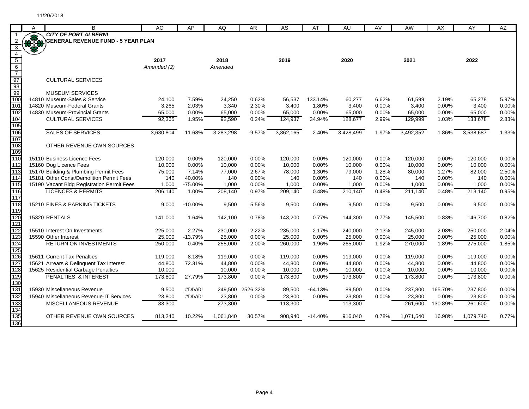|                  |     | B                                          | AO          | AP        |           |                  |           |           |           |       | AW        |          | AY        |       |
|------------------|-----|--------------------------------------------|-------------|-----------|-----------|------------------|-----------|-----------|-----------|-------|-----------|----------|-----------|-------|
|                  | A   | <b>CITY OF PORT ALBERNI</b>                |             |           | AQ        | AR               | AS        | AT        | AU        | AV    |           | AX       |           | AZ    |
| $\overline{2}$   | *** | <b>\GENERAL REVENUE FUND - 5 YEAR PLAN</b> |             |           |           |                  |           |           |           |       |           |          |           |       |
| $\mathbf{3}$     |     |                                            |             |           |           |                  |           |           |           |       |           |          |           |       |
| $\overline{4}$   |     |                                            |             |           |           |                  |           |           |           |       |           |          |           |       |
| $\overline{5}$   |     |                                            | 2017        |           | 2018      |                  | 2019      |           | 2020      |       | 2021      |          | 2022      |       |
| $6\overline{6}$  |     |                                            | Amended (2) |           | Amended   |                  |           |           |           |       |           |          |           |       |
| $\overline{7}$   |     |                                            |             |           |           |                  |           |           |           |       |           |          |           |       |
| 97               |     | <b>CULTURAL SERVICES</b>                   |             |           |           |                  |           |           |           |       |           |          |           |       |
| 98               |     |                                            |             |           |           |                  |           |           |           |       |           |          |           |       |
| 99               |     | <b>MUSEUM SERVICES</b>                     |             |           |           |                  |           |           |           |       |           |          |           |       |
| 100              |     | 14810 Museum-Sales & Service               | 24,100      | 7.59%     | 24,250    | 0.62%            | 56,537    | 133.14%   | 60,277    | 6.62% | 61,599    | 2.19%    | 65,278    | 5.97% |
| 101              |     | 14820 Museum-Federal Grants                | 3,265       | 2.03%     | 3,340     | 2.30%            | 3,400     | 1.80%     | 3,400     | 0.00% | 3,400     | 0.00%    | 3,400     | 0.00% |
| 102              |     | 14830 Museum-Provincial Grants             | 65,000      | 0.00%     | 65,000    | $0.00\%$         | 65,000    | 0.00%     | 65,000    | 0.00% | 65,000    | $0.00\%$ | 65,000    | 0.00% |
| 104              |     | <b>CULTURAL SERVICES</b>                   | 92,365      | 1.95%     | 92,590    | 0.24%            | 124,937   | 34.94%    | 128,677   | 2.99% | 129,999   | 1.03%    | 133,678   | 2.83% |
| 105              |     |                                            |             |           |           |                  |           |           |           |       |           |          |           |       |
| 106<br>107       |     | <b>SALES OF SERVICES</b>                   | 3,630,804   | 11.68%    | 3,283,298 | $-9.57%$         | 3,362,165 | 2.40%     | 3,428,499 | 1.97% | 3,492,352 | 1.86%    | 3,538,687 | 1.33% |
|                  |     | OTHER REVENUE OWN SOURCES                  |             |           |           |                  |           |           |           |       |           |          |           |       |
| 108<br>109       |     |                                            |             |           |           |                  |           |           |           |       |           |          |           |       |
| 110              |     | 15110 Business Licence Fees                | 120,000     | 0.00%     | 120,000   | 0.00%            | 120,000   | 0.00%     | 120,000   | 0.00% | 120,000   | 0.00%    | 120,000   | 0.00% |
| 112              |     | 15160 Dog Licence Fees                     | 10,000      | 0.00%     | 10,000    | 0.00%            | 10,000    | 0.00%     | 10,000    | 0.00% | 10,000    | 0.00%    | 10,000    | 0.00% |
| 113              |     | 15170 Building & Plumbing Permit Fees      | 75,000      | 7.14%     | 77,000    | 2.67%            | 78,000    | 1.30%     | 79,000    | 1.28% | 80,000    | 1.27%    | 82,000    | 2.50% |
| 114              |     | 15181 Other Const/Demolition Permit Fees   | 140         | 40.00%    | 140       | 0.00%            | 140       | 0.00%     | 140       | 0.00% | 140       | 0.00%    | 140       | 0.00% |
| $\overline{115}$ |     | 15190 Vacant Bldg Registration Permit Fees | 1,000       | -75.00%   | 1,000     | 0.00%            | 1,000     | 0.00%     | 1,000     | 0.00% | 1,000     | 0.00%    | 1,000     | 0.00% |
| 116              |     | <b>LICENCES &amp; PERMITS</b>              | 206,140     | 1.00%     | 208,140   | 0.97%            | 209,140   | 0.48%     | 210,140   | 0.48% | 211,140   | 0.48%    | 213,140   | 0.95% |
| $\overline{117}$ |     |                                            |             |           |           |                  |           |           |           |       |           |          |           |       |
| 118              |     | 15210 FINES & PARKING TICKETS              | 9,000       | $-10.00%$ | 9,500     | 5.56%            | 9,500     | 0.00%     | 9,500     | 0.00% | 9,500     | 0.00%    | 9,500     | 0.00% |
| 119              |     |                                            |             |           |           |                  |           |           |           |       |           |          |           |       |
| 120              |     | 15320 RENTALS                              | 141,000     | 1.64%     | 142,100   | 0.78%            | 143,200   | 0.77%     | 144,300   | 0.77% | 145,500   | 0.83%    | 146,700   | 0.82% |
| 121              |     |                                            |             |           |           |                  |           |           |           |       |           |          |           |       |
| 122              |     | 15510 Interest On Investments              | 225,000     | 2.27%     | 230,000   | 2.22%            | 235,000   | 2.17%     | 240,000   | 2.13% | 245,000   | 2.08%    | 250,000   | 2.04% |
| 123              |     | 15590 Other Interest                       | 25,000      | $-13.79%$ | 25,000    | 0.00%            | 25,000    | 0.00%     | 25,000    | 0.00% | 25,000    | 0.00%    | 25,000    | 0.00% |
| 124              |     | <b>RETURN ON INVESTMENTS</b>               | 250,000     | 0.40%     | 255,000   | 2.00%            | 260,000   | 1.96%     | 265,000   | 1.92% | 270,000   | 1.89%    | 275,000   | 1.85% |
| 125              |     |                                            |             |           |           |                  |           |           |           |       |           |          |           |       |
| 126              |     | 15611 Current Tax Penalties                | 119,000     | 8.18%     | 119,000   | 0.00%            | 119,000   | 0.00%     | 119,000   | 0.00% | 119,000   | $0.00\%$ | 119,000   | 0.00% |
| 127              |     | 15621 Arrears & Delinquent Tax Interest    | 44,800      | 72.31%    | 44,800    | 0.00%            | 44,800    | 0.00%     | 44,800    | 0.00% | 44,800    | 0.00%    | 44,800    | 0.00% |
| 128              |     | 15625 Residential Garbage Penalties        | 10,000      |           | 10,000    | 0.00%            | 10,000    | 0.00%     | 10,000    | 0.00% | 10,000    | 0.00%    | 10,000    | 0.00% |
| 129              |     | <b>PENALTIES &amp; INTEREST</b>            | 173,800     | 27.79%    | 173,800   | 0.00%            | 173,800   | 0.00%     | 173,800   | 0.00% | 173,800   | 0.00%    | 173,800   | 0.00% |
| 130<br>131       |     |                                            |             | #DIV/0!   |           |                  |           |           |           |       |           |          |           | 0.00% |
| 132              |     | 15930 Miscellaneous Revenue                | 9,500       |           |           | 249,500 2526.32% | 89,500    | $-64.13%$ | 89,500    | 0.00% | 237,800   | 165.70%  | 237,800   |       |
| 133              |     | 15940 Miscellaneous Revenue-IT Services    | 23.800      | #DIV/0!   | 23,800    | 0.00%            | 23,800    | 0.00%     | 23.800    | 0.00% | 23,800    | 0.00%    | 23,800    | 0.00% |
| 134              |     | MISCELLANEOUS REVENUE                      | 33,300      |           | 273,300   |                  | 113,300   |           | 113,300   |       | 261,600   | 130.89%  | 261,600   | 0.00% |
| 135              |     | OTHER REVENUE OWN SOURCES                  | 813,240     | 10.22%    | 1,061,840 | 30.57%           | 908,940   | $-14.40%$ | 916,040   | 0.78% | 1,071,540 | 16.98%   | 1,079,740 | 0.77% |
| 136              |     |                                            |             |           |           |                  |           |           |           |       |           |          |           |       |
|                  |     |                                            |             |           |           |                  |           |           |           |       |           |          |           |       |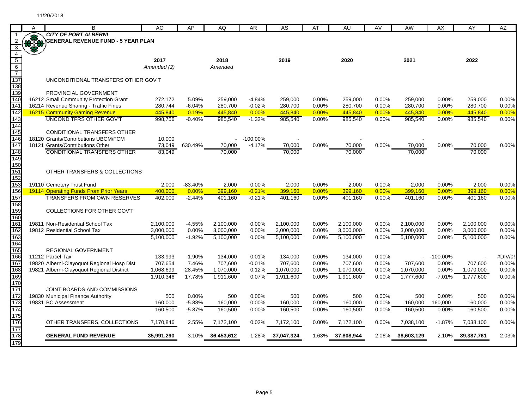|                         | A  | в                                                                               | AO                 | AP                | AQ                 | AR                   | AS                 | AT             | AU                 | AV             | AW                 | AX             | AY                 | AZ             |
|-------------------------|----|---------------------------------------------------------------------------------|--------------------|-------------------|--------------------|----------------------|--------------------|----------------|--------------------|----------------|--------------------|----------------|--------------------|----------------|
|                         | 38 | <b>CITY OF PORT ALBERNI</b>                                                     |                    |                   |                    |                      |                    |                |                    |                |                    |                |                    |                |
|                         |    | <b>BENERAL REVENUE FUND - 5 YEAR PLAN</b>                                       |                    |                   |                    |                      |                    |                |                    |                |                    |                |                    |                |
| $\overline{\mathbf{3}}$ |    |                                                                                 |                    |                   |                    |                      |                    |                |                    |                |                    |                |                    |                |
| $\overline{4}$          |    |                                                                                 |                    |                   |                    |                      |                    |                |                    |                |                    |                |                    |                |
| $\overline{5}$          |    |                                                                                 | 2017               |                   | 2018               |                      | 2019               |                | 2020               |                | 2021               |                | 2022               |                |
| $\sqrt{6}$              |    |                                                                                 | Amended (2)        |                   | Amended            |                      |                    |                |                    |                |                    |                |                    |                |
| $\overline{7}$          |    |                                                                                 |                    |                   |                    |                      |                    |                |                    |                |                    |                |                    |                |
| 137                     |    | UNCONDITIONAL TRANSFERS OTHER GOV'T                                             |                    |                   |                    |                      |                    |                |                    |                |                    |                |                    |                |
| 138                     |    |                                                                                 |                    |                   |                    |                      |                    |                |                    |                |                    |                |                    |                |
| 139<br>140              |    | PROVINCIAL GOVERNMENT                                                           |                    |                   |                    |                      |                    |                |                    |                |                    |                |                    |                |
| 14 <sup>7</sup>         |    | 16212 Small Community Protection Grant<br>16214 Revenue Sharing - Traffic Fines | 272,172            | 5.09%<br>$-6.04%$ | 259,000            | $-4.84%$<br>$-0.02%$ | 259,000            | 0.00%          | 259,000            | 0.00%<br>0.00% | 259,000<br>280,700 | 0.00%<br>0.00% | 259,000<br>280,700 | 0.00%<br>0.00% |
| 142                     |    | <b>16215 Community Gaming Revenue</b>                                           | 280,744<br>445,840 | 0.19%             | 280,700<br>445,840 | 0.00%                | 280,700<br>445,840 | 0.00%<br>0.00% | 280,700<br>445,840 | 0.00%          | 445,840            | 0.00%          | 445,840            | 0.00%          |
| 143                     |    | <b>UNCOND TFRS OTHER GOV'T</b>                                                  | 998,756            | $-0.40%$          | 985,540            | $-1.32%$             | 985,540            | 0.00%          | 985,540            | 0.00%          | 985,540            | 0.00%          | 985,540            | 0.00%          |
| 144                     |    |                                                                                 |                    |                   |                    |                      |                    |                |                    |                |                    |                |                    |                |
| 145                     |    | <b>CONDITIONAL TRANSFERS OTHER</b>                                              |                    |                   |                    |                      |                    |                |                    |                |                    |                |                    |                |
| 146                     |    | 18120 Grants/Contributions UBCM/FCM                                             | 10,000             |                   | ÷.                 | $-100.00\%$          |                    |                |                    |                |                    |                |                    |                |
| 147                     |    | 18121 Grants/Contributions Other                                                | 73,049             | 630.49%           | 70,000             | $-4.17%$             | 70,000             | 0.00%          | 70,000             | 0.00%          | 70,000             | $0.00\%$       | 70,000             | 0.00%          |
| 148                     |    | <b>CONDITIONAL TRANSFERS OTHER</b>                                              | 83,049             |                   | 70,000             |                      | 70,000             |                | 70,000             |                | 70,000             |                | 70,000             |                |
| 149                     |    |                                                                                 |                    |                   |                    |                      |                    |                |                    |                |                    |                |                    |                |
| 150                     |    |                                                                                 |                    |                   |                    |                      |                    |                |                    |                |                    |                |                    |                |
| 151                     |    | OTHER TRANSFERS & COLLECTIONS                                                   |                    |                   |                    |                      |                    |                |                    |                |                    |                |                    |                |
| 152                     |    |                                                                                 |                    |                   |                    |                      |                    |                |                    |                |                    |                |                    |                |
| 153                     |    | 19110 Cemetery Trust Fund                                                       | 2,000              | $-83.40%$         | 2,000              | $0.00\%$             | 2,000              | 0.00%          | 2,000              | 0.00%          | 2,000              | 0.00%          | 2,000              | 0.00%          |
| 156                     |    | <b>19114 Operating Funds From Prior Years</b>                                   | 400.000            | 0.00%             | 399,160            | $-0.21%$             | 399,160            | 0.00%          | 399,160            | 0.00%          | 399,160            | 0.00%          | 399,160            | 0.00%          |
| 157                     |    | <b>TRANSFERS FROM OWN RESERVES</b>                                              | 402,000            | $-2.44%$          | 401,160            | $-0.21%$             | 401,160            | 0.00%          | 401,160            | 0.00%          | 401.160            | 0.00%          | 401,160            | 0.00%          |
| 158                     |    |                                                                                 |                    |                   |                    |                      |                    |                |                    |                |                    |                |                    |                |
| 159                     |    | COLLECTIONS FOR OTHER GOV'T                                                     |                    |                   |                    |                      |                    |                |                    |                |                    |                |                    |                |
| 160                     |    |                                                                                 |                    |                   |                    |                      |                    |                |                    |                |                    |                |                    |                |
| 161                     |    | 19811 Non-Residential School Tax                                                | 2.100.000          | $-4.55%$          | 2,100,000          | 0.00%                | 2,100,000          | 0.00%          | 2.100.000          | 0.00%          | 2,100,000          | 0.00%          | 2,100,000          | 0.00%          |
| 162                     |    | 19812 Residential School Tax                                                    | 3,000,000          | 0.00%             | 3,000,000          | 0.00%                | 3,000,000          | 0.00%          | 3,000,000          | 0.00%          | 3,000,000          | 0.00%          | 3,000,000          | 0.00%          |
| 163                     |    |                                                                                 | 5,100,000          | $-1.92%$          | 5,100,000          | 0.00%                | 5,100,000          | 0.00%          | 5,100,000          | 0.00%          | 5,100,000          | 0.00%          | 5,100,000          | 0.00%          |
| 164                     |    |                                                                                 |                    |                   |                    |                      |                    |                |                    |                |                    |                |                    |                |
| 165                     |    | REGIONAL GOVERNMENT                                                             |                    |                   |                    |                      |                    |                |                    |                |                    |                |                    |                |
| 166                     |    | 11212 Parcel Tax                                                                | 133,993            | 1.90%             | 134,000            | 0.01%                | 134,000            | 0.00%          | 134,000            | 0.00%          |                    | $-100.00\%$    |                    | #DIV/0!        |
| 167                     |    | 19820 Alberni-Clayoquot Regional Hosp Dist                                      | 707,654            | 7.46%             | 707,600            | $-0.01%$             | 707,600            | 0.00%          | 707,600            | 0.00%          | 707,600            | 0.00%          | 707,600            | 0.00%          |
| 168                     |    | 19821 Alberni-Clayoquot Regional District                                       | 1,068,699          | 28.45%            | 1,070,000          | 0.12%                | 1,070,000          | 0.00%          | 1,070,000          | 0.00%          | 1,070,000          | 0.00%          | 1,070,000          | 0.00%          |
| 169<br>170              |    |                                                                                 | 1,910,346          | 17.78%            | 1.911.600          | 0.07%                | 1,911,600          | 0.00%          | 1,911,600          | 0.00%          | 1.777.600          | $-7.01%$       | 1,777,600          | 0.00%          |
| 171                     |    | JOINT BOARDS AND COMMISSIONS                                                    |                    |                   |                    |                      |                    |                |                    |                |                    |                |                    |                |
| 172                     |    | 19830 Municipal Finance Authority                                               | 500                | 0.00%             | 500                | 0.00%                | 500                | 0.00%          | 500                | 0.00%          | 500                | 0.00%          | 500                | 0.00%          |
| 173                     |    | 19831 BC Assessment                                                             | 160,000            | $-5.88%$          | 160,000            | 0.00%                | 160,000            | 0.00%          | 160,000            | 0.00%          | 160,000            | 160,000        | 160,000            | 0.00%          |
| 174                     |    |                                                                                 | 160.500            | $-5.87%$          | 160.500            | 0.00%                | 160,500            | 0.00%          | 160.500            | 0.00%          | 160,500            | 0.00%          | 160,500            | 0.00%          |
| 175                     |    |                                                                                 |                    |                   |                    |                      |                    |                |                    |                |                    |                |                    |                |
| 176                     |    | OTHER TRANSFERS, COLLECTIONS                                                    | 7,170,846          | 2.55%             | 7,172,100          | 0.02%                | 7,172,100          | 0.00%          | 7,172,100          | $0.00\%$       | 7,038,100          | $-1.87%$       | 7,038,100          | 0.00%          |
| 177                     |    |                                                                                 |                    |                   |                    |                      |                    |                |                    |                |                    |                |                    |                |
| 178                     |    | <b>GENERAL FUND REVENUE</b>                                                     | 35,991,290         |                   | 3.10% 36,453,612   | 1.28%                | 37,047,324         | 1.63%          | 37,808,944         | 2.06%          | 38,603,129         | 2.10%          | 39,387,761         | 2.03%          |
| 179                     |    |                                                                                 |                    |                   |                    |                      |                    |                |                    |                |                    |                |                    |                |
|                         |    |                                                                                 |                    |                   |                    |                      |                    |                |                    |                |                    |                |                    |                |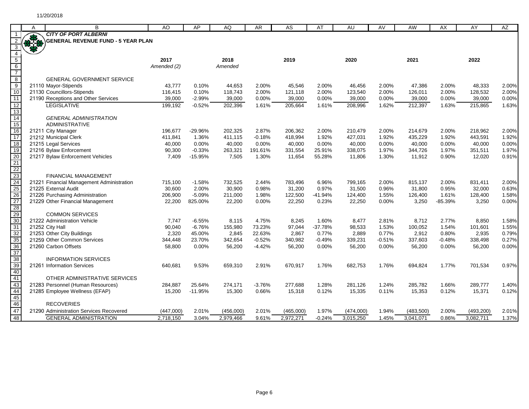|                                                    | A    | B                                         | AO          | AP        | AQ        | AR       | AS        | AT        | AU        | AV       | AW        | AX        | AY         | AZ    |
|----------------------------------------------------|------|-------------------------------------------|-------------|-----------|-----------|----------|-----------|-----------|-----------|----------|-----------|-----------|------------|-------|
|                                                    |      | <b>CITY OF PORT ALBERNI</b>               |             |           |           |          |           |           |           |          |           |           |            |       |
|                                                    | 87.8 | <b>GENERAL REVENUE FUND - 5 YEAR PLAN</b> |             |           |           |          |           |           |           |          |           |           |            |       |
| 3                                                  |      |                                           |             |           |           |          |           |           |           |          |           |           |            |       |
| $\overline{4}$                                     |      |                                           |             |           |           |          |           |           |           |          |           |           |            |       |
|                                                    |      |                                           | 2017        |           | 2018      |          | 2019      |           | 2020      |          | 2021      |           | 2022       |       |
|                                                    |      |                                           | Amended (2) |           | Amended   |          |           |           |           |          |           |           |            |       |
| $rac{5}{6}$ $rac{6}{7}$ $rac{8}{9}$ $rac{9}{10}$   |      | <b>GENERAL GOVERNMENT SERVICE</b>         |             |           |           |          |           |           |           |          |           |           |            |       |
|                                                    |      | 21110 Mayor-Stipends                      | 43,777      | 0.10%     | 44,653    | 2.00%    | 45,546    | 2.00%     | 46,456    | 2.00%    | 47,386    | 2.00%     | 48,333     | 2.00% |
|                                                    |      | 21130 Councillors-Stipends                | 116,415     | 0.10%     | 118,743   | 2.00%    | 121,118   | 2.00%     | 123,540   | 2.00%    | 126,011   | 2.00%     | 128,532    | 2.00% |
| 11                                                 |      | 21190 Receptions and Other Services       | 39,000      | $-2.99%$  | 39,000    | 0.00%    | 39,000    | 0.00%     | 39,000    | 0.00%    | 39,000    | 0.00%     | 39,000     | 0.00% |
| 12                                                 |      | <b>LEGISLATIVE</b>                        | 199,192     | $-0.52%$  | 202,396   | 1.61%    | 205,664   | 1.61%     | 208,996   | 1.62%    | 212,397   | 1.63%     | 215,865    | 1.63% |
| 13                                                 |      |                                           |             |           |           |          |           |           |           |          |           |           |            |       |
| 14                                                 |      | <b>GENERAL ADMINISTRATION</b>             |             |           |           |          |           |           |           |          |           |           |            |       |
| 15                                                 |      | <b>ADMINISTRATIVE</b>                     |             |           |           |          |           |           |           |          |           |           |            |       |
| 16                                                 |      | 21211 City Manager                        | 196,677     | -29.96%   | 202,325   | 2.87%    | 206,362   | 2.00%     | 210,479   | 2.00%    | 214,679   | 2.00%     | 218,962    | 2.00% |
| 17                                                 |      | 21212 Municipal Clerk                     | 411,841     | 1.36%     | 411,115   | $-0.18%$ | 418,994   | 1.92%     | 427,031   | 1.92%    | 435,229   | 1.92%     | 443,591    | 1.92% |
| $\overline{18}$                                    |      | 21215 Legal Services                      | 40.000      | 0.00%     | 40.000    | 0.00%    | 40.000    | 0.00%     | 40,000    | 0.00%    | 40.000    | 0.00%     | 40,000     | 0.00% |
| 19                                                 |      | 21216 Bylaw Enforcement                   | 90,300      | $-0.33%$  | 263,321   | 191.61%  | 331,554   | 25.91%    | 338,075   | 1.97%    | 344,726   | 1.97%     | 351,511    | 1.97% |
|                                                    |      | 21217 Bylaw Enforcement Vehicles          | 7,409       | $-15.95%$ | 7,505     | 1.30%    | 11,654    | 55.28%    | 11,806    | 1.30%    | 11,912    | 0.90%     | 12,020     | 0.91% |
|                                                    |      |                                           |             |           |           |          |           |           |           |          |           |           |            |       |
|                                                    |      | FINANCIAL MANAGEMENT                      |             |           |           |          |           |           |           |          |           |           |            |       |
|                                                    |      | 21221 Financial Management Administration | 715,100     | $-1.58%$  | 732,525   | 2.44%    | 783,496   | 6.96%     | 799,165   | 2.00%    | 815,137   | 2.00%     | 831,411    | 2.00% |
|                                                    |      | 21225 External Audit                      | 30,600      | 2.00%     | 30.900    | 0.98%    | 31,200    | 0.97%     | 31,500    | 0.96%    | 31,800    | 0.95%     | 32,000     | 0.63% |
|                                                    |      | 21226 Purchasing Administration           | 206,900     | $-5.09%$  | 211,000   | 1.98%    | 122,500   | $-41.94%$ | 124,400   | 1.55%    | 126,400   | 1.61%     | 128,400    | 1.58% |
|                                                    |      | 21229 Other Financial Management          | 22,200      | 825.00%   | 22,200    | 0.00%    | 22,250    | 0.23%     | 22,250    | 0.00%    | 3,250     | $-85.39%$ | 3,250      | 0.00% |
| 20<br>21<br>22<br>23<br>24<br>25<br>26<br>27<br>28 |      |                                           |             |           |           |          |           |           |           |          |           |           |            |       |
|                                                    |      | <b>COMMON SERVICES</b>                    |             |           |           |          |           |           |           |          |           |           |            |       |
| 30                                                 |      | 21222 Administration Vehicle              | 7,747       | $-6.55%$  | 8,115     | 4.75%    | 8,245     | 1.60%     | 8,477     | 2.81%    | 8,712     | 2.77%     | 8,850      | 1.58% |
| 31                                                 |      | 21252 City Hall                           | 90,040      | $-6.76%$  | 155,980   | 73.23%   | 97,044    | $-37.78%$ | 98,533    | 1.53%    | 100,052   | 1.54%     | 101,601    | 1.55% |
| $\overline{32}$                                    |      | 21253 Other City Buildings                | 2,320       | 45.00%    | 2.845     | 22.63%   | 2,867     | 0.77%     | 2,889     | 0.77%    | 2,912     | 0.80%     | 2,935      | 0.79% |
| 35                                                 |      | 21259 Other Common Services               | 344,448     | 23.70%    | 342,654   | $-0.52%$ | 340,982   | $-0.49%$  | 339,231   | $-0.51%$ | 337,603   | $-0.48%$  | 338,498    | 0.27% |
| 36<br>37                                           |      | 21260 Carbon Offsets                      | 58,800      | 0.00%     | 56,200    | $-4.42%$ | 56,200    | $0.00\%$  | 56,200    | 0.00%    | 56,200    | 0.00%     | 56,200     | 0.00% |
|                                                    |      | <b>INFORMATION SERVICES</b>               |             |           |           |          |           |           |           |          |           |           |            |       |
| 38<br>39                                           |      | 21261 Information Services                | 640,681     | 9.53%     | 659,310   | 2.91%    | 670,917   | 1.76%     | 682,753   | 1.76%    | 694,824   | 1.77%     | 701,534    | 0.97% |
| 40                                                 |      |                                           |             |           |           |          |           |           |           |          |           |           |            |       |
|                                                    |      | OTHER ADMINISTRATIVE SERVICES             |             |           |           |          |           |           |           |          |           |           |            |       |
| 41<br>43                                           |      | 21283 Personnel (Human Resources)         | 284,887     | 25.64%    | 274,171   | $-3.76%$ | 277,688   | 1.28%     | 281,126   | 1.24%    | 285,782   | 1.66%     | 289,777    | 1.40% |
|                                                    |      | 21285 Employee Wellness (EFAP)            | 15,200      | $-11.95%$ | 15,300    | 0.66%    | 15,318    | 0.12%     | 15,335    | 0.11%    | 15,353    | 0.12%     | 15,371     | 0.12% |
| 44<br>45                                           |      |                                           |             |           |           |          |           |           |           |          |           |           |            |       |
| 46<br>47                                           |      | <b>RECOVERIES</b>                         |             |           |           |          |           |           |           |          |           |           |            |       |
|                                                    |      | 21290 Administration Services Recovered   | (447,000)   | 2.01%     | (456,000) | 2.01%    | (465,000) | 1.97%     | (474,000) | 1.94%    | (483,500) | 2.00%     | (493, 200) | 2.01% |
| 48                                                 |      | <b>GENERAL ADMINISTRATION</b>             | 2,718,150   | 3.04%     | 2,979,466 | 9.61%    | 2,972,271 | $-0.24%$  | 3,015,250 | 1.45%    | 3,041,071 | 0.86%     | 3,082,711  | 1.37% |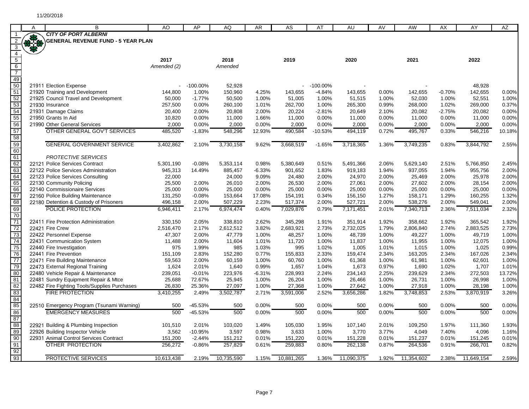|                 | A          | B                                                                                    | AO               | AP                | AQ               | AR                | AS               | AT             | AU               | AV             | AW               | AX             | AY               | AZ              |
|-----------------|------------|--------------------------------------------------------------------------------------|------------------|-------------------|------------------|-------------------|------------------|----------------|------------------|----------------|------------------|----------------|------------------|-----------------|
|                 |            | <b>CITY OF PORT ALBERNI</b>                                                          |                  |                   |                  |                   |                  |                |                  |                |                  |                |                  |                 |
|                 |            | <b>GENERAL REVENUE FUND - 5 YEAR PLAN</b>                                            |                  |                   |                  |                   |                  |                |                  |                |                  |                |                  |                 |
| $\overline{3}$  | <b>370</b> |                                                                                      |                  |                   |                  |                   |                  |                |                  |                |                  |                |                  |                 |
|                 |            |                                                                                      |                  |                   |                  |                   |                  |                |                  |                |                  |                |                  |                 |
| $\frac{4}{5}$   |            |                                                                                      | 2017             |                   | 2018             |                   | 2019             |                | 2020             |                | 2021             |                | 2022             |                 |
| $\sqrt{6}$      |            |                                                                                      | Amended (2)      |                   | Amended          |                   |                  |                |                  |                |                  |                |                  |                 |
| $\overline{7}$  |            |                                                                                      |                  |                   |                  |                   |                  |                |                  |                |                  |                |                  |                 |
| 49<br>50        |            |                                                                                      |                  |                   |                  |                   |                  |                |                  |                |                  |                |                  |                 |
|                 |            | 21911 Election Expense                                                               |                  | $-100.00\%$       | 52,928           |                   |                  | $-100.00\%$    |                  |                |                  |                | 48,928           |                 |
| 51              |            | 21920 Training and Development                                                       | 144,800          | 1.00%             | 150,960          | 4.25%             | 143,655          | $-4.84%$       | 143,655          | 0.00%          | 142,655          | $-0.70%$       | 142,655          | 0.00%           |
| 52              |            | 21925 Council Travel and Development                                                 | 50,000           | $-1.77%$          | 50,500           | 1.00%             | 51,005           | 1.00%          | 51,515           | 1.00%          | 52,030           | 1.00%          | 52,551           | 1.00%           |
| 53              |            | 21930 Insurance                                                                      | 257,500          | 0.00%             | 260,100          | 1.01%             | 262,700          | 1.00%          | 265,300          | 0.99%          | 268,000          | 1.02%          | 269,000          | 0.37%           |
| 54<br>55        |            | 21931 Damage Claims                                                                  | 20,400           | 2.00%             | 20.808           | 2.00%             | 20,224           | $-2.81%$       | 20,649           | 2.10%          | 20,082           | $-2.75%$       | 20,082           | 0.00%           |
|                 |            | 21950 Grants In Aid                                                                  | 10,820           | 0.00%             | 11,000           | 1.66%             | 11,000           | 0.00%          | 11,000           | 0.00%          | 11,000           | 0.00%          | 11,000           | 0.00%           |
| 56              |            | 21990 Other General Services                                                         | 2,000            | 0.00%             | 2,000            | 0.00%             | 2,000            | 0.00%          | 2,000            | 0.00%          | 2,000            | 0.00%          | 2,000            | 0.00%           |
| 57              |            | OTHER GENERAL GOV'T SERVICES                                                         | 485,520          | $-1.83%$          | 548,296          | 12.93%            | 490,584          | $-10.53%$      | 494,119          | 0.72%          | 495,767          | 0.33%          | 546,216          | 10.18%          |
| 58              |            |                                                                                      |                  |                   |                  |                   |                  |                |                  |                |                  |                |                  |                 |
| 59              |            | <b>GENERAL GOVERNMENT SERVICE</b>                                                    | 3,402,862        | 2.10%             | 3.730.158        | 9.62%             | 3,668,519        | $-1.65%$       | 3,718,365        | 1.36%          | 3,749,235        | 0.83%          | 3.844.792        | 2.55%           |
| 60              |            |                                                                                      |                  |                   |                  |                   |                  |                |                  |                |                  |                |                  |                 |
| 61<br>62        |            | <b>PROTECTIVE SERVICES</b>                                                           |                  |                   |                  |                   |                  |                |                  |                |                  |                |                  |                 |
|                 |            | 22121 Police Services Contract                                                       | 5,301,190        | $-0.08%$          | 5,353,114        | 0.98%             | 5,380,649        | 0.51%          | 5,491,366        | 2.06%          | 5,629,140        | 2.51%          | 5,766,850        | 2.45%           |
| 63              |            | 22122 Police Services Administration                                                 | 945,313          | 14.49%            | 885,457          | $-6.33%$          | 901,652          | 1.83%          | 919,183          | 1.94%          | 937,055          | 1.94%          | 955,756          | 2.00%           |
| 64              |            | 22123 Police Services Consulting                                                     | 22,000           |                   | 24,000           | 9.09%             | 24,480           | 2.00%          | 24,970           | 2.00%          | 25,469           | 2.00%          | 25,978           | 2.00%           |
| 65              |            | 22130 Community Policing                                                             | 25,500           | 2.00%             | 26,010           | 2.00%             | 26,530           | 2.00%          | 27,061           | 2.00%          | 27,602           | 2.00%          | 28,154           | 2.00%           |
| 66<br>67        |            | 22140 Commissionaire Services                                                        | 25,000           | 0.00%             | 25,000           | 0.00%             | 25,000           | 0.00%          | 25,000           | 0.00%          | 25,000           | 0.00%          | 25,000           | 0.00%           |
|                 |            | 22160 Police Building Maintenance                                                    | 131,250          | $-0.08%$          | 153,664          | 17.08%            | 154,191          | 0.34%          | 156,150          | 1.27%          | 158,171          | 1.29%          | 160,255          | 1.32%           |
| 68              |            | 22180 Detention & Custody of Prisoners                                               | 496,158          | 2.00%             | 507,229          | 2.23%             | 517,374          | 2.00%          | 527,721          | 2.00%          | 538,276          | 2.00%          | 549,041          | 2.00%           |
| 69              |            | POLICE PROTECTION                                                                    | 6,946,411        | 2.17%             | 6,974,474        | 0.40%             | 7,029,876        | 0.79%          | 7,171,451        | 2.01%          | 7,340,713        | 2.36%          | 7,511,034        | 2.32%           |
| $\overline{70}$ |            |                                                                                      |                  |                   |                  |                   |                  |                |                  |                |                  |                |                  |                 |
| 71              |            | 22411 Fire Protection Administration                                                 | 330,150          | 2.05%             | 338,810          | 2.62%             | 345,298          | 1.91%          | 351,914          | 1.92%          | 358,662          | 1.92%          | 365,542          | 1.92%           |
| 72              |            | 22421 Fire Crew                                                                      | 2,516,470        | 2.17%             | 2,612,512        | 3.82%             | 2,683,921        | 2.73%          | 2,732,025        | 1.79%          | 2,806,840        | 2.74%          | 2,883,525        | 2.73%           |
| 73              |            | 22422 Personnel Expense                                                              | 47,307           | 2.00%             | 47,779           | 1.00%             | 48,257           | 1.00%          | 48,739           | 1.00%          | 49,227           | 1.00%          | 49,719           | 1.00%           |
| 74              |            | 22431 Communication System                                                           | 11,488           | 2.00%             | 11,604           | 1.01%             | 11,720           | 1.00%          | 11,837           | 1.00%          | 11,955           | 1.00%          | 12,075           | 1.00%           |
| 75              |            | 22440 Fire Investigation                                                             | 975              | 1.99%             | 985              | 1.03%             | 995              | 1.02%          | 1,005            | 1.01%          | 1,015            | 1.00%          | 1,025            | 0.99%           |
| 76              |            | 22441 Fire Prevention                                                                | 151,109          | 2.83%             | 152,280          | 0.77%             | 155,833          | 2.33%          | 159,474          | 2.34%          | 163,205          | 2.34%          | 167,026          | 2.34%           |
| 77              |            | 22471 Fire Building Maintenance                                                      | 59,563           | 2.00%             | 60,159           | 1.00%             | 60,760           | 1.00%          | 61,368           | 1.00%          | 61,981           | 1.00%          | 62,601           | 1.00%           |
| 79<br>80        |            | 22473 External Regional Training<br>22480 Vehicle Repair & Maintenance               | 1,624<br>239,051 | 2.01%<br>$-0.01%$ | 1,640<br>223,976 | 0.99%<br>$-6.31%$ | 1,657<br>228,993 | 1.04%<br>2.24% | 1,673<br>234,143 | 0.97%<br>2.25% | 1,690<br>239,629 | 1.02%<br>2.34% | 1,707<br>272,503 | 1.01%<br>13.72% |
| 81              |            |                                                                                      |                  | 72.67%            | 25,945           | 1.00%             | 26,204           | 1.00%          |                  | 1.00%          | 26,731           | 1.00%          |                  | 1.00%           |
| 82              |            | 22481 Sundry Equipment Repair & Mtce<br>22482 Fire Fighting Tools/Supplies Purchases | 25,688<br>26,830 | 25.36%            | 27.097           | 1.00%             | 27,368           | 1.00%          | 26,466<br>27,642 | 1.00%          | 27,918           | 1.00%          | 26,998<br>28,198 | 1.00%           |
| 83              |            | <b>FIRE PROTECTION</b>                                                               | 3,410,255        | 2.49%             | 3,502,787        | 2.71%             | 3,591,006        | 2.52%          | 3,656,286        | 1.82%          | 3,748,853        | 2.53%          | 3,870,919        | 3.26%           |
|                 |            |                                                                                      |                  |                   |                  |                   |                  |                |                  |                |                  |                |                  |                 |
| 84<br>85        |            | 22510 Emergency Program (Tsunami Warning)                                            | 500              | -45.53%           | 500              | 0.00%             | 500              | 0.00%          | 500              | 0.00%          | 500              | 0.00%          | 500              | 0.00%           |
| 86              |            | <b>EMERGENCY MEASURES</b>                                                            | 500              | -45.53%           | 500              | 0.00%             | 500              | 0.00%          | 500              | 0.00%          | 500              | 0.00%          | 500              | 0.00%           |
| 87              |            |                                                                                      |                  |                   |                  |                   |                  |                |                  |                |                  |                |                  |                 |
| 88              |            | 22921 Building & Plumbing Inspection                                                 | 101,510          | 2.01%             | 103,020          | 1.49%             | 105,030          | 1.95%          | 107,140          | 2.01%          | 109,250          | 1.97%          | 111,360          | 1.93%           |
| 89              |            | 22926 Building Inspector Vehicle                                                     | 3,562            | $-10.95%$         | 3,597            | 0.98%             | 3,633            | 1.00%          | 3,770            | 3.77%          | 4,049            | 7.40%          | 4,096            | 1.16%           |
| 90              |            | 22931 Animal Control Services Contract                                               | 151,200          | $-2.44%$          | 151,212          | 0.01%             | 151,220          | 0.01%          | 151,228          | 0.01%          | 151,237          | 0.01%          | 151,245          | 0.01%           |
| 91              |            | <b>OTHER PROTECTION</b>                                                              | 256,272          | $-0.86%$          | 257,829          | 0.61%             | 259,883          | 0.80%          | 262,138          | 0.87%          | 264,536          | 0.91%          | 266,701          | 0.82%           |
| 92              |            |                                                                                      |                  |                   |                  |                   |                  |                |                  |                |                  |                |                  |                 |
| 93              |            | PROTECTIVE SERVICES                                                                  | 10,613,438       | 2.19%             | 10.735.590       | 1.15%             | 10,881,265       | 1.36%          | 11,090,375       | 1.92%          | 11.354.602       | 2.38%          | 11.649.154       | 2.59%           |
|                 |            |                                                                                      |                  |                   |                  |                   |                  |                |                  |                |                  |                |                  |                 |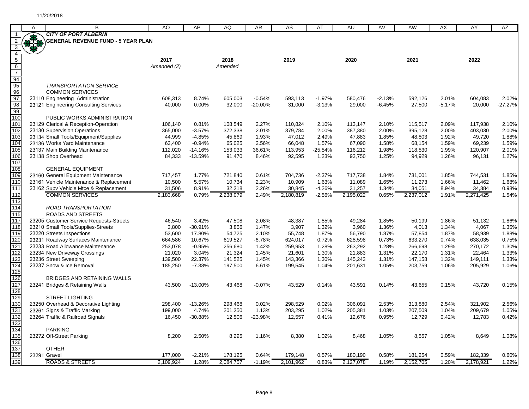|                         | A   | B                                                      | AO                | AP                     | AQ                | AR              | AS                | AT                 | AU                | AV             | AW                | AX             | AY                | AZ             |
|-------------------------|-----|--------------------------------------------------------|-------------------|------------------------|-------------------|-----------------|-------------------|--------------------|-------------------|----------------|-------------------|----------------|-------------------|----------------|
|                         |     | <b>CITY OF PORT ALBERNI</b>                            |                   |                        |                   |                 |                   |                    |                   |                |                   |                |                   |                |
| $\overline{2}$          | *** | <b>GENERAL REVENUE FUND - 5 YEAR PLAN</b>              |                   |                        |                   |                 |                   |                    |                   |                |                   |                |                   |                |
| $\overline{\mathbf{3}}$ |     |                                                        |                   |                        |                   |                 |                   |                    |                   |                |                   |                |                   |                |
| $\overline{4}$          |     |                                                        |                   |                        |                   |                 |                   |                    |                   |                |                   |                |                   |                |
| $\overline{5}$          |     |                                                        | 2017              |                        | 2018              |                 | 2019              |                    | 2020              |                | 2021              |                | 2022              |                |
| $6\overline{6}$         |     |                                                        | Amended (2)       |                        | Amended           |                 |                   |                    |                   |                |                   |                |                   |                |
| $\overline{7}$          |     |                                                        |                   |                        |                   |                 |                   |                    |                   |                |                   |                |                   |                |
| $\frac{1}{94}$          |     |                                                        |                   |                        |                   |                 |                   |                    |                   |                |                   |                |                   |                |
| 95                      |     | <b>TRANSPORTATION SERVICE</b>                          |                   |                        |                   |                 |                   |                    |                   |                |                   |                |                   |                |
| 96                      |     | <b>COMMON SERVICES</b>                                 |                   |                        |                   |                 |                   |                    |                   |                |                   |                |                   |                |
| $\frac{97}{98}$         |     | 23110 Engineering Administration                       | 608,313           | 8.74%                  | 605,003           | $-0.54%$        | 593,113           | $-1.97%$           | 580,476           | $-2.13%$       | 592,126           | 2.01%          | 604,083           | 2.02%          |
|                         |     | 23121 Engineering Consulting Services                  | 40,000            | 0.00%                  | 32,000            | $-20.00%$       | 31,000            | $-3.13%$           | 29,000            | $-6.45%$       | 27,500            | $-5.17%$       | 20,000            | $-27.27%$      |
| 99                      |     |                                                        |                   |                        |                   |                 |                   |                    |                   |                |                   |                |                   |                |
| 100                     |     | PUBLIC WORKS ADMINISTRATION                            |                   |                        |                   |                 |                   |                    |                   |                |                   |                |                   |                |
| 101                     |     | 23129 Clerical & Reception-Operation                   | 106,140           | 0.81%                  | 108,549           | 2.27%           | 110,824           | 2.10%              | 113,147           | 2.10%          | 115,517           | 2.09%          | 117,938           | 2.10%          |
| 102                     |     | 23130 Supervision Operations                           | 365,000           | $-3.57%$               | 372,338           | 2.01%           | 379,784           | 2.00%              | 387,380           | 2.00%          | 395,128           | 2.00%          | 403,030           | 2.00%<br>1.88% |
| 103<br>104              |     | 23134 Small Tools/Equipment/Supplies                   | 44,999            | $-4.85%$               | 45,869            | 1.93%           | 47,012            | 2.49%              | 47,883            | 1.85%          | 48,803            | 1.92%          | 49,720            |                |
| 105                     |     | 23136 Works Yard Maintenance                           | 63,400            | $-0.94%$               | 65,025            | 2.56%           | 66,048            | 1.57%              | 67,090            | 1.58%          | 68,154            | 1.59%          | 69,239            | 1.59%<br>2.01% |
| 106                     |     | 23137 Main Building Maintenance<br>23138 Shop Overhead | 112,020<br>84,333 | $-14.16%$<br>$-13.59%$ | 153,033<br>91,470 | 36.61%<br>8.46% | 113,953<br>92,595 | $-25.54%$<br>1.23% | 116,212<br>93,750 | 1.98%<br>1.25% | 118,530<br>94,929 | 1.99%<br>1.26% | 120,907<br>96,131 | 1.27%          |
| 107                     |     |                                                        |                   |                        |                   |                 |                   |                    |                   |                |                   |                |                   |                |
| 108                     |     | <b>GENERAL EQUIPMENT</b>                               |                   |                        |                   |                 |                   |                    |                   |                |                   |                |                   |                |
| 109                     |     | 23160 General Equipment Maintenance                    | 717,457           | 1.77%                  | 721,840           | 0.61%           | 704,736           | $-2.37%$           | 717,738           | 1.84%          | 731,001           | 1.85%          | 744,531           | 1.85%          |
| 110                     |     | 23161 Vehicle Maintenance & Replacement                | 10,500            | 5.57%                  | 10,734            | 2.23%           | 10,909            | 1.63%              | 11,089            | 1.65%          | 11,273            | 1.66%          | 11,462            | 1.68%          |
| 111                     |     | 23162 Supv Vehicle Mtce & Replacement                  | 31,506            | 8.91%                  | 32,218            | 2.26%           | 30,845            | $-4.26%$           | 31,257            | 1.34%          | 34,051            | 8.94%          | 34,384            | 0.98%          |
| 112                     |     | <b>COMMON SERVICES</b>                                 | 2,183,668         | 0.79%                  | 2,238,079         | 2.49%           | 2,180,819         | $-2.56%$           | 2,195,022         | 0.65%          | 2,237,012         | 1.91%          | 2,271,425         | 1.54%          |
| 113                     |     |                                                        |                   |                        |                   |                 |                   |                    |                   |                |                   |                |                   |                |
| 114                     |     | <b>ROAD TRANSPORTATION</b>                             |                   |                        |                   |                 |                   |                    |                   |                |                   |                |                   |                |
| 115                     |     | <b>ROADS AND STREETS</b>                               |                   |                        |                   |                 |                   |                    |                   |                |                   |                |                   |                |
| 117                     |     | 23205 Customer Service Requests-Streets                | 46,540            | 3.42%                  | 47,508            | 2.08%           | 48,387            | 1.85%              | 49,284            | 1.85%          | 50,199            | 1.86%          | 51,132            | 1.86%          |
| 118                     |     | 23210 Small Tools/Supplies-Streets                     | 3,800             | $-30.91%$              | 3,856             | 1.47%           | 3,907             | 1.32%              | 3,960             | 1.36%          | 4,013             | 1.34%          | 4,067             | 1.35%          |
| 119                     |     | 23220 Streets Inspections                              | 53,600            | 17.80%                 | 54,725            | 2.10%           | 55,748            | 1.87%              | 56,790            | 1.87%          | 57,854            | 1.87%          | 58,939            | 1.88%          |
| 120                     |     | 23231 Roadway Surfaces Maintenance                     | 664,586           | 10.67%                 | 619,527           | $-6.78%$        | 624,017           | 0.72%              | 628,598           | 0.73%          | 633,270           | 0.74%          | 638,035           | 0.75%          |
| 121                     |     | 23233 Road Allowance Maintenance                       | 253,078           | $-0.95%$               | 256,680           | 1.42%           | 259,953           | 1.28%              | 263,292           | 1.28%          | 266,698           | 1.29%          | 270,172           | 1.30%          |
| 122                     |     | 23234 New Driveway Crossings                           | 21,020            | 3.04%                  | 21,324            | 1.45%           | 21,601            | 1.30%              | 21,883            | 1.31%          | 22,170            | 1.31%          | 22,464            | 1.33%          |
| 123                     |     | 23236 Street Sweeping                                  | 139,500           | 22.37%                 | 141,525           | 1.45%           | 143,366           | 1.30%              | 145,243           | 1.31%          | 147,158           | 1.32%          | 149,111           | 1.33%          |
| 124                     |     | 23237 Snow & Ice Removal                               | 185,250           | $-7.38%$               | 197,500           | 6.61%           | 199,545           | 1.04%              | 201,631           | 1.05%          | 203,759           | 1.06%          | 205,929           | 1.06%          |
| 125                     |     |                                                        |                   |                        |                   |                 |                   |                    |                   |                |                   |                |                   |                |
| 126                     |     | BRIDGES AND RETAINING WALLS                            |                   |                        |                   |                 |                   |                    |                   |                |                   |                |                   |                |
| 127                     |     | 23241 Bridges & Retaining Walls                        | 43,500            | $-13.00%$              | 43,468            | $-0.07%$        | 43,529            | 0.14%              | 43,591            | 0.14%          | 43,655            | 0.15%          | 43,720            | 0.15%          |
| 128                     |     |                                                        |                   |                        |                   |                 |                   |                    |                   |                |                   |                |                   |                |
| 129                     |     | <b>STREET LIGHTING</b>                                 |                   |                        |                   |                 |                   |                    |                   |                |                   |                |                   |                |
| 130                     |     | 23250 Overhead & Decorative Lighting                   | 298,400           | $-13.26%$              | 298,468           | 0.02%           | 298,529           | 0.02%              | 306,091           | 2.53%          | 313,880           | 2.54%          | 321,902           | 2.56%          |
| 131                     |     | 23261 Signs & Traffic Marking                          | 199,000           | 4.74%                  | 201,250           | 1.13%           | 203,295           | 1.02%              | 205,381           | 1.03%          | 207,509           | 1.04%          | 209,679           | 1.05%          |
| 132                     |     | 23264 Traffic & Railroad Signals                       | 16,450            | $-30.88%$              | 12,506            | -23.98%         | 12,557            | 0.41%              | 12,676            | 0.95%          | 12,729            | 0.42%          | 12,783            | 0.42%          |
| 133                     |     |                                                        |                   |                        |                   |                 |                   |                    |                   |                |                   |                |                   |                |
| 134                     |     | <b>PARKING</b>                                         |                   |                        |                   |                 |                   |                    |                   |                |                   |                |                   |                |
| 135<br>136              |     | 23272 Off-Street Parking                               | 8,200             | 2.50%                  | 8,295             | 1.16%           | 8,380             | 1.02%              | 8,468             | 1.05%          | 8,557             | 1.05%          | 8,649             | 1.08%          |
| 137                     |     | <b>OTHER</b>                                           |                   |                        |                   |                 |                   |                    |                   |                |                   |                |                   |                |
| 138                     |     | 23291 Gravel                                           | 177,000           | $-2.21%$               | 178,125           | 0.64%           | 179,148           | 0.57%              | 180,190           | 0.58%          | 181,254           | 0.59%          | 182,339           | 0.60%          |
| 139                     |     | <b>ROADS &amp; STREETS</b>                             | 2,109,924         | 1.28%                  | 2,084,757         | $-1.19%$        | 2,101,962         | 0.83%              | 2,127,078         | 1.19%          | 2,152,705         | 1.20%          | 2,178,921         | 1.22%          |
|                         |     |                                                        |                   |                        |                   |                 |                   |                    |                   |                |                   |                |                   |                |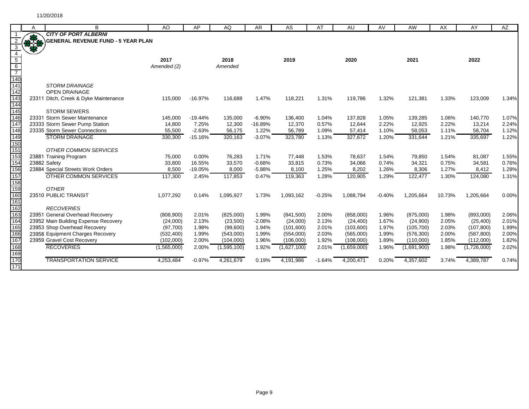|                  | Α           | B                                         | AO          | AP        | AQ          | <b>AR</b> | AS          | AT       | AU          | AV       | AW          | AX     | AY          | AZ    |
|------------------|-------------|-------------------------------------------|-------------|-----------|-------------|-----------|-------------|----------|-------------|----------|-------------|--------|-------------|-------|
|                  |             | <b>CITY OF PORT ALBERNI</b>               |             |           |             |           |             |          |             |          |             |        |             |       |
|                  | <b>RACK</b> | <b>GENERAL REVENUE FUND - 5 YEAR PLAN</b> |             |           |             |           |             |          |             |          |             |        |             |       |
|                  |             |                                           |             |           |             |           |             |          |             |          |             |        |             |       |
|                  |             |                                           |             |           |             |           |             |          |             |          |             |        |             |       |
| $5\overline{)}$  |             |                                           | 2017        |           | 2018        |           | 2019        |          | 2020        |          | 2021        |        | 2022        |       |
| $6\overline{6}$  |             |                                           | Amended (2) |           | Amended     |           |             |          |             |          |             |        |             |       |
| $\overline{7}$   |             |                                           |             |           |             |           |             |          |             |          |             |        |             |       |
| $\overline{140}$ |             |                                           |             |           |             |           |             |          |             |          |             |        |             |       |
| 141              |             | <b>STORM DRAINAGE</b>                     |             |           |             |           |             |          |             |          |             |        |             |       |
| 142              |             | <b>OPEN DRAINAGE</b>                      |             |           |             |           |             |          |             |          |             |        |             |       |
| 143              |             | 23311 Ditch, Creek & Dyke Maintenance     | 115,000     | $-16.97%$ | 116,688     | 1.47%     | 118,221     | 1.31%    | 119,786     | 1.32%    | 121,381     | 1.33%  | 123,009     | 1.34% |
| 144              |             |                                           |             |           |             |           |             |          |             |          |             |        |             |       |
| 145              |             | <b>STORM SEWERS</b>                       |             |           |             |           |             |          |             |          |             |        |             |       |
| 146              |             | 23331 Storm Sewer Maintenance             | 145,000     | $-19.44%$ | 135,000     | $-6.90%$  | 136,400     | 1.04%    | 137,828     | 1.05%    | 139,285     | 1.06%  | 140,770     | 1.07% |
| 147              |             | 23333 Storm Sewer Pump Station            | 14,800      | 7.25%     | 12,300      | $-16.89%$ | 12,370      | 0.57%    | 12,644      | 2.22%    | 12,925      | 2.22%  | 13,214      | 2.24% |
| 148              |             | 23335 Storm Sewer Connections             | 55,500      | $-2.63%$  | 56,175      | 1.22%     | 56,789      | 1.09%    | 57,414      | 1.10%    | 58,053      | 1.11%  | 58,704      | 1.12% |
| 149              |             | <b>STORM DRAINAGE</b>                     | 330,300     | $-15.16%$ | 320,163     | $-3.07%$  | 323,780     | 1.13%    | 327,672     | 1.20%    | 331,644     | 1.21%  | 335,697     | 1.22% |
| 150              |             |                                           |             |           |             |           |             |          |             |          |             |        |             |       |
| 151              |             | <b>OTHER COMMON SERVICES</b>              |             |           |             |           |             |          |             |          |             |        |             |       |
| 153              |             | 23881 Training Program                    | 75,000      | 0.00%     | 76,283      | 1.71%     | 77,448      | 1.53%    | 78,637      | 1.54%    | 79,850      | 1.54%  | 81,087      | 1.55% |
| 154              |             | 23882 Safety                              | 33,800      | 16.55%    | 33,570      | $-0.68%$  | 33,815      | 0.73%    | 34,066      | 0.74%    | 34,321      | 0.75%  | 34,581      | 0.76% |
| 156              |             | 23884 Special Streets Work Orders         | 8,500       | $-19.05%$ | 8,000       | $-5.88%$  | 8,100       | 1.25%    | 8,202       | 1.26%    | 8,306       | 1.27%  | 8,412       | 1.28% |
| 157              |             | <b>OTHER COMMON SERVICES</b>              | 117,300     | 2.45%     | 117,853     | 0.47%     | 119,363     | 1.28%    | 120,905     | 1.29%    | 122,477     | 1.30%  | 124,080     | 1.31% |
| 158              |             |                                           |             |           |             |           |             |          |             |          |             |        |             |       |
| 159              |             | <b>OTHER</b>                              |             |           |             |           |             |          |             |          |             |        |             |       |
| 160              |             | 23510 PUBLIC TRANSIT                      | 1,077,292   | 0.14%     | 1,095,927   | 1.73%     | 1,093,162   | $-0.25%$ | 1,088,794   | $-0.40%$ | 1,205,664   | 10.73% | 1,205,664   | 0.00% |
| 161              |             |                                           |             |           |             |           |             |          |             |          |             |        |             |       |
| 162              |             | <b>RECOVERIES</b>                         |             |           |             |           |             |          |             |          |             |        |             |       |
| 163              |             | 23951 General Overhead Recovery           | (808,900)   | 2.01%     | (825,000)   | 1.99%     | (841,500)   | 2.00%    | (858,000)   | 1.96%    | (875,000)   | 1.98%  | (893,000)   | 2.06% |
| 164              |             | 23952 Main Building Expense Recovery      | (24,000)    | 2.13%     | (23,500)    | $-2.08%$  | (24,000)    | 2.13%    | (24, 400)   | 1.67%    | (24,900)    | 2.05%  | (25, 400)   | 2.01% |
| 165              |             | 23953 Shop Overhead Recovery              | (97,700)    | 1.98%     | (99,600)    | 1.94%     | (101,600)   | 2.01%    | (103,600)   | 1.97%    | (105, 700)  | 2.03%  | (107, 800)  | 1.99% |
| 166              |             | 23958 Equipment Charges Recovery          | (532, 400)  | 1.99%     | (543,000)   | 1.99%     | (554,000)   | 2.03%    | (565,000)   | 1.99%    | (576, 300)  | 2.00%  | (587, 800)  | 2.00% |
| 167              |             | 23959 Gravel Cost Recovery                | (102,000)   | 2.00%     | (104,000)   | 1.96%     | (106,000)   | 1.92%    | (108,000)   | 1.89%    | (110,000)   | 1.85%  | (112,000)   | 1.82% |
| 168              |             | <b>RECOVERIES</b>                         | (1,565,000) | 2.00%     | (1,595,100) | 1.92%     | (1,627,100) | 2.01%    | (1,659,000) | 1.96%    | (1,691,900) | 1.98%  | (1,726,000) | 2.02% |
| 169              |             |                                           |             |           |             |           |             |          |             |          |             |        |             |       |
| 170              |             | <b>TRANSPORTATION SERVICE</b>             | 4,253,484   | $-0.97%$  | 4,261,679   | 0.19%     | 4,191,986   | $-1.64%$ | 4,200,471   | 0.20%    | 4,357,602   | 3.74%  | 4,389,787   | 0.74% |
| 171              |             |                                           |             |           |             |           |             |          |             |          |             |        |             |       |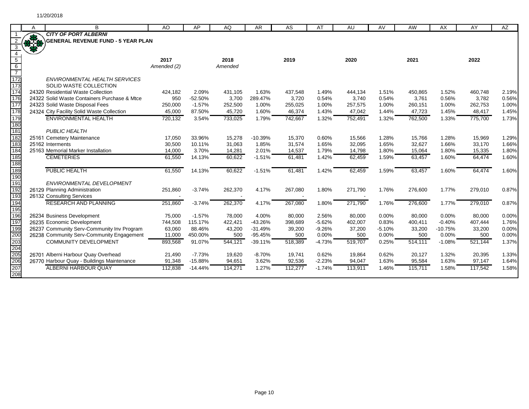|                          | A | B                                                            | AO          | AP        | AQ      | <b>AR</b>        | AS               | AT             | AU               | AV             | AW               | AX        | AY               | AZ             |
|--------------------------|---|--------------------------------------------------------------|-------------|-----------|---------|------------------|------------------|----------------|------------------|----------------|------------------|-----------|------------------|----------------|
|                          |   | <b>CITY OF PORT ALBERNI</b>                                  |             |           |         |                  |                  |                |                  |                |                  |           |                  |                |
|                          |   | <b>GENERAL REVENUE FUND - 5 YEAR PLAN</b>                    |             |           |         |                  |                  |                |                  |                |                  |           |                  |                |
| 3                        |   |                                                              |             |           |         |                  |                  |                |                  |                |                  |           |                  |                |
| $\overline{4}$           |   |                                                              |             |           |         |                  |                  |                |                  |                |                  |           |                  |                |
| $\overline{5}$           |   |                                                              | 2017        |           | 2018    |                  | 2019             |                | 2020             |                | 2021             |           | 2022             |                |
| $6\overline{6}$          |   |                                                              | Amended (2) |           | Amended |                  |                  |                |                  |                |                  |           |                  |                |
| $\overline{7}$           |   |                                                              |             |           |         |                  |                  |                |                  |                |                  |           |                  |                |
| $\overline{172}$<br>173  |   | <b>ENVIRONMENTAL HEALTH SERVICES</b>                         |             |           |         |                  |                  |                |                  |                |                  |           |                  |                |
| 174                      |   | SOLID WASTE COLLECTION<br>24320 Residential Waste Collection | 424,182     | 2.09%     | 431,105 | 1.63%            |                  | 1.49%          |                  | 1.51%          |                  | 1.52%     | 460,748          | 2.19%          |
| 176                      |   | 24322 Solid Waste Containers Purchase & Mtce                 | 950         | $-52.50%$ | 3,700   |                  | 437,548          |                | 444,134          |                | 450,865          | 0.56%     |                  |                |
| 177                      |   | 24323 Solid Waste Disposal Fees                              | 250,000     | $-1.57%$  | 252,500 | 289.47%<br>1.00% | 3,720<br>255,025 | 0.54%<br>1.00% | 3,740<br>257,575 | 0.54%<br>1.00% | 3,761<br>260,151 | 1.00%     | 3,782<br>262,753 | 0.56%<br>1.00% |
| 178                      |   | 24324 City Facility Solid Waste Collection                   | 45,000      | 87.50%    | 45,720  | 1.60%            | 46,374           | 1.43%          | 47,042           | 1.44%          | 47,723           | 1.45%     | 48,417           | 1.45%          |
| 179                      |   | <b>ENVIRONMENTAL HEALTH</b>                                  | 720,132     | 3.54%     |         | 1.79%            | 742,667          | 1.32%          |                  | 1.32%          |                  | 1.33%     |                  |                |
| 180                      |   |                                                              |             |           | 733,025 |                  |                  |                | 752,491          |                | 762,500          |           | 775,700          | 1.73%          |
| 181                      |   | <b>PUBLIC HEALTH</b>                                         |             |           |         |                  |                  |                |                  |                |                  |           |                  |                |
| 182                      |   | 25161 Cemetery Maintenance                                   | 17,050      | 33.96%    | 15,278  | $-10.39%$        | 15,370           | 0.60%          | 15,566           | 1.28%          | 15,766           | 1.28%     | 15,969           | 1.29%          |
| 183                      |   | 25162 Interments                                             | 30,500      | 10.11%    | 31,063  | 1.85%            | 31,574           | 1.65%          | 32,095           | 1.65%          | 32,627           | 1.66%     | 33,170           | 1.66%          |
| 184                      |   | 25163 Memorial Marker Installation                           | 14,000      | 3.70%     | 14,281  | 2.01%            | 14,537           | 1.79%          | 14,798           | 1.80%          | 15,064           | 1.80%     | 15,335           | 1.80%          |
| 185                      |   | <b>CEMETERIES</b>                                            | 61,550      | 14.13%    | 60,622  | $-1.51%$         | 61,481           | 1.42%          | 62,459           | 1.59%          | 63,457           | 1.60%     | 64,474           | 1.60%          |
| 188                      |   |                                                              |             |           |         |                  |                  |                |                  |                |                  |           |                  |                |
| 189                      |   | PUBLIC HEALTH                                                | 61,550      | 14.13%    | 60,622  | $-1.51%$         | 61,481           | 1.42%          | 62,459           | 1.59%          | 63,457           | 1.60%     | 64,474           | 1.60%          |
| 190                      |   |                                                              |             |           |         |                  |                  |                |                  |                |                  |           |                  |                |
| 191                      |   | ENVIRONMENTAL DEVELOPMENT                                    |             |           |         |                  |                  |                |                  |                |                  |           |                  |                |
| 192                      |   | 26129 Planning Administration                                | 251,860     | $-3.74%$  | 262,370 | 4.17%            | 267,080          | 1.80%          | 271,790          | 1.76%          | 276,600          | 1.77%     | 279,010          | 0.87%          |
| 193                      |   | 26132 Consulting Services                                    |             |           |         |                  |                  |                |                  |                |                  |           |                  |                |
| 194                      |   | <b>RESEARCH AND PLANNING</b>                                 | 251,860     | $-3.74%$  | 262,370 | 4.17%            | 267,080          | 1.80%          | 271,790          | 1.76%          | 276,600          | 1.77%     | 279,010          | 0.87%          |
| 195                      |   |                                                              |             |           |         |                  |                  |                |                  |                |                  |           |                  |                |
| 196                      |   | 26234 Business Development                                   | 75,000      | $-1.57%$  | 78,000  | 4.00%            | 80,000           | 2.56%          | 80,000           | 0.00%          | 80,000           | 0.00%     | 80,000           | 0.00%          |
| 197                      |   | 26235 Economic Development                                   | 744,508     | 115.17%   | 422,421 | $-43.26%$        | 398,689          | $-5.62%$       | 402,007          | 0.83%          | 400,411          | $-0.40%$  | 407,444          | 1.76%          |
| 199                      |   | 26237 Community Serv-Community Inv Program                   | 63,060      | 88.46%    | 43,200  | $-31.49%$        | 39,200           | $-9.26%$       | 37,200           | $-5.10%$       | 33,200           | $-10.75%$ | 33,200           | 0.00%          |
| 200                      |   | 26238 Community Serv-Community Engagement                    | 11,000      | 450.00%   | 500     | $-95.45%$        | 500              | 0.00%          | 500              | 0.00%          | 500              | 0.00%     | 500              | 0.00%          |
|                          |   | <b>COMMUNITY DEVELOPMENT</b>                                 | 893,568     | 91.07%    | 544,121 | $-39.11%$        | 518,389          | $-4.73%$       | 519,707          | 0.25%          | 514,111          | $-1.08%$  | 521,144          | 1.37%          |
| 200<br>203<br>204<br>205 |   |                                                              |             |           |         |                  |                  |                |                  |                |                  |           |                  |                |
|                          |   | 26701 Alberni Harbour Quay Overhead                          | 21,490      | $-7.73%$  | 19,620  | $-8.70%$         | 19,741           | 0.62%          | 19,864           | 0.62%          | 20,127           | 1.32%     | 20,395           | 1.33%          |
| 206                      |   | 26770 Harbour Quay - Buildings Maintenance                   | 91,348      | $-15.88%$ | 94,651  | 3.62%            | 92,536           | $-2.23%$       | 94,047           | 1.63%          | 95,584           | 1.63%     | 97,147           | 1.64%          |
| 207                      |   | <b>ALBERNI HARBOUR QUAY</b>                                  | 112,838     | $-14.44%$ | 114,271 | 1.27%            | 112,277          | $-1.74%$       | 113,911          | 1.46%          | 115,711          | 1.58%     | 117,542          | 1.58%          |
| 208                      |   |                                                              |             |           |         |                  |                  |                |                  |                |                  |           |                  |                |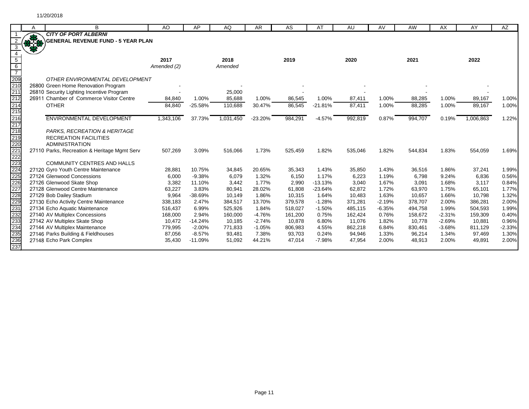|                          | A   | B                                            | <b>AO</b>   | AP        | AQ        | <b>AR</b> | <b>AS</b> | AT        | <b>AU</b> | AV       | AW      | AX       | AY        | AZ       |
|--------------------------|-----|----------------------------------------------|-------------|-----------|-----------|-----------|-----------|-----------|-----------|----------|---------|----------|-----------|----------|
|                          |     | <b>CITY OF PORT ALBERNI</b>                  |             |           |           |           |           |           |           |          |         |          |           |          |
|                          | REA | <b>GENERAL REVENUE FUND - 5 YEAR PLAN</b>    |             |           |           |           |           |           |           |          |         |          |           |          |
|                          |     |                                              |             |           |           |           |           |           |           |          |         |          |           |          |
|                          |     |                                              |             |           |           |           |           |           |           |          |         |          |           |          |
| $5\overline{)}$          |     |                                              | 2017        |           | 2018      |           | 2019      |           | 2020      |          | 2021    |          | 2022      |          |
| 6<br>$\overline{7}$      |     |                                              | Amended (2) |           | Amended   |           |           |           |           |          |         |          |           |          |
|                          |     | OTHER ENVIRONMENTAL DEVELOPMENT              |             |           |           |           |           |           |           |          |         |          |           |          |
|                          |     | 26800 Green Home Renovation Program          |             |           |           |           |           |           |           |          |         |          |           |          |
| 209<br>210<br>211        |     | 26810 Security Lighting Incentive Program    |             |           | 25,000    |           |           |           |           |          |         |          |           |          |
| 212                      |     | 26911 Chamber of Commerce Visitor Centre     | 84,840      | 1.00%     | 85,688    | 1.00%     | 86,545    | 1.00%     | 87,411    | 1.00%    | 88,285  | 1.00%    | 89,167    | 1.00%    |
| 214                      |     | <b>OTHER</b>                                 | 84,840      | $-25.58%$ | 110,688   | 30.47%    | 86,545    | $-21.81%$ | 87,411    | 1.00%    | 88,285  | 1.00%    | 89,167    | 1.00%    |
| $\frac{1}{215}$          |     |                                              |             |           |           |           |           |           |           |          |         |          |           |          |
|                          |     | ENVIRONMENTAL DEVELOPMENT                    | 1,343,106   | 37.73%    | 1,031,450 | $-23.20%$ | 984,291   | $-4.57%$  | 992,819   | 0.87%    | 994,707 | 0.19%    | 1,006,863 | 1.22%    |
| 216<br>217<br>218<br>219 |     |                                              |             |           |           |           |           |           |           |          |         |          |           |          |
|                          |     | PARKS, RECREATION & HERITAGE                 |             |           |           |           |           |           |           |          |         |          |           |          |
|                          |     | <b>RECREATION FACILITIES</b>                 |             |           |           |           |           |           |           |          |         |          |           |          |
|                          |     | <b>ADMINISTRATION</b>                        |             |           |           |           |           |           |           |          |         |          |           |          |
|                          |     | 27110 Parks, Recreation & Heritage Mgmt Serv | 507,269     | 3.09%     | 516,066   | 1.73%     | 525,459   | 1.82%     | 535,046   | 1.82%    | 544,834 | 1.83%    | 554,059   | 1.69%    |
|                          |     |                                              |             |           |           |           |           |           |           |          |         |          |           |          |
|                          |     | <b>COMMUNITY CENTRES AND HALLS</b>           |             |           |           |           |           |           |           |          |         |          |           |          |
|                          |     | 27120 Gyro Youth Centre Maintenance          | 28,881      | 10.75%    | 34,845    | 20.65%    | 35,343    | 1.43%     | 35,850    | 1.43%    | 36,516  | 1.86%    | 37,241    | 1.99%    |
|                          |     | 27124 Glenwood Concessions                   | 6,000       | $-9.38%$  | 6,079     | 1.32%     | 6,150     | 1.17%     | 6,223     | 1.19%    | 6,798   | 9.24%    | 6,836     | 0.56%    |
|                          |     | 27126 Glenwood Skate Shop                    | 3,382       | 11.10%    | 3,442     | 1.77%     | 2,990     | $-13.13%$ | 3,040     | 1.67%    | 3,091   | 1.68%    | 3,117     | 0.84%    |
|                          |     | 27128 Glenwood Centre Maintenance            | 63,227      | 3.83%     | 80,941    | 28.02%    | 61,808    | $-23.64%$ | 62,872    | 1.72%    | 63,970  | 1.75%    | 65,101    | 1.77%    |
|                          |     | 27129 Bob Dailey Stadium                     | 9,964       | $-38.69%$ | 10,149    | 1.86%     | 10,315    | 1.64%     | 10,483    | 1.63%    | 10,657  | 1.66%    | 10,798    | 1.32%    |
|                          |     | 27130 Echo Activity Centre Maintenance       | 338,183     | 2.47%     | 384,517   | 13.70%    | 379,578   | $-1.28%$  | 371,281   | $-2.19%$ | 378,707 | 2.00%    | 386,281   | 2.00%    |
|                          |     | 27134 Echo Aquatic Maintenance               | 516,437     | 6.99%     | 525,926   | 1.84%     | 518,027   | $-1.50%$  | 485,115   | $-6.35%$ | 494,758 | 1.99%    | 504,593   | 1.99%    |
|                          |     | 27140 AV Multiplex Concessions               | 168,000     | 2.94%     | 160,000   | $-4.76%$  | 161,200   | 0.75%     | 162,424   | 0.76%    | 158,672 | $-2.31%$ | 159,309   | 0.40%    |
|                          |     | 27142 AV Multiplex Skate Shop                | 10,472      | $-14.24%$ | 10,185    | $-2.74%$  | 10,878    | 6.80%     | 11,076    | 1.82%    | 10,778  | $-2.69%$ | 10,881    | 0.96%    |
|                          |     | 27144 AV Multiplex Maintenance               | 779,995     | $-2.00%$  | 771,833   | $-1.05%$  | 806,983   | 4.55%     | 862,218   | 6.84%    | 830,461 | $-3.68%$ | 811,129   | $-2.33%$ |
|                          |     | 27146 Parks Building & Fieldhouses           | 87,056      | $-8.57%$  | 93,481    | 7.38%     | 93,703    | 0.24%     | 94,946    | 1.33%    | 96,214  | 1.34%    | 97,469    | 1.30%    |
| 237                      |     | 27148 Echo Park Complex                      | 35,430      | $-11.09%$ | 51,092    | 44.21%    | 47,014    | $-7.98%$  | 47,954    | 2.00%    | 48,913  | 2.00%    | 49,891    | 2.00%    |
|                          |     |                                              |             |           |           |           |           |           |           |          |         |          |           |          |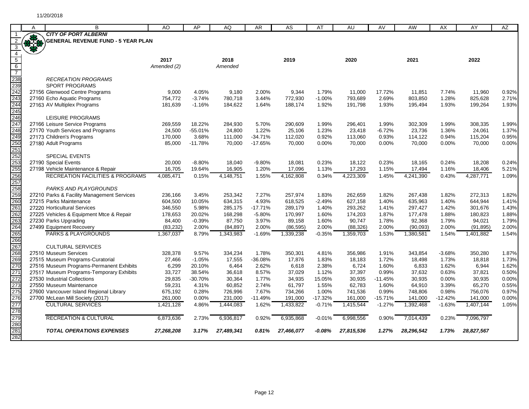|                                                      |             | B                                                 |             | AP        |            |           |            |           | AU         |           |            |           |            |       |
|------------------------------------------------------|-------------|---------------------------------------------------|-------------|-----------|------------|-----------|------------|-----------|------------|-----------|------------|-----------|------------|-------|
|                                                      | A           | <b>CITY OF PORT ALBERNI</b>                       | AO          |           | AQ         | AR        | AS         | AT        |            | AV        | AW         | AX        | AY         | AZ    |
| $\overline{2}$                                       | <b>RASH</b> | <b>GENERAL REVENUE FUND - 5 YEAR PLAN</b>         |             |           |            |           |            |           |            |           |            |           |            |       |
| $\overline{\mathbf{3}}$                              |             |                                                   |             |           |            |           |            |           |            |           |            |           |            |       |
| $\overline{4}$                                       |             |                                                   |             |           |            |           |            |           |            |           |            |           |            |       |
| $\overline{5}$                                       |             |                                                   | 2017        |           | 2018       |           | 2019       |           | 2020       |           | 2021       |           | 2022       |       |
| $6\overline{6}$                                      |             |                                                   | Amended (2) |           | Amended    |           |            |           |            |           |            |           |            |       |
| $\overline{7}$                                       |             |                                                   |             |           |            |           |            |           |            |           |            |           |            |       |
|                                                      |             | <b>RECREATION PROGRAMS</b>                        |             |           |            |           |            |           |            |           |            |           |            |       |
|                                                      |             | <b>SPORT PROGRAMS</b>                             |             |           |            |           |            |           |            |           |            |           |            |       |
|                                                      |             | 27156 Glenwood Centre Programs                    | 9,000       | 4.05%     | 9,180      | 2.00%     | 9,344      | 1.79%     | 11,000     | 17.72%    | 11,851     | 7.74%     | 11,960     | 0.92% |
| 238<br>239<br>242<br>243<br>244<br>244               |             | 27160 Echo Aquatic Programs                       | 754,772     | $-3.74%$  | 780,718    | 3.44%     | 772,930    | $-1.00%$  | 793,689    | 2.69%     | 803,850    | 1.28%     | 825,628    | 2.71% |
|                                                      |             | 27163 AV Multiplex Programs                       | 181,639     | $-1.16%$  | 184,622    | 1.64%     | 188,174    | 1.92%     | 191,798    | 1.93%     | 195,494    | 1.93%     | 199,264    | 1.93% |
|                                                      |             |                                                   |             |           |            |           |            |           |            |           |            |           |            |       |
| 246<br>247<br>248                                    |             | <b>LEISURE PROGRAMS</b>                           |             |           |            |           |            |           |            |           |            |           |            |       |
|                                                      |             | 27166 Leisure Service Programs                    | 269,559     | 18.22%    | 284,930    | 5.70%     | 290,609    | 1.99%     | 296,401    | 1.99%     | 302,309    | 1.99%     | 308,335    | 1.99% |
|                                                      |             | 27170 Youth Services and Programs                 | 24,500      | $-55.01%$ | 24,800     | 1.22%     | 25,106     | 1.23%     | 23,418     | $-6.72%$  | 23,736     | 1.36%     | 24,061     | 1.37% |
|                                                      |             | 27173 Children's Programs                         | 170,000     | 3.68%     | 111,000    | $-34.71%$ | 112,020    | 0.92%     | 113,060    | 0.93%     | 114,122    | 0.94%     | 115,204    | 0.95% |
|                                                      |             | 27180 Adult Programs                              | 85,000      | $-11.78%$ | 70,000     | $-17.65%$ | 70,000     | 0.00%     | 70,000     | 0.00%     | 70,000     | 0.00%     | 70,000     | 0.00% |
|                                                      |             |                                                   |             |           |            |           |            |           |            |           |            |           |            |       |
|                                                      |             | <b>SPECIAL EVENTS</b>                             |             |           |            |           |            |           |            |           |            |           |            |       |
|                                                      |             | 27190 Special Events                              | 20,000      | $-8.80%$  | 18,040     | $-9.80%$  | 18,081     | 0.23%     | 18,122     | 0.23%     | 18,165     | 0.24%     | 18,208     | 0.24% |
| 249<br>250<br>251<br>252<br>253<br>255<br>256        |             | 27198 Vehicle Maintenance & Repair                | 16,705      | 19.64%    | 16,905     | 1.20%     | 17,096     | 1.13%     | 17,293     | 1.15%     | 17,494     | 1.16%     | 18,406     | 5.21% |
|                                                      |             | <b>RECREATION FACILITIES &amp; PROGRAMS</b>       | 4,085,471   | 0.15%     | 4,148,751  | 1.55%     | 4,162,808  | 0.34%     | 4,223,309  | 1.45%     | 4,241,390  | 0.43%     | 4,287,771  | 1.09% |
| 257                                                  |             |                                                   |             |           |            |           |            |           |            |           |            |           |            |       |
| 258<br>259<br>260                                    |             | <b>PARKS AND PLAYGROUNDS</b>                      |             |           |            |           |            |           |            |           |            |           |            |       |
|                                                      |             | 27210 Parks & Facility Management Services        | 236,166     | 3.45%     | 253,342    | 7.27%     | 257,974    | 1.83%     | 262,659    | 1.82%     | 267,438    | 1.82%     | 272,313    | 1.82% |
|                                                      |             | 27215 Parks Maintenance                           | 604,500     | 10.05%    | 634,315    | 4.93%     | 618,525    | $-2.49%$  | 627,158    | 1.40%     | 635,963    | 1.40%     | 644,944    | 1.41% |
| 261                                                  |             | 27220 Horticultural Services                      | 346,550     | 5.98%     | 285,175    | $-17.71%$ | 289,179    | 1.40%     | 293,262    | 1.41%     | 297,427    | 1.42%     | 301,676    | 1.43% |
|                                                      |             | 27225 Vehicles & Equipment Mtce & Repair          | 178,653     | 20.02%    | 168,298    | $-5.80%$  | 170,997    | 1.60%     | 174,203    | 1.87%     | 177,478    | 1.88%     | 180,823    | 1.88% |
|                                                      |             | 27230 Parks Upgrading                             | 84,400      | $-0.39%$  | 87,750     | 3.97%     | 89,158     | 1.60%     | 90,747     | 1.78%     | 92,368     | 1.79%     | 94,021     | 1.79% |
|                                                      |             | 27499 Equipment Recovery                          | (83, 232)   | 2.00%     | (84, 897)  | 2.00%     | (86, 595)  | 2.00%     | (88, 326)  | 2.00%     | (90,093)   | 2.00%     | (91, 895)  | 2.00% |
|                                                      |             | <b>PARKS &amp; PLAYGROUNDS</b>                    | 1,367,037   | 8.79%     | 1,343,983  | $-1.69%$  | 1,339,238  | $-0.35%$  | 1,359,703  | 1.53%     | 1,380,581  | 1.54%     | 1,401,882  | 1.54% |
| 262<br>263<br>264<br>265<br>266<br>267<br>268<br>269 |             |                                                   |             |           |            |           |            |           |            |           |            |           |            |       |
|                                                      |             | <b>CULTURAL SERVICES</b><br>27510 Museum Services | 328,378     | 9.57%     | 334,234    | 1.78%     | 350,301    | 4.81%     | 356,986    | 1.91%     | 343,854    | $-3.68%$  | 350,280    | 1.87% |
|                                                      |             | 27515 Museum Programs-Curatorial                  | 27,466      | $-1.05%$  | 17,555     | -36.08%   | 17,876     | 1.83%     | 18,183     | 1.72%     | 18,498     | 1.73%     | 18,818     | 1.73% |
| 270                                                  |             | 27516 Museum Programs-Permanent Exhibits          | 6,299       | 20.10%    | 6,464      | 2.62%     | 6.618      | 2.38%     | 6,724      | 1.60%     | 6,833      | 1.62%     | 6,944      | 1.62% |
| 271                                                  |             | 27517 Museum Programs-Temporary Exhibits          | 33,727      | 38.54%    | 36,618     | 8.57%     | 37,029     | 1.12%     | 37,397     | 0.99%     | 37,632     | 0.63%     | 37,821     | 0.50% |
| 272                                                  |             | 27530 Industrial Collections                      | 29,835      | $-30.70%$ | 30,364     | 1.77%     | 34,935     | 15.05%    | 30,935     | $-11.45%$ | 30,935     | 0.00%     | 30,935     | 0.00% |
| 273                                                  |             | 27550 Museum Maintenance                          | 59,231      | 4.31%     | 60,852     | 2.74%     | 61,797     | 1.55%     | 62,783     | 1.60%     | 64,910     | 3.39%     | 65,270     | 0.55% |
| 275                                                  |             | 27600 Vancouver Island Regional Library           | 675,192     | 0.28%     | 726,996    | 7.67%     | 734,266    | 1.00%     | 741,536    | 0.99%     | 748,806    | 0.98%     | 756,076    | 0.97% |
|                                                      |             | 27700 McLean Mill Society (2017)                  | 261,000     | 0.00%     | 231,000    | $-11.49%$ | 191,000    | $-17.32%$ | 161,000    | $-15.71%$ | 141,000    | $-12.42%$ | 141,000    | 0.00% |
| 276<br>277                                           |             | <b>CULTURAL SERVICES</b>                          | 1,421,128   | 4.86%     | 1,444,083  | 1.62%     | 1,433,822  | $-0.71%$  | 1,415,544  | $-1.27%$  | 1,392,468  | $-1.63%$  | 1,407,144  | 1.05% |
| 278                                                  |             |                                                   |             |           |            |           |            |           |            |           |            |           |            |       |
| 279                                                  |             | <b>RECREATION &amp; CULTURAL</b>                  | 6,873,636   | 2.73%     | 6,936,817  | 0.92%     | 6,935,868  | $-0.01%$  | 6,998,556  | 0.90%     | 7.014.439  | 0.23%     | 7,096,797  |       |
| 28C                                                  |             |                                                   |             |           |            |           |            |           |            |           |            |           |            |       |
| 281                                                  |             | <b>TOTAL OPERATIONS EXPENSES</b>                  | 27,268,208  | 3.17%     | 27,489,341 | 0.81%     | 27,466,077 | -0.08%    | 27,815,536 | 1.27%     | 28,296,542 | 1.73%     | 28,827,567 |       |
| 282                                                  |             |                                                   |             |           |            |           |            |           |            |           |            |           |            |       |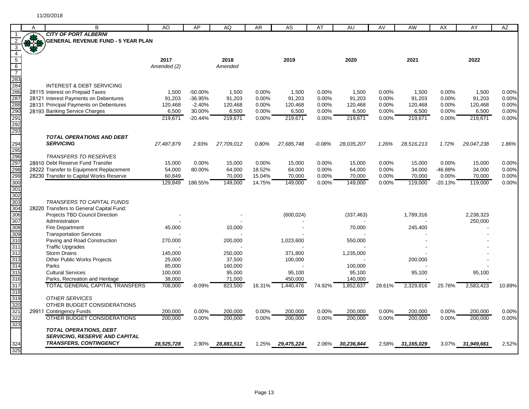|                                 | A          | B                                                         | AO                | AP        | AQ                | AR     | AS                 | AT       | AU         | AV     | AW               | AX        | AY         | AZ     |
|---------------------------------|------------|-----------------------------------------------------------|-------------------|-----------|-------------------|--------|--------------------|----------|------------|--------|------------------|-----------|------------|--------|
|                                 |            | <b>CITY OF PORT ALBERNI</b>                               |                   |           |                   |        |                    |          |            |        |                  |           |            |        |
|                                 | <b>RAS</b> | <b>GENERAL REVENUE FUND - 5 YEAR PLAN</b>                 |                   |           |                   |        |                    |          |            |        |                  |           |            |        |
| 3                               |            |                                                           |                   |           |                   |        |                    |          |            |        |                  |           |            |        |
| $\overline{4}$                  |            |                                                           |                   |           |                   |        |                    |          |            |        |                  |           |            |        |
| $\overline{5}$                  |            |                                                           | 2017              |           | 2018              |        | 2019               |          | 2020       |        | 2021             |           | 2022       |        |
| $6\overline{6}$                 |            |                                                           | Amended (2)       |           | Amended           |        |                    |          |            |        |                  |           |            |        |
| $\overline{7}$                  |            |                                                           |                   |           |                   |        |                    |          |            |        |                  |           |            |        |
| —<br>283<br>284                 |            |                                                           |                   |           |                   |        |                    |          |            |        |                  |           |            |        |
|                                 |            | <b>INTEREST &amp; DEBT SERVICING</b>                      |                   |           |                   |        |                    |          |            |        |                  |           |            |        |
| 286<br>287                      |            | 28115 Interest on Prepaid Taxes                           | 1,500             | $-50.00%$ | 1,500             | 0.00%  | 1,500              | 0.00%    | 1,500      | 0.00%  | 1,500            | 0.00%     | 1,500      | 0.00%  |
|                                 |            | 28121 Interest Payments on Debentures                     | 91,203            | $-36.95%$ | 91,203            | 0.00%  | 91,203             | 0.00%    | 91,203     | 0.00%  | 91,203           | 0.00%     | 91,203     | 0.00%  |
|                                 |            | 28131 Principal Payments on Debentures                    | 120,468           | $-2.40%$  | 120,468           | 0.00%  | 120,468            | 0.00%    | 120,468    | 0.00%  | 120,468          | 0.00%     | 120,468    | 0.00%  |
| 288<br>290<br>291               |            | 28193 Banking Service Charges                             | 6,500             | 30.00%    | 6,500             | 0.00%  | 6,500              | 0.00%    | 6,500      | 0.00%  | 6,500            | 0.00%     | 6,500      | 0.00%  |
|                                 |            |                                                           | 219,671           | $-20.44%$ | 219,671           | 0.00%  | 219,671            | 0.00%    | 219,671    | 0.00%  | 219,671          | 0.00%     | 219,671    | 0.00%  |
| 292                             |            |                                                           |                   |           |                   |        |                    |          |            |        |                  |           |            |        |
|                                 |            |                                                           |                   |           |                   |        |                    |          |            |        |                  |           |            |        |
|                                 |            | <b>TOTAL OPERATIONS AND DEBT</b><br><b>SERVICING</b>      |                   |           |                   |        |                    |          |            |        |                  |           |            |        |
| 294                             |            |                                                           | 27,487,879        | 2.93%     | 27,709,012        | 0.80%  | 27,685,748         | $-0.08%$ | 28,035,207 | 1.26%  | 28,516,213       | 1.72%     | 29,047,238 | 1.86%  |
| 295                             |            | <b>TRANSFERS TO RESERVES</b>                              |                   |           |                   |        |                    |          |            |        |                  |           |            |        |
|                                 |            | 28910 Debt Reserve Fund Transfer                          | 15,000            | 0.00%     | 15,000            | 0.00%  | 15,000             | 0.00%    | 15,000     | 0.00%  | 15,000           | 0.00%     | 15,000     | 0.00%  |
|                                 |            | 28222 Transfer to Equipment Replacement                   | 54,000            | 80.00%    | 64,000            | 18.52% | 64,000             | 0.00%    | 64,000     | 0.00%  | 34,000           | -46.88%   | 34,000     | 0.00%  |
|                                 |            | 28230 Transfer to Capital Works Reserve                   | 60,849            |           | 70,000            | 15.04% | 70.000             | 0.00%    | 70,000     | 0.00%  | 70,000           | 0.00%     | 70,000     | 0.00%  |
| 296<br>297<br>298<br>299<br>299 |            |                                                           | 129,849           | 188.55%   | 149,000           | 14.75% | 149,000            | 0.00%    | 149,000    | 0.00%  | 119,000          | $-20.13%$ | 119,000    | 0.00%  |
| 301                             |            |                                                           |                   |           |                   |        |                    |          |            |        |                  |           |            |        |
| 302                             |            |                                                           |                   |           |                   |        |                    |          |            |        |                  |           |            |        |
|                                 |            | TRANSFERS TO CAPITAL FUNDS                                |                   |           |                   |        |                    |          |            |        |                  |           |            |        |
| 303<br>304                      |            | 28220 Transfers to General Capital Fund:                  |                   |           |                   |        |                    |          |            |        |                  |           |            |        |
| 306                             |            | Projects TBD Council Direction                            |                   |           |                   |        | (600, 024)         |          | (337, 463) |        | 1,789,316        |           | 2,238,323  |        |
| 307                             |            | Administration                                            |                   |           |                   |        |                    |          |            |        |                  |           | 250,000    |        |
| 308                             |            | <b>Fire Department</b>                                    | 45,000            |           | 10,000            |        |                    |          | 70,000     |        | 245,400          |           |            |        |
| 309                             |            | <b>Transportation Services</b>                            |                   |           |                   |        |                    |          |            |        |                  |           |            |        |
| 310                             |            | Paving and Road Construction                              | 270,000           |           | 200,000           |        | 1,023,600          |          | 550,000    |        |                  |           |            |        |
| 311                             |            | <b>Traffic Upgrades</b>                                   |                   |           |                   |        |                    |          |            |        |                  |           |            |        |
| 312<br>313                      |            | <b>Storm Drains</b><br><b>Other Public Works Projects</b> | 145,000<br>25,000 |           | 250,000<br>37,500 |        | 371,800<br>100.000 |          | 1,235,000  |        | 200,000          |           |            |        |
| 314                             |            | Parks                                                     | 85,000            |           | 160,000           |        |                    |          | 100,000    |        |                  |           |            |        |
| 315                             |            | <b>Cultural Services</b>                                  | 100,000           |           | 95,000            |        | 95,100             |          | 95,100     |        | 95,100           |           | 95,100     |        |
| 316                             |            | Parks, Recreation and Heritage                            | 38,000            |           | 71,000            |        | 450,000            |          | 140,000    |        |                  |           |            |        |
| 317                             |            | <b>TOTAL GENERAL CAPITAL TRANSFERS</b>                    | 708,000           | $-8.09%$  | 823,500           | 16.31% | 1,440,476          | 74.92%   | 1,852,637  | 28.61% | 2,329,816        | 25.76%    | 2,583,423  | 10.89% |
| 318                             |            |                                                           |                   |           |                   |        |                    |          |            |        |                  |           |            |        |
| 319                             |            | <b>OTHER SERVICES</b>                                     |                   |           |                   |        |                    |          |            |        |                  |           |            |        |
| 320                             |            | OTHER BUDGET CONSIDERATIONS                               |                   |           |                   |        |                    |          |            |        |                  |           |            |        |
| 321                             |            | 29911 Contingency Funds                                   | 200,000           | 0.00%     | 200,000           | 0.00%  | 200,000            | 0.00%    | 200,000    | 0.00%  | 200,000          | 0.00%     | 200,000    | 0.00%  |
| 322                             |            | OTHER BUDGET CONSIDERATIONS                               | 200.000           | $0.00\%$  | 200.000           | 0.00%  | 200.000            | 0.00%    | 200.000    | 0.00%  | 200.000          | 0.00%     | 200.000    | 0.00%  |
| 323                             |            |                                                           |                   |           |                   |        |                    |          |            |        |                  |           |            |        |
|                                 |            | <b>TOTAL OPERATIONS, DEBT</b>                             |                   |           |                   |        |                    |          |            |        |                  |           |            |        |
|                                 |            | <b>SERVICING, RESERVE AND CAPITAL</b>                     |                   |           |                   |        |                    |          |            |        |                  |           |            |        |
| 324                             |            | <b>TRANSFERS, CONTINGENCY</b>                             | 28,525,728        | 2.90%     | 28,881,512        | 1.25%  | 29,475,224         | 2.06%    | 30,236,844 |        | 2.58% 31,165,029 | 3.07%     | 31,949,661 | 2.52%  |
| 325                             |            |                                                           |                   |           |                   |        |                    |          |            |        |                  |           |            |        |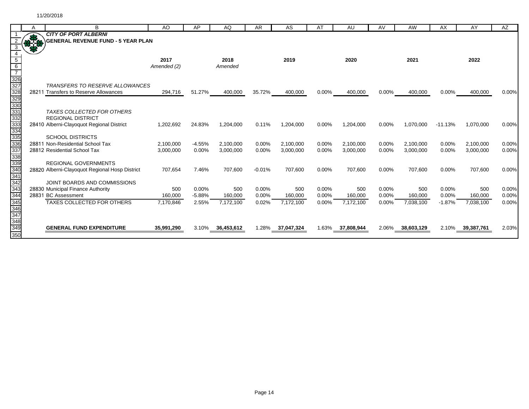|                   |   |                                                                           |             |          |            |           |            |       |            |       |            |           | AY         |          |
|-------------------|---|---------------------------------------------------------------------------|-------------|----------|------------|-----------|------------|-------|------------|-------|------------|-----------|------------|----------|
|                   | А | B                                                                         | AO          | AP       | AQ         | <b>AR</b> | <b>AS</b>  | AT    | AU         | AV    | <b>AW</b>  | <b>AX</b> |            | AZ       |
|                   |   | <b>CITY OF PORT ALBERNI</b><br><b>\GENERAL REVENUE FUND - 5 YEAR PLAN</b> |             |          |            |           |            |       |            |       |            |           |            |          |
|                   |   |                                                                           |             |          |            |           |            |       |            |       |            |           |            |          |
|                   |   |                                                                           |             |          |            |           |            |       |            |       |            |           |            |          |
| 5                 |   |                                                                           | 2017        |          | 2018       |           | 2019       |       | 2020       |       | 2021       |           | 2022       |          |
|                   |   |                                                                           | Amended (2) |          | Amended    |           |            |       |            |       |            |           |            |          |
|                   |   |                                                                           |             |          |            |           |            |       |            |       |            |           |            |          |
| 326               |   |                                                                           |             |          |            |           |            |       |            |       |            |           |            |          |
| 327               |   | <b>TRANSFERS TO RESERVE ALLOWANCES</b>                                    |             |          |            |           |            |       |            |       |            |           |            |          |
| 328               |   | 28211 Transfers to Reserve Allowances                                     | 294,716     | 51.27%   | 400,000    | 35.72%    | 400,000    | 0.00% | 400,000    | 0.00% | 400,000    | 0.00%     | 400,000    | 0.00%    |
| 329               |   |                                                                           |             |          |            |           |            |       |            |       |            |           |            |          |
| 330               |   |                                                                           |             |          |            |           |            |       |            |       |            |           |            |          |
| 33'               |   | <b>TAXES COLLECTED FOR OTHERS</b>                                         |             |          |            |           |            |       |            |       |            |           |            |          |
| 332               |   | <b>REGIONAL DISTRICT</b>                                                  |             |          |            |           |            |       |            |       |            |           |            |          |
| 333               |   | 28410 Alberni-Clayoquot Regional District                                 | 1,202,692   | 24.83%   | 1,204,000  | 0.11%     | 1,204,000  | 0.00% | 1,204,000  | 0.00% | 1,070,000  | $-11.13%$ | 1,070,000  | 0.00%    |
| 334               |   |                                                                           |             |          |            |           |            |       |            |       |            |           |            |          |
| 335               |   | <b>SCHOOL DISTRICTS</b>                                                   |             |          |            |           |            |       |            |       |            |           |            |          |
| 336               |   | 28811 Non-Residential School Tax                                          | 2,100,000   | $-4.55%$ | 2.100.000  | 0.00%     | 2.100.000  | 0.00% | 2,100,000  | 0.00% | 2.100.000  | 0.00%     | 2,100,000  | $0.00\%$ |
| 337               |   | 28812 Residential School Tax                                              | 3,000,000   | 0.00%    | 3,000,000  | 0.00%     | 3,000,000  | 0.00% | 3,000,000  | 0.00% | 3,000,000  | 0.00%     | 3,000,000  | 0.00%    |
| 338               |   |                                                                           |             |          |            |           |            |       |            |       |            |           |            |          |
| 339               |   | <b>REGIONAL GOVERNMENTS</b>                                               |             |          |            |           |            |       |            |       |            |           |            |          |
| 340<br>341        |   | 28820 Alberni-Clayoquot Regional Hosp District                            | 707,654     | 7.46%    | 707,600    | $-0.01%$  | 707,600    | 0.00% | 707,600    | 0.00% | 707,600    | 0.00%     | 707,600    | 0.00%    |
| 342               |   | JOINT BOARDS AND COMMISSIONS                                              |             |          |            |           |            |       |            |       |            |           |            |          |
| 343               |   | 28830 Municipal Finance Authority                                         | 500         | 0.00%    | 500        | 0.00%     | 500        | 0.00% | 500        | 0.00% | 500        | 0.00%     | 500        | 0.00%    |
| 344               |   | 28831 BC Assessment                                                       | 160,000     | $-5.88%$ | 160,000    | 0.00%     | 160,000    | 0.00% | 160,000    | 0.00% | 160,000    | 0.00%     | 160,000    | 0.00%    |
| 345               |   | <b>TAXES COLLECTED FOR OTHERS</b>                                         | 7,170,846   | 2.55%    | 7,172,100  | 0.02%     | 7,172,100  | 0.00% | 7,172,100  | 0.00% | 7,038,100  | $-1.87%$  | 7,038,100  | 0.00%    |
| 346               |   |                                                                           |             |          |            |           |            |       |            |       |            |           |            |          |
| 347               |   |                                                                           |             |          |            |           |            |       |            |       |            |           |            |          |
| 348               |   |                                                                           |             |          |            |           |            |       |            |       |            |           |            |          |
| $\frac{349}{350}$ |   | <b>GENERAL FUND EXPENDITURE</b>                                           | 35,991,290  | 3.10%    | 36,453,612 | 1.28%     | 37,047,324 | 1.63% | 37,808,944 | 2.06% | 38,603,129 | 2.10%     | 39,387,761 | 2.03%    |
|                   |   |                                                                           |             |          |            |           |            |       |            |       |            |           |            |          |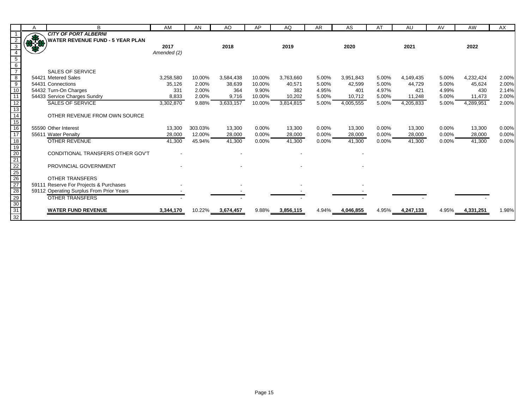|                                                          | A    | B                                                                  | AM          | AN      | AO        | AP     | AQ        | AR    | AS        | AT    | AU              | AV       | AW        | AX    |
|----------------------------------------------------------|------|--------------------------------------------------------------------|-------------|---------|-----------|--------|-----------|-------|-----------|-------|-----------------|----------|-----------|-------|
|                                                          |      | <b>CITY OF PORT ALBERNI</b>                                        |             |         |           |        |           |       |           |       |                 |          |           |       |
|                                                          | 87-8 | <b>WATER REVENUE FUND - 5 YEAR PLAN</b>                            |             |         |           |        |           |       |           |       |                 |          |           |       |
| 3                                                        |      |                                                                    | 2017        |         | 2018      |        | 2019      |       | 2020      |       | 2021            |          | 2022      |       |
|                                                          |      |                                                                    | Amended (2) |         |           |        |           |       |           |       |                 |          |           |       |
| $\begin{array}{c} 5 \\ 6 \\ 7 \end{array}$               |      |                                                                    |             |         |           |        |           |       |           |       |                 |          |           |       |
|                                                          |      |                                                                    |             |         |           |        |           |       |           |       |                 |          |           |       |
|                                                          |      | <b>SALES OF SERVICE</b>                                            |             |         |           |        |           |       |           |       |                 |          |           |       |
| $\begin{array}{r} 8 \\ 9 \\ \hline 10 \\ 11 \end{array}$ |      | 54421 Metered Sales                                                | 3,258,580   | 10.00%  | 3,584,438 | 10.00% | 3,763,660 | 5.00% | 3,951,843 | 5.00% | 4,149,435       | 5.00%    | 4,232,424 | 2.00% |
|                                                          |      | 54431 Connections                                                  | 35,126      | 2.00%   | 38,639    | 10.00% | 40,571    | 5.00% | 42,599    | 5.00% | 44,729          | 5.00%    | 45,624    | 2.00% |
|                                                          |      | 54432 Turn-On Charges                                              | 331         | 2.00%   | 364       | 9.90%  | 382       | 4.95% | 401       | 4.97% | 421             | 4.99%    | 430       | 2.14% |
|                                                          |      | 54433 Service Charges Sundry                                       | 8,833       | 2.00%   | 9,716     | 10.00% | 10,202    | 5.00% | 10,712    | 5.00% | 11,248          | 5.00%    | 11,473    | 2.00% |
| 12                                                       |      | <b>SALES OF SERVICE</b>                                            | 3,302,870   | 9.88%   | 3,633,157 | 10.00% | 3,814,815 | 5.00% | 4,005,555 | 5.00% | 4,205,833       | 5.00%    | 4,289,951 | 2.00% |
| $\frac{11}{13}$<br>$\frac{14}{15}$                       |      |                                                                    |             |         |           |        |           |       |           |       |                 |          |           |       |
|                                                          |      | OTHER REVENUE FROM OWN SOURCE                                      |             |         |           |        |           |       |           |       |                 |          |           |       |
|                                                          |      |                                                                    |             |         |           |        |           |       |           |       |                 |          |           |       |
| 16                                                       |      | 55590 Other Interest                                               | 13,300      | 303.03% | 13,300    | 0.00%  | 13,300    | 0.00% | 13,300    | 0.00% | 13,300          | $0.00\%$ | 13,300    | 0.00% |
| 17                                                       |      | 55611 Water Penalty                                                | 28,000      | 12.00%  | 28,000    | 0.00%  | 28,000    | 0.00% | 28,000    | 0.00% | 28,000          | 0.00%    | 28,000    | 0.00% |
|                                                          |      | <b>OTHER REVENUE</b>                                               | 41,300      | 45.94%  | 41,300    | 0.00%  | 41,300    | 0.00% | 41,300    | 0.00% | 41,300          | $0.00\%$ | 41,300    | 0.00% |
|                                                          |      |                                                                    |             |         |           |        |           |       |           |       |                 |          |           |       |
|                                                          |      | CONDITIONAL TRANSFERS OTHER GOV'T                                  |             |         |           |        |           |       |           |       |                 |          |           |       |
|                                                          |      |                                                                    |             |         |           |        |           |       |           |       |                 |          |           |       |
|                                                          |      | PROVINCIAL GOVERNMENT                                              |             |         |           |        |           |       |           |       |                 |          |           |       |
|                                                          |      |                                                                    |             |         |           |        |           |       |           |       |                 |          |           |       |
|                                                          |      | <b>OTHER TRANSFERS</b>                                             |             |         |           |        |           |       |           |       |                 |          |           |       |
|                                                          |      | 59111 Reserve For Projects & Purchases                             |             |         |           |        |           |       |           |       |                 |          |           |       |
|                                                          |      | 59112 Operating Surplus From Prior Years<br><b>OTHER TRANSFERS</b> |             |         |           |        |           |       |           |       |                 |          |           |       |
|                                                          |      |                                                                    |             |         |           |        |           |       |           |       |                 |          |           |       |
| 18 19 20 21 22 25 26 27 28 29 30 31                      |      | <b>WATER FUND REVENUE</b>                                          |             | 10.22%  |           | 9.88%  |           | 4.94% |           |       |                 |          |           |       |
| $\frac{1}{32}$                                           |      |                                                                    | 3,344,170   |         | 3,674,457 |        | 3,856,115 |       | 4,046,855 |       | 4.95% 4,247,133 | 4.95%    | 4,331,251 | 1.98% |
|                                                          |      |                                                                    |             |         |           |        |           |       |           |       |                 |          |           |       |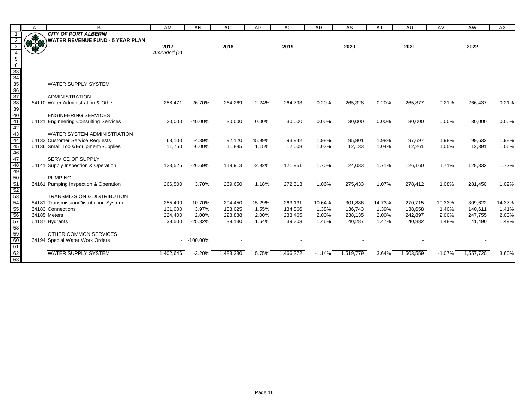|                                           | A            | B                                       | <b>AM</b>   | <b>AN</b>   | AO        | AP       | AQ        | <b>AR</b> | <b>AS</b> | AT     | AU        | AV        | <b>AW</b> | AX     |
|-------------------------------------------|--------------|-----------------------------------------|-------------|-------------|-----------|----------|-----------|-----------|-----------|--------|-----------|-----------|-----------|--------|
|                                           |              | <b>CITY OF PORT ALBERNI</b>             |             |             |           |          |           |           |           |        |           |           |           |        |
|                                           | <b>OF 30</b> | <b>WATER REVENUE FUND - 5 YEAR PLAN</b> |             |             |           |          |           |           |           |        |           |           |           |        |
| 3                                         |              |                                         | 2017        |             | 2018      |          | 2019      |           | 2020      |        | 2021      |           | 2022      |        |
| $\overline{4}$                            |              |                                         | Amended (2) |             |           |          |           |           |           |        |           |           |           |        |
|                                           |              |                                         |             |             |           |          |           |           |           |        |           |           |           |        |
|                                           |              |                                         |             |             |           |          |           |           |           |        |           |           |           |        |
|                                           |              |                                         |             |             |           |          |           |           |           |        |           |           |           |        |
|                                           |              |                                         |             |             |           |          |           |           |           |        |           |           |           |        |
|                                           |              | <b>WATER SUPPLY SYSTEM</b>              |             |             |           |          |           |           |           |        |           |           |           |        |
|                                           |              | <b>ADMINISTRATION</b>                   |             |             |           |          |           |           |           |        |           |           |           |        |
|                                           |              | 64110 Water Administration & Other      | 258,471     | 26.70%      | 264,269   | 2.24%    | 264,793   | 0.20%     | 265,328   | 0.20%  | 265,877   | 0.21%     | 266,437   | 0.21%  |
|                                           |              |                                         |             |             |           |          |           |           |           |        |           |           |           |        |
| 5 6 33 34 35 6 37 38 40 41 42 43 44 5     |              | <b>ENGINEERING SERVICES</b>             |             |             |           |          |           |           |           |        |           |           |           |        |
|                                           |              | 64121 Engineering Consulting Services   | 30,000      | $-40.00%$   | 30,000    | 0.00%    | 30,000    | 0.00%     | 30,000    | 0.00%  | 30,000    | 0.00%     | 30,000    | 0.00%  |
|                                           |              |                                         |             |             |           |          |           |           |           |        |           |           |           |        |
|                                           |              | WATER SYSTEM ADMINISTRATION             |             |             |           |          |           |           |           |        |           |           |           |        |
|                                           |              | 64133 Customer Service Requests         | 63,100      | $-4.39%$    | 92,120    | 45.99%   | 93,942    | 1.98%     | 95,801    | 1.98%  | 97,697    | 1.98%     | 99,632    | 1.98%  |
|                                           |              | 64136 Small Tools/Equipment/Supplies    | 11,750      | $-6.00%$    | 11,885    | 1.15%    | 12,008    | 1.03%     | 12,133    | 1.04%  | 12,261    | 1.05%     | 12,391    | 1.06%  |
|                                           |              |                                         |             |             |           |          |           |           |           |        |           |           |           |        |
|                                           |              | SERVICE OF SUPPLY                       |             |             |           |          |           |           |           |        |           |           |           |        |
|                                           |              | 64141 Supply Inspection & Operation     | 123,525     | $-26.69%$   | 119,913   | $-2.92%$ | 121,951   | 1.70%     | 124,033   | 1.71%  | 126,160   | 1.71%     | 128,332   | 1.72%  |
|                                           |              |                                         |             |             |           |          |           |           |           |        |           |           |           |        |
|                                           |              | <b>PUMPING</b>                          |             |             |           |          |           |           |           |        |           |           |           |        |
|                                           |              | 64161 Pumping Inspection & Operation    | 266,500     | 3.70%       | 269,650   | 1.18%    | 272,513   | 1.06%     | 275,433   | 1.07%  | 278,412   | 1.08%     | 281,450   | 1.09%  |
|                                           |              | <b>TRANSMISSION &amp; DISTRIBUTION</b>  |             |             |           |          |           |           |           |        |           |           |           |        |
|                                           |              | 64181 Transmission/Distribution System  | 255,400     | $-10.70%$   | 294,450   | 15.29%   | 263,131   | $-10.64%$ | 301,886   | 14.73% | 270,715   | $-10.33%$ | 309,622   | 14.37% |
|                                           |              | 64183 Connections                       | 131,000     | 3.97%       | 133,025   | 1.55%    | 134,866   | 1.38%     | 136,743   | 1.39%  | 138,658   | 1.40%     | 140,611   | 1.41%  |
|                                           |              | 64185 Meters                            | 224,400     | 2.00%       | 228,888   | 2.00%    | 233,465   | 2.00%     | 238,135   | 2.00%  | 242,897   | 2.00%     | 247,755   | 2.00%  |
|                                           |              | 64187 Hydrants                          | 38,500      | $-25.32%$   | 39,130    | 1.64%    | 39,703    | 1.46%     | 40,287    | 1.47%  | 40,882    | 1.48%     | 41,490    | 1.49%  |
|                                           |              |                                         |             |             |           |          |           |           |           |        |           |           |           |        |
| 46 47 48 50 51 52 53 54 55 56 57 58 59 60 |              | OTHER COMMON SERVICES                   |             |             |           |          |           |           |           |        |           |           |           |        |
|                                           |              | 64194 Special Water Work Orders         |             | $-100.00\%$ |           |          |           |           |           |        |           |           |           |        |
| 61                                        |              |                                         |             |             |           |          |           |           |           |        |           |           |           |        |
|                                           |              | <b>WATER SUPPLY SYSTEM</b>              | 1,402,646   | $-3.20%$    | 1,483,330 | 5.75%    | 1,466,372 | $-1.14%$  | 1,519,779 | 3.64%  | 1,503,559 | $-1.07%$  | 1,557,720 | 3.60%  |
| 62<br>63                                  |              |                                         |             |             |           |          |           |           |           |        |           |           |           |        |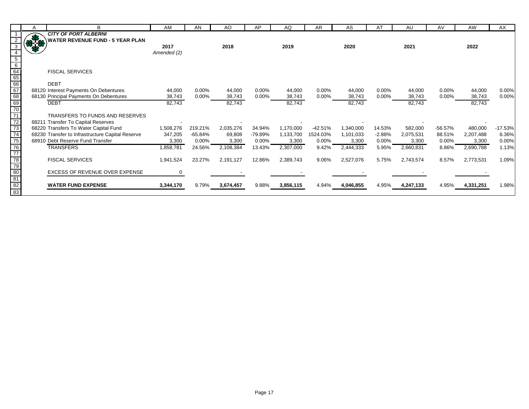|                | A            | В                                                | AM           | AN       | AO        | AP        | AQ        | AR        | AS        | AT       | AU        | AV       | AW        | AX        |
|----------------|--------------|--------------------------------------------------|--------------|----------|-----------|-----------|-----------|-----------|-----------|----------|-----------|----------|-----------|-----------|
|                |              | <b>CITY OF PORT ALBERNI</b>                      |              |          |           |           |           |           |           |          |           |          |           |           |
|                | <b>83-49</b> | <b>WATER REVENUE FUND - 5 YEAR PLAN</b>          |              |          |           |           |           |           |           |          |           |          |           |           |
|                |              |                                                  | 2017         |          | 2018      |           | 2019      |           | 2020      |          | 2021      |          | 2022      |           |
|                |              |                                                  | Amended (2)  |          |           |           |           |           |           |          |           |          |           |           |
| $\overline{5}$ |              |                                                  |              |          |           |           |           |           |           |          |           |          |           |           |
|                |              | <b>FISCAL SERVICES</b>                           |              |          |           |           |           |           |           |          |           |          |           |           |
|                |              |                                                  |              |          |           |           |           |           |           |          |           |          |           |           |
|                |              | <b>DEBT</b>                                      |              |          |           |           |           |           |           |          |           |          |           |           |
|                |              | 68120 Interest Payments On Debentures            | 44,000       | $0.00\%$ | 44,000    | 0.00%     | 44,000    | 0.00%     | 44,000    | $0.00\%$ | 44,000    | $0.00\%$ | 44,000    | 0.00%     |
|                |              | 68130 Principal Payments On Debentures           | 38,743       | $0.00\%$ | 38,743    | $0.00\%$  | 38,743    | $0.00\%$  | 38,743    | $0.00\%$ | 38,743    | $0.00\%$ | 38,743    | 0.00%     |
|                |              | <b>DEBT</b>                                      | 82,743       |          | 82,743    |           | 82,743    |           | 82,743    |          | 82,743    |          | 82,743    |           |
|                |              |                                                  |              |          |           |           |           |           |           |          |           |          |           |           |
|                |              | TRANSFERS TO FUNDS AND RESERVES                  |              |          |           |           |           |           |           |          |           |          |           |           |
|                |              | 68211 Transfer To Capital Reserves               |              |          |           |           |           |           |           |          |           |          |           |           |
|                |              | 68220 Transfers To Water Capital Fund            | 1,508,276    | 219.21%  | 2,035,276 | 34.94%    | 1,170,000 | $-42.51%$ | 1,340,000 | 14.53%   | 582,000   | -56.57%  | 480,000   | $-17.53%$ |
|                |              | 68230 Transfer to Infrastructure Capital Reserve | 347,205      | -65.84%  | 69,808    | $-79.89%$ | 1,133,700 | 1524.03%  | 1,101,033 | $-2.88%$ | 2,075,531 | 88.51%   | 2,207,488 | 6.36%     |
|                |              | 68910 Debt Reserve Fund Transfer                 | 3,300        | $0.00\%$ | 3,300     | $0.00\%$  | 3,300     | 0.00%     | 3,300     | $0.00\%$ | 3,300     | $0.00\%$ | 3,300     | 0.00%     |
|                |              | <b>TRANSFERS</b>                                 | 1,858,781    | 24.56%   | 2,108,384 | 13.43%    | 2,307,000 | 9.42%     | 2,444,333 | 5.95%    | 2,660,831 | 8.86%    | 2,690,788 | 1.13%     |
|                |              |                                                  |              |          |           |           |           |           |           |          |           |          |           |           |
|                |              | <b>FISCAL SERVICES</b>                           | 1,941,524    | 23.27%   | 2,191,127 | 12.86%    | 2,389,743 | 9.06%     | 2,527,076 | 5.75%    | 2,743,574 | 8.57%    | 2,773,531 | 1.09%     |
|                |              | <b>EXCESS OF REVENUE OVER EXPENSE</b>            |              |          |           |           |           |           |           |          |           |          |           |           |
|                |              |                                                  | $\mathbf{0}$ |          |           |           |           |           |           |          |           |          |           |           |
|                |              | <b>WATER FUND EXPENSE</b>                        | 3,344,170    | 9.79%    | 3,674,457 | 9.88%     | 3,856,115 | 4.94%     | 4,046,855 | 4.95%    | 4,247,133 | 4.95%    | 4,331,251 | 1.98%     |
|                |              |                                                  |              |          |           |           |           |           |           |          |           |          |           |           |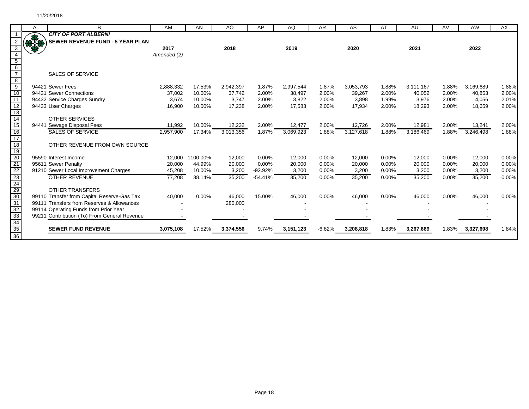|                                    | Α  | B                                            | AM          | AN              | AO        | AP        | AQ        | <b>AR</b> | AS        | AT    | AU        | AV    | AW              | AX    |
|------------------------------------|----|----------------------------------------------|-------------|-----------------|-----------|-----------|-----------|-----------|-----------|-------|-----------|-------|-----------------|-------|
|                                    |    | <b>CITY OF PORT ALBERNI</b>                  |             |                 |           |           |           |           |           |       |           |       |                 |       |
|                                    | RE | SEWER REVENUE FUND - 5 YEAR PLAN             |             |                 |           |           |           |           |           |       |           |       |                 |       |
|                                    |    |                                              | 2017        |                 | 2018      |           | 2019      |           | 2020      |       | 2021      |       | 2022            |       |
|                                    |    |                                              | Amended (2) |                 |           |           |           |           |           |       |           |       |                 |       |
| $\overline{5}$                     |    |                                              |             |                 |           |           |           |           |           |       |           |       |                 |       |
| $6\overline{6}$                    |    |                                              |             |                 |           |           |           |           |           |       |           |       |                 |       |
|                                    |    | <b>SALES OF SERVICE</b>                      |             |                 |           |           |           |           |           |       |           |       |                 |       |
| $\frac{8}{9}$                      |    |                                              |             |                 |           |           |           |           |           |       |           |       |                 |       |
|                                    |    | 94421 Sewer Fees                             | 2,888,332   | 17.53%          | 2,942,397 | 1.87%     | 2,997,544 | 1.87%     | 3,053,793 | 1.88% | 3,111,167 | 1.88% | 3,169,689       | 1.88% |
| 10                                 |    | 94431 Sewer Connections                      | 37,002      | 10.00%          | 37,742    | 2.00%     | 38,497    | 2.00%     | 39,267    | 2.00% | 40,052    | 2.00% | 40,853          | 2.00% |
| 11                                 |    | 94432 Service Charges Sundry                 | 3,674       | 10.00%          | 3,747     | 2.00%     | 3,822     | 2.00%     | 3,898     | 1.99% | 3,976     | 2.00% | 4,056           | 2.01% |
| $\frac{12}{13}$                    |    | 94433 User Charges                           | 16,900      | 10.00%          | 17,238    | 2.00%     | 17,583    | 2.00%     | 17,934    | 2.00% | 18,293    | 2.00% | 18,659          | 2.00% |
|                                    |    |                                              |             |                 |           |           |           |           |           |       |           |       |                 |       |
| 14                                 |    | <b>OTHER SERVICES</b>                        |             |                 |           |           |           |           |           |       |           |       |                 |       |
| 15                                 |    | 94441 Sewage Disposal Fees                   | 11,992      | 10.00%          | 12,232    | 2.00%     | 12,477    | 2.00%     | 12,726    | 2.00% | 12,981    | 2.00% | 13,241          | 2.00% |
| $\overline{16}$                    |    | <b>SALES OF SERVICE</b>                      | 2,957,900   | 17.34%          | 3,013,356 | 1.87%     | 3,069,923 | 1.88%     | 3,127,618 | 1.88% | 3,186,469 | 1.88% | 3,246,498       | 1.88% |
| 17                                 |    |                                              |             |                 |           |           |           |           |           |       |           |       |                 |       |
| 18                                 |    | OTHER REVENUE FROM OWN SOURCE                |             |                 |           |           |           |           |           |       |           |       |                 |       |
| 19                                 |    |                                              |             |                 |           |           |           |           |           |       |           |       |                 |       |
|                                    |    | 95590 Interest Income                        |             | 12,000 1100.00% | 12,000    | 0.00%     | 12,000    | 0.00%     | 12,000    | 0.00% | 12,000    | 0.00% | 12,000          | 0.00% |
| 20<br>21<br>22                     |    | 95611 Sewer Penalty                          | 20,000      | 44.99%          | 20,000    | 0.00%     | 20,000    | 0.00%     | 20,000    | 0.00% | 20,000    | 0.00% | 20,000          | 0.00% |
|                                    |    | 91210 Sewer Local Improvement Charges        | 45,208      | 10.00%          | 3,200     | $-92.92%$ | 3,200     | 0.00%     | 3,200     | 0.00% | 3,200     | 0.00% | 3,200           | 0.00% |
|                                    |    | <b>OTHER REVENUE</b>                         | 77,208      | 38.14%          | 35,200    | $-54.41%$ | 35,200    | 0.00%     | 35,200    | 0.00% | 35,200    | 0.00% | 35,200          | 0.00% |
| $\frac{23}{24}$<br>$\frac{29}{30}$ |    |                                              |             |                 |           |           |           |           |           |       |           |       |                 |       |
|                                    |    | OTHER TRANSFERS                              |             |                 |           |           |           |           |           |       |           |       |                 |       |
|                                    |    | 99110 Transfer from Capital Reserve-Gas Tax  | 40,000      | 0.00%           | 46,000    | 15.00%    | 46,000    | 0.00%     | 46,000    | 0.00% | 46,000    | 0.00% | 46,000          | 0.00% |
| 31                                 |    | 99111 Transfers from Reserves & Allowances   |             |                 | 280,000   |           |           |           |           |       |           |       |                 |       |
| $\frac{32}{33}$                    |    | 99114 Operating Funds from Prior Year        |             |                 |           |           |           |           |           |       |           |       |                 |       |
|                                    |    | 99211 Contribution (To) From General Revenue |             |                 |           |           |           |           |           |       |           |       |                 |       |
| 34                                 |    |                                              |             |                 |           |           |           |           |           |       |           |       |                 |       |
| $\frac{1}{36}$                     |    | <b>SEWER FUND REVENUE</b>                    | 3,075,108   | 17.52%          | 3,374,556 | 9.74%     | 3,151,123 | $-6.62%$  | 3,208,818 | 1.83% | 3,267,669 |       | 1.83% 3,327,698 | 1.84% |
|                                    |    |                                              |             |                 |           |           |           |           |           |       |           |       |                 |       |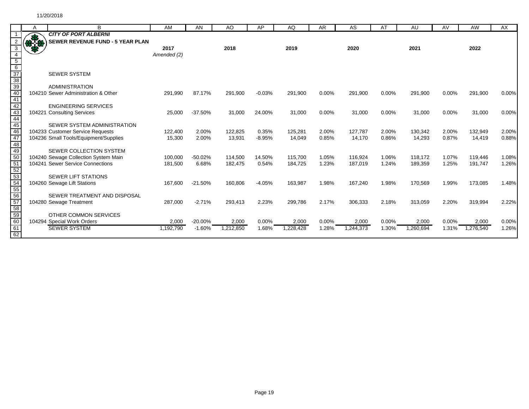|                                    | A           | B                                       | AM          | AN         | AO        | AP       | AQ        | <b>AR</b> | <b>AS</b> | AT       | AU        | AV    | <b>AW</b> | AX    |
|------------------------------------|-------------|-----------------------------------------|-------------|------------|-----------|----------|-----------|-----------|-----------|----------|-----------|-------|-----------|-------|
|                                    |             | <b>CITY OF PORT ALBERNI</b>             |             |            |           |          |           |           |           |          |           |       |           |       |
|                                    | <b>RASH</b> | <b>SEWER REVENUE FUND - 5 YEAR PLAN</b> |             |            |           |          |           |           |           |          |           |       |           |       |
| 3                                  |             |                                         | 2017        |            | 2018      |          | 2019      |           | 2020      |          | 2021      |       | 2022      |       |
| $\overline{4}$                     |             |                                         | Amended (2) |            |           |          |           |           |           |          |           |       |           |       |
| $\frac{5}{6}$ $\frac{6}{37}$       |             |                                         |             |            |           |          |           |           |           |          |           |       |           |       |
|                                    |             |                                         |             |            |           |          |           |           |           |          |           |       |           |       |
|                                    |             | <b>SEWER SYSTEM</b>                     |             |            |           |          |           |           |           |          |           |       |           |       |
|                                    |             |                                         |             |            |           |          |           |           |           |          |           |       |           |       |
|                                    |             | <b>ADMINISTRATION</b>                   |             |            |           |          |           |           |           |          |           |       |           |       |
|                                    |             | 104210 Sewer Administration & Other     | 291,990     | 87.17%     | 291,900   | $-0.03%$ | 291,900   | 0.00%     | 291,900   | 0.00%    | 291,900   | 0.00% | 291,900   | 0.00% |
| $\frac{38}{39}$<br>$\frac{40}{42}$ |             |                                         |             |            |           |          |           |           |           |          |           |       |           |       |
|                                    |             | <b>ENGINEERING SERVICES</b>             |             |            |           |          |           |           |           |          |           |       |           |       |
|                                    |             | 104221 Consulting Services              | 25,000      | $-37.50%$  | 31,000    | 24.00%   | 31,000    | 0.00%     | 31,000    | 0.00%    | 31,000    | 0.00% | 31,000    | 0.00% |
| $\frac{43}{44}$<br>44              |             |                                         |             |            |           |          |           |           |           |          |           |       |           |       |
|                                    |             | SEWER SYSTEM ADMINISTRATION             |             |            |           |          |           |           |           |          |           |       |           |       |
| 46<br>47                           |             | 104233 Customer Service Requests        | 122,400     | 2.00%      | 122,825   | 0.35%    | 125,281   | 2.00%     | 127,787   | 2.00%    | 130,342   | 2.00% | 132,949   | 2.00% |
| 48                                 |             | 104236 Small Tools/Equipment/Supplies   | 15,300      | 2.00%      | 13,931    | $-8.95%$ | 14,049    | 0.85%     | 14.170    | 0.86%    | 14,293    | 0.87% | 14.419    | 0.88% |
|                                    |             | SEWER COLLECTION SYSTEM                 |             |            |           |          |           |           |           |          |           |       |           |       |
| $\frac{49}{50}$                    |             | 104240 Sewage Collection System Main    | 100,000     | $-50.02%$  | 114,500   | 14.50%   | 115,700   | 1.05%     | 116,924   | 1.06%    | 118.172   | 1.07% | 119,446   | 1.08% |
| 51                                 |             | 104241 Sewer Service Connections        | 181,500     | 6.68%      | 182,475   | 0.54%    | 184,725   | 1.23%     | 187,019   | 1.24%    | 189,359   | 1.25% | 191,747   | 1.26% |
|                                    |             |                                         |             |            |           |          |           |           |           |          |           |       |           |       |
| 52<br>53<br>54<br>55               |             | <b>SEWER LIFT STATIONS</b>              |             |            |           |          |           |           |           |          |           |       |           |       |
|                                    |             | 104260 Sewage Lift Stations             | 167,600     | $-21.50%$  | 160,806   | $-4.05%$ | 163,987   | 1.98%     | 167,240   | 1.98%    | 170,569   | 1.99% | 173,085   | 1.48% |
|                                    |             |                                         |             |            |           |          |           |           |           |          |           |       |           |       |
|                                    |             | SEWER TREATMENT AND DISPOSAL            |             |            |           |          |           |           |           |          |           |       |           |       |
|                                    |             | 104280 Sewage Treatment                 | 287,000     | $-2.71%$   | 293,413   | 2.23%    | 299,786   | 2.17%     | 306,333   | 2.18%    | 313,059   | 2.20% | 319,994   | 2.22% |
|                                    |             |                                         |             |            |           |          |           |           |           |          |           |       |           |       |
| 56<br>57<br>58<br>59<br>60         |             | OTHER COMMON SERVICES                   |             |            |           |          |           |           |           |          |           |       |           |       |
|                                    |             | 104294 Special Work Orders              | 2,000       | $-20.00\%$ | 2,000     | 0.00%    | 2,000     | 0.00%     | 2,000     | $0.00\%$ | 2,000     | 0.00% | 2,000     | 0.00% |
| 61                                 |             | <b>SEWER SYSTEM</b>                     | 1,192,790   | $-1.60%$   | 1,212,850 | 1.68%    | 1,228,428 | 1.28%     | 1,244,373 | 1.30%    | 1,260,694 | 1.31% | 1,276,540 | 1.26% |
| 62                                 |             |                                         |             |            |           |          |           |           |           |          |           |       |           |       |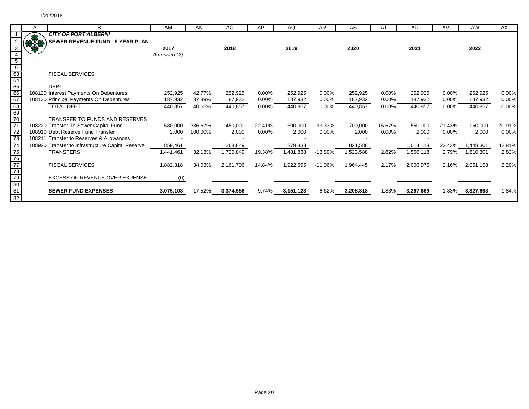|                                                                                | А | B                                                 | AM          | AN      | AO        | AP        | AQ        | <b>AR</b> | AS        | AT       | AU        | AV        | <b>AW</b> | AX        |
|--------------------------------------------------------------------------------|---|---------------------------------------------------|-------------|---------|-----------|-----------|-----------|-----------|-----------|----------|-----------|-----------|-----------|-----------|
|                                                                                |   | <b>CITY OF PORT ALBERNI</b>                       |             |         |           |           |           |           |           |          |           |           |           |           |
|                                                                                |   | <b>SEWER REVENUE FUND - 5 YEAR PLAN</b>           |             |         |           |           |           |           |           |          |           |           |           |           |
|                                                                                |   |                                                   | 2017        |         | 2018      |           | 2019      |           | 2020      |          | 2021      |           | 2022      |           |
|                                                                                |   |                                                   | Amended (2) |         |           |           |           |           |           |          |           |           |           |           |
|                                                                                |   |                                                   |             |         |           |           |           |           |           |          |           |           |           |           |
|                                                                                |   |                                                   |             |         |           |           |           |           |           |          |           |           |           |           |
|                                                                                |   | <b>FISCAL SERVICES</b>                            |             |         |           |           |           |           |           |          |           |           |           |           |
|                                                                                |   |                                                   |             |         |           |           |           |           |           |          |           |           |           |           |
| $rac{5}{6}$<br>$rac{6}{63}$<br>$rac{63}{64}$<br>$rac{66}{66}$<br>$rac{66}{67}$ |   | <b>DEBT</b>                                       |             |         |           |           |           |           |           |          |           |           |           |           |
|                                                                                |   | 108120 Interest Payments On Debentures            | 252,925     | 42.77%  | 252,925   | 0.00%     | 252,925   | $0.00\%$  | 252,925   | $0.00\%$ | 252,925   | 0.00%     | 252,925   | 0.00%     |
|                                                                                |   | 108130 Principal Payments On Debentures           | 187,932     | 37.89%  | 187,932   | 0.00%     | 187,932   | 0.00%     | 187,932   | $0.00\%$ | 187,932   | 0.00%     | 187,932   | 0.00%     |
| 68<br>69<br>70                                                                 |   | <b>TOTAL DEBT</b>                                 | 440,857     | 40.65%  | 440,857   | 0.00%     | 440,857   | 0.00%     | 440,857   | 0.00%    | 440,857   | 0.00%     | 440,857   | 0.00%     |
|                                                                                |   |                                                   |             |         |           |           |           |           |           |          |           |           |           |           |
|                                                                                |   | TRANSFER TO FUNDS AND RESERVES                    |             |         |           |           |           |           |           |          |           |           |           |           |
| $\overline{71}$                                                                |   | 108220 Transfer To Sewer Capital Fund             | 580,000     | 286.67% | 450,000   | $-22.41%$ | 600,000   | 33.33%    | 700,000   | 16.67%   | 550,000   | $-21.43%$ | 160,000   | $-70.91%$ |
| $\frac{72}{73}$                                                                |   | 108910 Debt Reserve Fund Transfer                 | 2,000       | 100.00% | 2,000     | 0.00%     | 2,000     | $0.00\%$  | 2,000     | $0.00\%$ | 2,000     | $0.00\%$  | 2,000     | 0.00%     |
|                                                                                |   | 108211 Transfer to Reserves & Allowances          |             |         |           |           |           |           |           |          |           |           |           |           |
| 74                                                                             |   | 108920 Transfer to Infrastructure Capital Reserve | 859,461     |         | 1,268,849 |           | 879,838   |           | 821,588   |          | 1,014,118 | 23.43%    | 1,448,301 | 42.81%    |
|                                                                                |   | <b>TRANSFERS</b>                                  | 1,441,461   | 32.13%  | 1,720,849 | 19.38%    | 1,481,838 | $-13.89%$ | 1,523,588 | 2.82%    | 1,566,118 | 2.79%     | 1,610,301 | 2.82%     |
|                                                                                |   |                                                   |             |         |           |           |           |           |           |          |           |           |           |           |
|                                                                                |   | <b>FISCAL SERVICES</b>                            | 1,882,318   | 34.03%  | 2,161,706 | 14.84%    | 1,922,695 | $-11.06%$ | 1,964,445 | 2.17%    | 2,006,975 | 2.16%     | 2,051,158 | 2.20%     |
|                                                                                |   |                                                   |             |         |           |           |           |           |           |          |           |           |           |           |
|                                                                                |   | EXCESS OF REVENUE OVER EXPENSE                    | (0)         |         |           |           |           |           |           |          |           |           |           |           |
|                                                                                |   |                                                   |             |         |           |           |           |           |           |          |           |           |           |           |
| 75<br>76<br>77<br>78<br>79<br>80<br>81<br>82                                   |   | <b>SEWER FUND EXPENSES</b>                        | 3,075,108   | 17.52%  | 3,374,556 | 9.74%     | 3,151,123 | $-6.62%$  | 3,208,818 | 1.83%    | 3,267,669 | 1.83%     | 3,327,698 | 1.84%     |
|                                                                                |   |                                                   |             |         |           |           |           |           |           |          |           |           |           |           |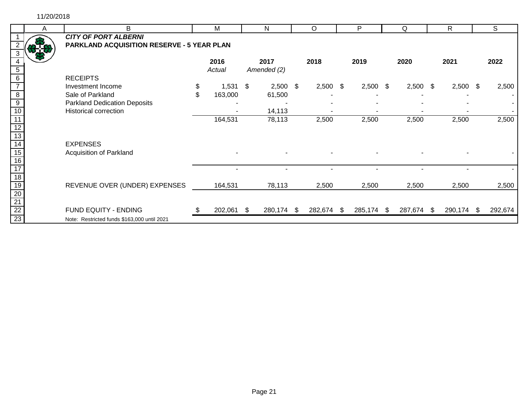11/20/2018

|                       | A | B                                                 | M           |    | N           | O          | P          |      | Q          | $\mathsf{R}$ | S       |
|-----------------------|---|---------------------------------------------------|-------------|----|-------------|------------|------------|------|------------|--------------|---------|
|                       |   | <b>CITY OF PORT ALBERNI</b>                       |             |    |             |            |            |      |            |              |         |
|                       |   | <b>PARKLAND ACQUISITION RESERVE - 5 YEAR PLAN</b> |             |    |             |            |            |      |            |              |         |
|                       |   |                                                   |             |    |             |            |            |      |            |              |         |
|                       |   |                                                   | 2016        |    | 2017        | 2018       | 2019       |      | 2020       | 2021         | 2022    |
| 5                     |   |                                                   | Actual      |    | Amended (2) |            |            |      |            |              |         |
| 6                     |   | <b>RECEIPTS</b>                                   |             |    |             |            |            |      |            |              |         |
|                       |   | Investment Income                                 | \$<br>1,531 | \$ | $2,500$ \$  | $2,500$ \$ | 2,500      | - \$ | $2,500$ \$ | $2,500$ \$   | 2,500   |
| 8                     |   | Sale of Parkland                                  | 163,000     |    | 61,500      |            |            |      |            |              |         |
| $\overline{9}$        |   | <b>Parkland Dedication Deposits</b>               |             |    |             |            |            |      |            |              |         |
| 10                    |   | <b>Historical correction</b>                      |             |    | 14,113      |            |            |      |            |              |         |
|                       |   |                                                   | 164,531     |    | 78,113      | 2,500      | 2,500      |      | 2,500      | 2,500        | 2,500   |
| 12                    |   |                                                   |             |    |             |            |            |      |            |              |         |
| 13                    |   |                                                   |             |    |             |            |            |      |            |              |         |
| 14                    |   | <b>EXPENSES</b>                                   |             |    |             |            |            |      |            |              |         |
| $\overline{15}$       |   | Acquisition of Parkland                           |             |    |             |            |            |      |            |              |         |
| $\overline{16}$       |   |                                                   |             |    |             |            |            |      |            |              |         |
|                       |   |                                                   |             |    |             |            |            |      |            |              |         |
| $\overline{18}$       |   |                                                   |             |    |             |            |            |      |            |              |         |
| 19                    |   | REVENUE OVER (UNDER) EXPENSES                     | 164,531     |    | 78,113      | 2,500      | 2,500      |      | 2,500      | 2,500        | 2,500   |
|                       |   |                                                   |             |    |             |            |            |      |            |              |         |
|                       |   |                                                   |             |    |             |            |            |      |            |              |         |
| $\frac{20}{21}$<br>21 |   | FUND EQUITY - ENDING                              | 202,061     | S. | 280,174 \$  | 282,674 \$ | 285,174 \$ |      | 287,674 \$ | 290,174 \$   | 292,674 |
| $\overline{23}$       |   | Note: Restricted funds \$163,000 until 2021       |             |    |             |            |            |      |            |              |         |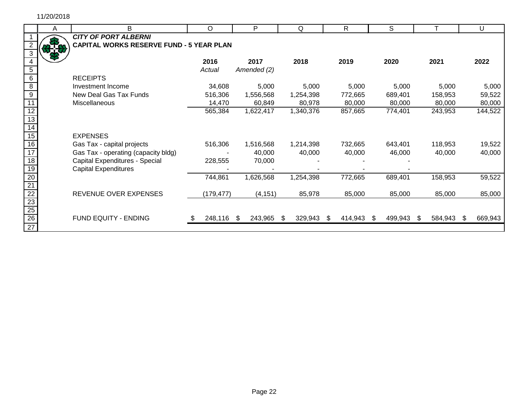|                                                       | A | B                                               | $\circ$ |            |     | P           |     | Q         |    | $\mathsf{R}$ | S       |     |         |     | $\mathbf{U}$ |
|-------------------------------------------------------|---|-------------------------------------------------|---------|------------|-----|-------------|-----|-----------|----|--------------|---------|-----|---------|-----|--------------|
|                                                       |   | <b>CITY OF PORT ALBERNI</b>                     |         |            |     |             |     |           |    |              |         |     |         |     |              |
|                                                       |   | <b>CAPITAL WORKS RESERVE FUND - 5 YEAR PLAN</b> |         |            |     |             |     |           |    |              |         |     |         |     |              |
|                                                       |   |                                                 |         |            |     |             |     |           |    |              |         |     |         |     |              |
|                                                       |   |                                                 | 2016    |            |     | 2017        |     | 2018      |    | 2019         | 2020    |     | 2021    |     | 2022         |
| 5                                                     |   |                                                 | Actual  |            |     | Amended (2) |     |           |    |              |         |     |         |     |              |
| 6                                                     |   | <b>RECEIPTS</b>                                 |         |            |     |             |     |           |    |              |         |     |         |     |              |
| $\overline{8}$                                        |   | Investment Income                               |         | 34,608     |     | 5,000       |     | 5,000     |    | 5,000        | 5,000   |     | 5,000   |     | 5,000        |
| $\overline{9}$                                        |   | New Deal Gas Tax Funds                          |         | 516,306    |     | 1,556,568   |     | 1,254,398 |    | 772,665      | 689,401 |     | 158,953 |     | 59,522       |
|                                                       |   | Miscellaneous                                   |         | 14,470     |     | 60,849      |     | 80,978    |    | 80,000       | 80,000  |     | 80,000  |     | 80,000       |
| $\overline{12}$                                       |   |                                                 |         | 565,384    |     | 1,622,417   |     | 1,340,376 |    | 857,665      | 774,401 |     | 243,953 |     | 144,522      |
| 13                                                    |   |                                                 |         |            |     |             |     |           |    |              |         |     |         |     |              |
| 14                                                    |   |                                                 |         |            |     |             |     |           |    |              |         |     |         |     |              |
| 15                                                    |   | <b>EXPENSES</b>                                 |         |            |     |             |     |           |    |              |         |     |         |     |              |
| 16                                                    |   | Gas Tax - capital projects                      |         | 516,306    |     | 1,516,568   |     | 1,214,398 |    | 732,665      | 643,401 |     | 118,953 |     | 19,522       |
| $\overline{17}$                                       |   | Gas Tax - operating (capacity bldg)             |         |            |     | 40,000      |     | 40,000    |    | 40,000       | 46,000  |     | 40,000  |     | 40,000       |
| $\overline{18}$                                       |   | Capital Expenditures - Special                  |         | 228,555    |     | 70,000      |     |           |    |              |         |     |         |     |              |
| 19                                                    |   | <b>Capital Expenditures</b>                     |         |            |     |             |     |           |    |              |         |     |         |     |              |
| $\frac{20}{21}$                                       |   |                                                 | 744,861 |            |     | 1,626,568   |     | 1,254,398 |    | 772,665      | 689,401 |     | 158,953 |     | 59,522       |
|                                                       |   |                                                 |         |            |     |             |     |           |    |              |         |     |         |     |              |
|                                                       |   | REVENUE OVER EXPENSES                           |         | (179, 477) |     | (4, 151)    |     | 85,978    |    | 85,000       | 85,000  |     | 85,000  |     | 85,000       |
|                                                       |   |                                                 |         |            |     |             |     |           |    |              |         |     |         |     |              |
| $\frac{22}{23}$<br>$\frac{23}{25}$<br>$\frac{25}{26}$ |   |                                                 |         |            |     |             |     |           |    |              |         |     |         |     |              |
|                                                       |   | FUND EQUITY - ENDING                            |         | 248,116    | -SS | 243,965     | \$. | 329,943   | S. | 414,943      | 499,943 | \$. | 584,943 | \$. | 669,943      |
| 27                                                    |   |                                                 |         |            |     |             |     |           |    |              |         |     |         |     |              |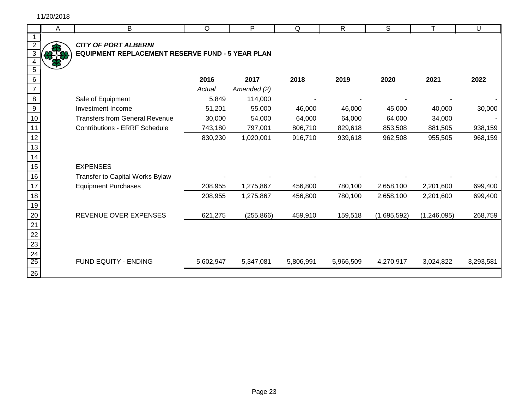$\overline{4}$ 15 16

|                                    | A | $\sf B$                                                 | $\circ$   | P           | Q         | $\mathsf{R}$ | $\mathsf{S}$ | т             | U         |
|------------------------------------|---|---------------------------------------------------------|-----------|-------------|-----------|--------------|--------------|---------------|-----------|
| $\mathbf 1$                        |   |                                                         |           |             |           |              |              |               |           |
| $\overline{2}$                     |   | <b>CITY OF PORT ALBERNI</b>                             |           |             |           |              |              |               |           |
| $\overline{3}$                     |   | <b>EQUIPMENT REPLACEMENT RESERVE FUND - 5 YEAR PLAN</b> |           |             |           |              |              |               |           |
| $\sqrt{5}$                         |   |                                                         |           |             |           |              |              |               |           |
| 6                                  |   |                                                         | 2016      | 2017        | 2018      | 2019         | 2020         | 2021          | 2022      |
| $\overline{7}$                     |   |                                                         | Actual    | Amended (2) |           |              |              |               |           |
| 8                                  |   | Sale of Equipment                                       | 5,849     | 114,000     |           |              |              |               |           |
| 9                                  |   | Investment Income                                       | 51,201    | 55,000      | 46,000    | 46,000       | 45,000       | 40,000        | 30,000    |
| 10                                 |   | <b>Transfers from General Revenue</b>                   | 30,000    | 54,000      | 64,000    | 64,000       | 64,000       | 34,000        |           |
| 11                                 |   | <b>Contributions - ERRF Schedule</b>                    | 743,180   | 797,001     | 806,710   | 829,618      | 853,508      | 881,505       | 938,159   |
| 12                                 |   |                                                         | 830,230   | 1,020,001   | 916,710   | 939,618      | 962,508      | 955,505       | 968,159   |
| 13                                 |   |                                                         |           |             |           |              |              |               |           |
| 14                                 |   |                                                         |           |             |           |              |              |               |           |
| 15 <sub>1</sub>                    |   | <b>EXPENSES</b>                                         |           |             |           |              |              |               |           |
| 16                                 |   | Transfer to Capital Works Bylaw                         |           |             |           |              |              |               |           |
| 17                                 |   | <b>Equipment Purchases</b>                              | 208,955   | 1,275,867   | 456,800   | 780,100      | 2,658,100    | 2,201,600     | 699,400   |
| 18                                 |   |                                                         | 208,955   | 1,275,867   | 456,800   | 780,100      | 2,658,100    | 2,201,600     | 699,400   |
| 19                                 |   |                                                         |           |             |           |              |              |               |           |
| $\overline{20}$                    |   | REVENUE OVER EXPENSES                                   | 621,275   | (255, 866)  | 459,910   | 159,518      | (1,695,592)  | (1, 246, 095) | 268,759   |
| $\overline{21}$                    |   |                                                         |           |             |           |              |              |               |           |
|                                    |   |                                                         |           |             |           |              |              |               |           |
|                                    |   |                                                         |           |             |           |              |              |               |           |
| $\frac{22}{23}$<br>$\frac{24}{25}$ |   |                                                         |           |             |           |              |              |               |           |
|                                    |   | FUND EQUITY - ENDING                                    | 5,602,947 | 5,347,081   | 5,806,991 | 5,966,509    | 4,270,917    | 3,024,822     | 3,293,581 |
| 26                                 |   |                                                         |           |             |           |              |              |               |           |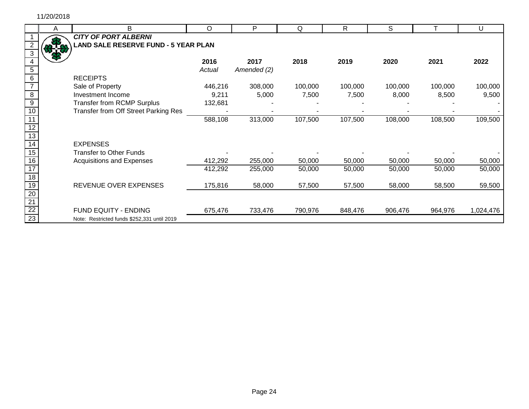|                 | Α     | B                                           | $\circ$ | P           | Q       | R       | S       |         | U         |
|-----------------|-------|---------------------------------------------|---------|-------------|---------|---------|---------|---------|-----------|
|                 |       | <b>CITY OF PORT ALBERNI</b>                 |         |             |         |         |         |         |           |
|                 |       | <b>LAND SALE RESERVE FUND - 5 YEAR PLAN</b> |         |             |         |         |         |         |           |
|                 | ס.ו.מ |                                             |         |             |         |         |         |         |           |
|                 |       |                                             | 2016    | 2017        | 2018    | 2019    | 2020    | 2021    | 2022      |
|                 |       |                                             | Actual  | Amended (2) |         |         |         |         |           |
| 6               |       | <b>RECEIPTS</b>                             |         |             |         |         |         |         |           |
|                 |       | Sale of Property                            | 446,216 | 308,000     | 100,000 | 100,000 | 100,000 | 100,000 | 100,000   |
| 8               |       | Investment Income                           | 9,211   | 5,000       | 7,500   | 7,500   | 8,000   | 8,500   | 9,500     |
| 9               |       | <b>Transfer from RCMP Surplus</b>           | 132,681 |             |         |         |         |         |           |
| 10              |       | Transfer from Off Street Parking Res        |         |             |         |         |         |         |           |
|                 |       |                                             | 588,108 | 313,000     | 107,500 | 107,500 | 108,000 | 108,500 | 109,500   |
|                 |       |                                             |         |             |         |         |         |         |           |
| 13              |       |                                             |         |             |         |         |         |         |           |
| 14              |       | <b>EXPENSES</b>                             |         |             |         |         |         |         |           |
| 15              |       | <b>Transfer to Other Funds</b>              |         |             |         |         |         |         |           |
| $\overline{16}$ |       | Acquisitions and Expenses                   | 412,292 | 255,000     | 50,000  | 50,000  | 50,000  | 50,000  | 50,000    |
|                 |       |                                             | 412,292 | 255,000     | 50,000  | 50,000  | 50,000  | 50,000  | 50,000    |
| 18              |       |                                             |         |             |         |         |         |         |           |
| 19              |       | REVENUE OVER EXPENSES                       | 175,816 | 58,000      | 57,500  | 57,500  | 58,000  | 58,500  | 59,500    |
| 20              |       |                                             |         |             |         |         |         |         |           |
| $\frac{21}{22}$ |       |                                             |         |             |         |         |         |         |           |
|                 |       | FUND EQUITY - ENDING                        | 675,476 | 733,476     | 790,976 | 848,476 | 906,476 | 964,976 | 1,024,476 |
| $\overline{23}$ |       | Note: Restricted funds \$252,331 until 2019 |         |             |         |         |         |         |           |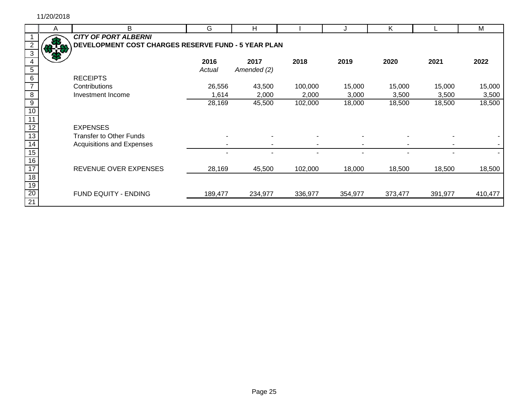|                 | A    | B                                                   | G       | H           |         |         | Κ       |         | М       |
|-----------------|------|-----------------------------------------------------|---------|-------------|---------|---------|---------|---------|---------|
|                 |      | <b>CITY OF PORT ALBERNI</b>                         |         |             |         |         |         |         |         |
|                 | 37.8 | DEVELOPMENT COST CHARGES RESERVE FUND - 5 YEAR PLAN |         |             |         |         |         |         |         |
|                 |      |                                                     |         |             |         |         |         |         |         |
|                 |      |                                                     | 2016    | 2017        | 2018    | 2019    | 2020    | 2021    | 2022    |
| 5               |      |                                                     | Actual  | Amended (2) |         |         |         |         |         |
| 6               |      | <b>RECEIPTS</b>                                     |         |             |         |         |         |         |         |
|                 |      | Contributions                                       | 26,556  | 43,500      | 100,000 | 15,000  | 15,000  | 15,000  | 15,000  |
| $\infty$        |      | Investment Income                                   | 1,614   | 2,000       | 2,000   | 3,000   | 3,500   | 3,500   | 3,500   |
| $\overline{9}$  |      |                                                     | 28,169  | 45,500      | 102,000 | 18,000  | 18,500  | 18,500  | 18,500  |
|                 |      |                                                     |         |             |         |         |         |         |         |
|                 |      |                                                     |         |             |         |         |         |         |         |
| 12              |      | <b>EXPENSES</b>                                     |         |             |         |         |         |         |         |
| 13              |      | <b>Transfer to Other Funds</b>                      |         |             |         |         |         |         |         |
| 14              |      | Acquisitions and Expenses                           |         |             |         |         |         |         |         |
| $\overline{15}$ |      |                                                     |         |             |         |         |         |         |         |
| 16              |      |                                                     |         |             |         |         |         |         |         |
| 17              |      | REVENUE OVER EXPENSES                               | 28,169  | 45,500      | 102,000 | 18,000  | 18,500  | 18,500  | 18,500  |
| $\overline{18}$ |      |                                                     |         |             |         |         |         |         |         |
| $\overline{19}$ |      |                                                     |         |             |         |         |         |         |         |
| 20              |      | FUND EQUITY - ENDING                                | 189,477 | 234,977     | 336,977 | 354,977 | 373,477 | 391,977 | 410,477 |
| $\overline{21}$ |      |                                                     |         |             |         |         |         |         |         |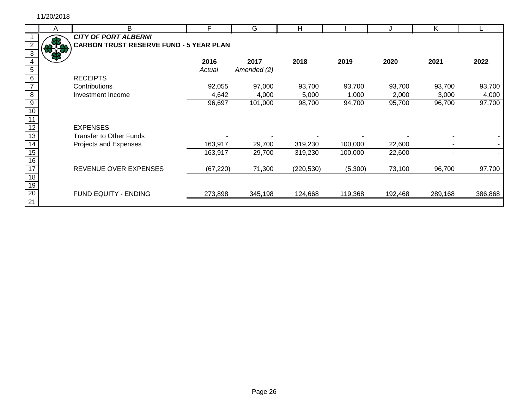Г

|                 | A   | B                                              | F         | G           | H          |         |         | K       |         |
|-----------------|-----|------------------------------------------------|-----------|-------------|------------|---------|---------|---------|---------|
|                 |     | <b>CITY OF PORT ALBERNI</b>                    |           |             |            |         |         |         |         |
|                 | 318 | <b>CARBON TRUST RESERVE FUND - 5 YEAR PLAN</b> |           |             |            |         |         |         |         |
|                 |     |                                                |           |             |            |         |         |         |         |
|                 |     |                                                | 2016      | 2017        | 2018       | 2019    | 2020    | 2021    | 2022    |
| 5               |     |                                                | Actual    | Amended (2) |            |         |         |         |         |
| 6               |     | <b>RECEIPTS</b>                                |           |             |            |         |         |         |         |
|                 |     | Contributions                                  | 92,055    | 97,000      | 93,700     | 93,700  | 93,700  | 93,700  | 93,700  |
| $\overline{8}$  |     | Investment Income                              | 4,642     | 4,000       | 5,000      | 1,000   | 2,000   | 3,000   | 4,000   |
| $\overline{9}$  |     |                                                | 96,697    | 101,000     | 98,700     | 94,700  | 95,700  | 96,700  | 97,700  |
| 10              |     |                                                |           |             |            |         |         |         |         |
|                 |     |                                                |           |             |            |         |         |         |         |
| 12              |     | <b>EXPENSES</b>                                |           |             |            |         |         |         |         |
| $\overline{13}$ |     | <b>Transfer to Other Funds</b>                 |           |             |            |         |         |         |         |
| 14              |     | Projects and Expenses                          | 163,917   | 29,700      | 319,230    | 100,000 | 22,600  |         |         |
| 15              |     |                                                | 163,917   | 29,700      | 319,230    | 100,000 | 22,600  |         |         |
| $\overline{16}$ |     |                                                |           |             |            |         |         |         |         |
| $\overline{17}$ |     | REVENUE OVER EXPENSES                          | (67, 220) | 71,300      | (220, 530) | (5,300) | 73,100  | 96,700  | 97,700  |
| 18              |     |                                                |           |             |            |         |         |         |         |
| $\overline{19}$ |     |                                                |           |             |            |         |         |         |         |
| 20              |     | FUND EQUITY - ENDING                           | 273,898   | 345,198     | 124,668    | 119,368 | 192,468 | 289,168 | 386,868 |
| $\overline{21}$ |     |                                                |           |             |            |         |         |         |         |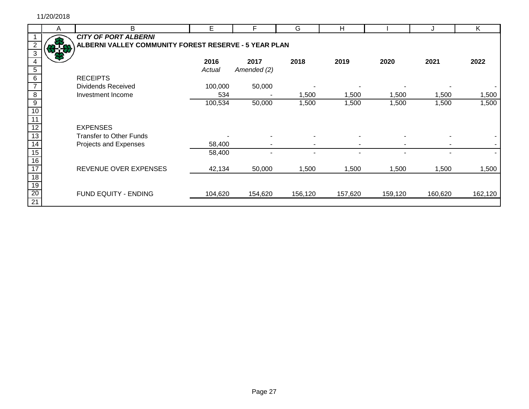|                 | A | B                                                     | Е       | F           | G       | H       |         |         | K       |
|-----------------|---|-------------------------------------------------------|---------|-------------|---------|---------|---------|---------|---------|
|                 |   | <b>CITY OF PORT ALBERNI</b>                           |         |             |         |         |         |         |         |
|                 |   | ALBERNI VALLEY COMMUNITY FOREST RESERVE - 5 YEAR PLAN |         |             |         |         |         |         |         |
|                 |   |                                                       |         |             |         |         |         |         |         |
|                 |   |                                                       | 2016    | 2017        | 2018    | 2019    | 2020    | 2021    | 2022    |
| 5               |   |                                                       | Actual  | Amended (2) |         |         |         |         |         |
| 6               |   | <b>RECEIPTS</b>                                       |         |             |         |         |         |         |         |
|                 |   | <b>Dividends Received</b>                             | 100,000 | 50,000      |         |         |         |         |         |
| $\overline{8}$  |   | Investment Income                                     | 534     |             | 1,500   | 1,500   | 1,500   | 1,500   | 1,500   |
| 9               |   |                                                       | 100,534 | 50,000      | 1,500   | 1,500   | 1,500   | 1,500   | 1,500   |
| 10              |   |                                                       |         |             |         |         |         |         |         |
|                 |   |                                                       |         |             |         |         |         |         |         |
|                 |   | <b>EXPENSES</b>                                       |         |             |         |         |         |         |         |
| 13              |   | <b>Transfer to Other Funds</b>                        |         |             |         |         |         |         |         |
| 14              |   | Projects and Expenses                                 | 58,400  |             |         |         |         |         |         |
| 15              |   |                                                       | 58,400  |             |         |         |         |         |         |
| 16              |   |                                                       |         |             |         |         |         |         |         |
| 17              |   | REVENUE OVER EXPENSES                                 | 42,134  | 50,000      | 1,500   | 1,500   | 1,500   | 1,500   | 1,500   |
| 18              |   |                                                       |         |             |         |         |         |         |         |
| 19              |   |                                                       |         |             |         |         |         |         |         |
| 20              |   | FUND EQUITY - ENDING                                  | 104,620 | 154,620     | 156,120 | 157,620 | 159,120 | 160,620 | 162,120 |
| $\overline{21}$ |   |                                                       |         |             |         |         |         |         |         |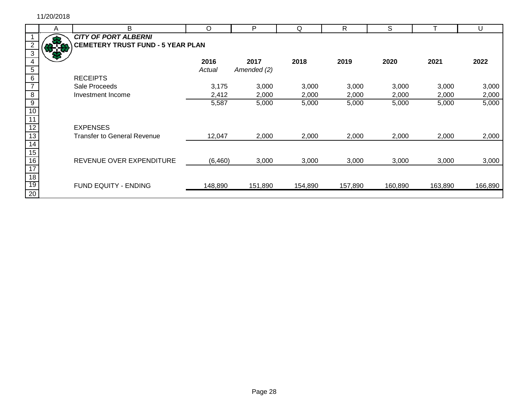|                 | A | B                                        | O        | P           | Q       | R       | S       |         | U       |
|-----------------|---|------------------------------------------|----------|-------------|---------|---------|---------|---------|---------|
|                 |   | <b>CITY OF PORT ALBERNI</b>              |          |             |         |         |         |         |         |
|                 |   | <b>CEMETERY TRUST FUND - 5 YEAR PLAN</b> |          |             |         |         |         |         |         |
|                 |   |                                          |          |             |         |         |         |         |         |
|                 |   |                                          | 2016     | 2017        | 2018    | 2019    | 2020    | 2021    | 2022    |
| $\overline{5}$  |   |                                          | Actual   | Amended (2) |         |         |         |         |         |
| 6               |   | <b>RECEIPTS</b>                          |          |             |         |         |         |         |         |
|                 |   | Sale Proceeds                            | 3,175    | 3,000       | 3,000   | 3,000   | 3,000   | 3,000   | 3,000   |
| $\overline{8}$  |   | Investment Income                        | 2,412    | 2,000       | 2,000   | 2,000   | 2,000   | 2,000   | 2,000   |
| $\overline{9}$  |   |                                          | 5,587    | 5,000       | 5,000   | 5,000   | 5,000   | 5,000   | 5,000   |
| 10              |   |                                          |          |             |         |         |         |         |         |
| 11              |   |                                          |          |             |         |         |         |         |         |
| 12              |   | <b>EXPENSES</b>                          |          |             |         |         |         |         |         |
| 13              |   | <b>Transfer to General Revenue</b>       | 12,047   | 2,000       | 2,000   | 2,000   | 2,000   | 2,000   | 2,000   |
| $\overline{14}$ |   |                                          |          |             |         |         |         |         |         |
| 15              |   |                                          |          |             |         |         |         |         |         |
| 16              |   | REVENUE OVER EXPENDITURE                 | (6, 460) | 3,000       | 3,000   | 3,000   | 3,000   | 3,000   | 3,000   |
| $\overline{17}$ |   |                                          |          |             |         |         |         |         |         |
| 18              |   |                                          |          |             |         |         |         |         |         |
| 19              |   | <b>FUND EQUITY - ENDING</b>              | 148,890  | 151,890     | 154,890 | 157,890 | 160,890 | 163,890 | 166,890 |
| $\overline{20}$ |   |                                          |          |             |         |         |         |         |         |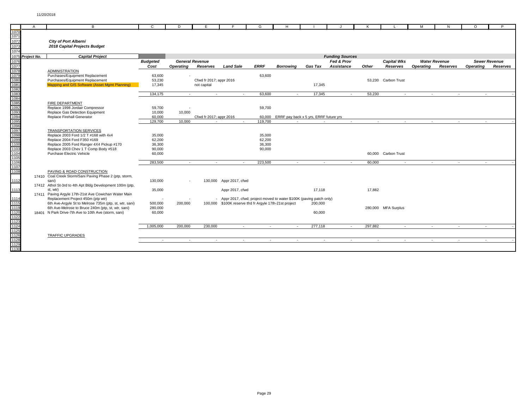|                                                                              | $\mathsf{A}$     | B.                                                        | $\mathbf{C}$    | D                        | E.                      |                         |        | G           | H                                                                    |                |                        |                   |                     | M                | N                    | $\Omega$         | P                    |
|------------------------------------------------------------------------------|------------------|-----------------------------------------------------------|-----------------|--------------------------|-------------------------|-------------------------|--------|-------------|----------------------------------------------------------------------|----------------|------------------------|-------------------|---------------------|------------------|----------------------|------------------|----------------------|
| 1070                                                                         |                  |                                                           |                 |                          |                         |                         |        |             |                                                                      |                |                        |                   |                     |                  |                      |                  |                      |
| 1071                                                                         |                  |                                                           |                 |                          |                         |                         |        |             |                                                                      |                |                        |                   |                     |                  |                      |                  |                      |
| 1072                                                                         |                  | <b>City of Port Alberni</b>                               |                 |                          |                         |                         |        |             |                                                                      |                |                        |                   |                     |                  |                      |                  |                      |
| 1073                                                                         |                  | 2018 Capital Projects Budget                              |                 |                          |                         |                         |        |             |                                                                      |                |                        |                   |                     |                  |                      |                  |                      |
| 1074                                                                         |                  |                                                           |                 |                          |                         |                         |        |             |                                                                      |                |                        |                   |                     |                  |                      |                  |                      |
|                                                                              | 1075 Project No. | <b>Capital Project</b>                                    |                 |                          |                         |                         |        |             |                                                                      |                | <b>Funding Sources</b> |                   |                     |                  |                      |                  |                      |
| 1076                                                                         |                  |                                                           | <b>Budgeted</b> |                          | <b>General Revenue</b>  |                         |        |             |                                                                      |                | Fed & Prov             |                   | <b>Capital Wks</b>  |                  | <b>Water Revenue</b> |                  | <b>Sewer Revenue</b> |
| 1077                                                                         |                  |                                                           | Cost            | <b>Operating</b>         | Reserves                | <b>Land Sale</b>        |        | <b>ERRF</b> | Borrowina                                                            | Gas Tax        | Assistance             | Other             | Reserves            | <b>Operating</b> | Reserves             | <b>Operating</b> | Reserves             |
| 1078                                                                         |                  | <b>ADMINISTRATION</b>                                     |                 |                          |                         |                         |        |             |                                                                      |                |                        |                   |                     |                  |                      |                  |                      |
| 1079                                                                         |                  | Purchases/Equipment Replacement                           | 63.600          |                          |                         |                         |        | 63,600      |                                                                      |                |                        |                   |                     |                  |                      |                  |                      |
| 1080                                                                         |                  | Purchases/Equipment Replacement                           | 53,230          |                          | Cfwd fr 2017; appr 2016 |                         |        |             |                                                                      |                |                        |                   | 53.230 Carbon Trust |                  |                      |                  |                      |
|                                                                              |                  | Mapping and GIS Software (Asset Mgmt Planning)            | 17,345          |                          | not capital             |                         |        |             |                                                                      | 17,345         |                        |                   |                     |                  |                      |                  |                      |
|                                                                              |                  |                                                           |                 |                          |                         |                         |        |             |                                                                      |                |                        |                   |                     |                  |                      |                  |                      |
|                                                                              |                  |                                                           | 134,175         | $\sim$                   |                         | $\sim$                  | $\sim$ | 63,600      | $\sim$                                                               | 17,345         |                        | 53,230<br>$\sim$  | $\sim$              | $\sim$           | $\sim$               |                  | $\sim$               |
|                                                                              |                  | <b>FIRE DEPARTMENT</b>                                    |                 |                          |                         |                         |        |             |                                                                      |                |                        |                   |                     |                  |                      |                  |                      |
|                                                                              |                  | Replace 1998 Jordair Compressor                           | 59,700          |                          |                         |                         |        | 59,700      |                                                                      |                |                        |                   |                     |                  |                      |                  |                      |
|                                                                              |                  | Replace Gas Detection Equipment                           | 10,000          | 10,000                   |                         |                         |        |             |                                                                      |                |                        |                   |                     |                  |                      |                  |                      |
|                                                                              |                  | Replace Firehall Generator                                | 60,000          |                          | Cfwd fr 2017; appr 2016 |                         |        |             | 60,000 ERRF pay back x 5 yrs, ERRF future yrs                        |                |                        |                   |                     |                  |                      |                  |                      |
|                                                                              |                  |                                                           | 129,700         | 10.000                   |                         |                         |        | 119.700     |                                                                      |                |                        | $\sim$            | $\sim$<br>$\sim$    | <b>Contract</b>  | $\sim$               |                  |                      |
| 1081<br>1082<br>1083<br>1084<br>1085<br>1092<br>1093<br>1094<br>1095<br>1096 |                  |                                                           |                 |                          |                         |                         |        |             |                                                                      |                |                        |                   |                     |                  |                      |                  |                      |
|                                                                              |                  | <b>TRANSPORTATION SERVICES</b>                            |                 |                          |                         |                         |        |             |                                                                      |                |                        |                   |                     |                  |                      |                  |                      |
|                                                                              |                  | Replace 2003 Ford 1/2 T #168 with 4x4                     | 35,000          |                          |                         |                         |        | 35,000      |                                                                      |                |                        |                   |                     |                  |                      |                  |                      |
| 1099                                                                         |                  | Replace 2004 Ford F350 #169                               | 62,200          |                          |                         |                         |        | 62,200      |                                                                      |                |                        |                   |                     |                  |                      |                  |                      |
| 1100                                                                         |                  | Replace 2005 Ford Ranger 4X4 Pickup #170                  | 36,300          |                          |                         |                         |        | 36,300      |                                                                      |                |                        |                   |                     |                  |                      |                  |                      |
| 1103                                                                         |                  | Replace 2003 Chev 1 T Comp Body #518                      | 90,000          |                          |                         |                         |        | 90,000      |                                                                      |                |                        |                   |                     |                  |                      |                  |                      |
| 1104                                                                         |                  | Purchase Electric Vehicle                                 | 60,000          |                          |                         |                         |        |             |                                                                      |                |                        |                   | 60,000 Carbon Trust |                  |                      |                  |                      |
| 1105                                                                         |                  |                                                           |                 |                          |                         |                         |        |             |                                                                      |                |                        |                   |                     |                  |                      |                  |                      |
| 1106<br>1107                                                                 |                  |                                                           | 283,500         | $\sim$                   |                         | $\sim$                  | $\sim$ | 223,500     | $\sim$                                                               | $\sim$         |                        | 60,000<br>$\sim$  | $\sim$              | $\sim$           | $\sim$               |                  | $\sim$               |
| 1108                                                                         |                  | PAVING & ROAD CONSTRUCTION                                |                 |                          |                         |                         |        |             |                                                                      |                |                        |                   |                     |                  |                      |                  |                      |
|                                                                              |                  | 17410 Coal Creek Storm/Sani Paving Phase 2 (ptp, storm,   |                 |                          |                         |                         |        |             |                                                                      |                |                        |                   |                     |                  |                      |                  |                      |
| 1112                                                                         |                  | sani)                                                     | 130,000         | $\overline{\phantom{a}}$ |                         | 130,000 Appr 2017, cfwd |        |             |                                                                      |                |                        |                   |                     |                  |                      |                  |                      |
|                                                                              |                  | 17412 Athol St-3rd to 4th Apt Bldg Development 100m (ptp, |                 |                          |                         |                         |        |             |                                                                      |                |                        |                   |                     |                  |                      |                  |                      |
| 1113                                                                         |                  | st, wtr)                                                  | 35,000          |                          |                         | Appr 2017, cfwd         |        |             |                                                                      | 17,118         |                        | 17,882            |                     |                  |                      |                  |                      |
|                                                                              |                  | 17411 Paving Argyle 17th-21st Ave Cowichan Water Main     |                 |                          |                         |                         |        |             |                                                                      |                |                        |                   |                     |                  |                      |                  |                      |
| 1114                                                                         |                  | Replacement Project 450m (ptp wtr)                        | $\sim$          |                          |                         |                         |        |             | - Appr 2017, cfwd; project moved to water \$100K (paving patch only) |                |                        |                   |                     |                  |                      |                  |                      |
| 1115                                                                         |                  | 6th Ave-Argyle St to Melrose 735m (ptp, st, wtr, sani)    | 500,000         | 200,000                  |                         |                         |        |             | 100,000 \$100K reserve tfrd fr Argyle 17th-21st project              | 200,000        |                        |                   |                     |                  |                      |                  |                      |
| 1119                                                                         |                  | 6th Ave-Melrose to Bruce 240m (ptp, st, wtr, sani)        | 280,000         |                          |                         |                         |        |             |                                                                      |                |                        |                   | 280,000 MFA Surplus |                  |                      |                  |                      |
| 1120                                                                         |                  | 18401 N Park Drive-7th Ave to 10th Ave (storm, sani)      | 60,000          |                          |                         |                         |        |             |                                                                      | 60,000         |                        |                   |                     |                  |                      |                  |                      |
| 1122                                                                         |                  |                                                           |                 |                          |                         |                         |        |             |                                                                      |                |                        |                   |                     |                  |                      |                  |                      |
| 1123<br>1124                                                                 |                  |                                                           | 1.005.000       | 200.000                  | 230,000                 |                         |        |             |                                                                      | 277.118        |                        | 297,882<br>$\sim$ |                     |                  |                      |                  |                      |
| 1125                                                                         |                  |                                                           |                 |                          |                         |                         | $\sim$ | $\sim$      | $\sim$                                                               |                |                        |                   | $\sim$              | $\sim$           | $\sim$               |                  | $\sim$               |
| 1126                                                                         |                  | <b>TRAFFIC UPGRADES</b>                                   |                 |                          |                         |                         |        |             |                                                                      |                |                        |                   |                     |                  |                      |                  |                      |
| 1128                                                                         |                  |                                                           | $\sim$          | $\sim$                   |                         | $\sim$ $-$              | $\sim$ | $\sim$      | $\sim$                                                               | <b>Section</b> |                        | $\sim$            | $\sim$<br>$\sim$    | $\sim$           | $\sim$               |                  | $\sim$               |
| 1129                                                                         |                  |                                                           |                 |                          |                         |                         |        |             |                                                                      |                |                        |                   |                     |                  |                      |                  |                      |
| 1130                                                                         |                  |                                                           |                 |                          |                         |                         |        |             |                                                                      |                |                        |                   |                     |                  |                      |                  |                      |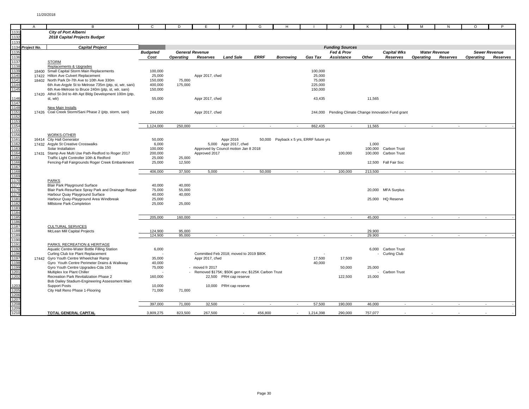|                      | $\overline{A}$ | B                                                                           | C.               | D.               | E                      |                                         | G                                                    | H                        |                                         |                        |         |                                                      | м                | N                    | $\circ$          | P                    |
|----------------------|----------------|-----------------------------------------------------------------------------|------------------|------------------|------------------------|-----------------------------------------|------------------------------------------------------|--------------------------|-----------------------------------------|------------------------|---------|------------------------------------------------------|------------------|----------------------|------------------|----------------------|
| 1131                 |                | <b>City of Port Alberni</b>                                                 |                  |                  |                        |                                         |                                                      |                          |                                         |                        |         |                                                      |                  |                      |                  |                      |
| 1132                 |                | 2018 Capital Projects Budget                                                |                  |                  |                        |                                         |                                                      |                          |                                         |                        |         |                                                      |                  |                      |                  |                      |
| 1133                 |                |                                                                             |                  |                  |                        |                                         |                                                      |                          |                                         |                        |         |                                                      |                  |                      |                  |                      |
| 1134                 | Project No.    | <b>Capital Project</b>                                                      |                  |                  |                        |                                         |                                                      |                          |                                         | <b>Funding Sources</b> |         |                                                      |                  |                      |                  |                      |
| 1135                 |                |                                                                             | <b>Budgeted</b>  |                  | <b>General Revenue</b> |                                         |                                                      |                          |                                         | Fed & Prov             |         | <b>Capital Wks</b>                                   |                  | <b>Water Revenue</b> |                  | <b>Sewer Revenue</b> |
| 1136                 |                |                                                                             | Cost             | <b>Operating</b> | Reserves               | <b>Land Sale</b>                        | <b>ERRF</b>                                          | <b>Borrowing</b>         | Gas Tax                                 | Assistance             | Other   | Reserves                                             | <b>Operating</b> | Reserves             | <b>Operating</b> | Reserves             |
| 1137                 |                | <b>STORM</b>                                                                |                  |                  |                        |                                         |                                                      |                          |                                         |                        |         |                                                      |                  |                      |                  |                      |
|                      |                | Replacements & Upgrades                                                     |                  |                  |                        |                                         |                                                      |                          |                                         |                        |         |                                                      |                  |                      |                  |                      |
| 1138<br>1139<br>1140 |                | 18400 Small Capital Storm Main Replacements                                 | 100,000          |                  |                        |                                         |                                                      |                          | 100,000                                 |                        |         |                                                      |                  |                      |                  |                      |
|                      |                | 17422 Hilton Ave Culvert Replacement                                        | 25,000           |                  | Appr 2017, cfwd        |                                         |                                                      |                          | 25,000                                  |                        |         |                                                      |                  |                      |                  |                      |
| 1141                 |                | 18402 North Park Dr-7th Ave to 10th Ave 330m                                | 150,000          | 75,000           |                        |                                         |                                                      |                          | 75,000                                  |                        |         |                                                      |                  |                      |                  |                      |
| 1144                 |                | 6th Ave-Argyle St to Melrose 735m (ptp, st, wtr, sani)                      | 400,000          | 175,000          |                        |                                         |                                                      |                          | 225,000                                 |                        |         |                                                      |                  |                      |                  |                      |
| 1145                 |                | 6th Ave-Melrose to Bruce 240m (ptp, st, wtr, sani)                          | 150,000          |                  |                        |                                         |                                                      |                          | 150,000                                 |                        |         |                                                      |                  |                      |                  |                      |
|                      |                | 17420 Athol St-3rd to 4th Apt Bldg Development 100m (ptp,                   |                  |                  |                        |                                         |                                                      |                          |                                         |                        |         |                                                      |                  |                      |                  |                      |
| 1146                 |                | st, wtr)                                                                    | 55,000           |                  | Appr 2017, cfwd        |                                         |                                                      |                          | 43,435                                  |                        | 11,565  |                                                      |                  |                      |                  |                      |
| 1147<br>1148         |                |                                                                             |                  |                  |                        |                                         |                                                      |                          |                                         |                        |         |                                                      |                  |                      |                  |                      |
| 1151                 |                | New Main Installs<br>17426 Coal Creek Storm/Sani Phase 2 (ptp, storm, sani) |                  |                  |                        |                                         |                                                      |                          |                                         |                        |         |                                                      |                  |                      |                  |                      |
|                      |                |                                                                             | 244,000          |                  | Appr 2017, cfwd        |                                         |                                                      |                          |                                         |                        |         | 244,000 Pending Climate Change Innovation Fund grant |                  |                      |                  |                      |
| 1152<br>1153         |                |                                                                             |                  |                  |                        |                                         |                                                      |                          |                                         |                        |         |                                                      |                  |                      |                  |                      |
| 1154                 |                |                                                                             | 1,124,000        | 250,000          | $\sim$                 | $\sim$                                  | $\sim$                                               | $\overline{\phantom{a}}$ | 862,435                                 | $\sim$                 | 11,565  | $\sim$                                               | $\sim$           | $\sim$               | $\sim$           |                      |
|                      |                |                                                                             |                  |                  |                        |                                         |                                                      |                          |                                         |                        |         |                                                      |                  |                      |                  |                      |
| 1155<br>1156<br>1161 |                | <b>WORKS-OTHER</b>                                                          |                  |                  |                        |                                         |                                                      |                          |                                         |                        |         |                                                      |                  |                      |                  |                      |
|                      |                | 16414 City Hall Generator                                                   | 50,000           |                  |                        | Appr 2016                               |                                                      |                          | 50,000 Payback x 5 yrs, ERRF future yrs |                        |         |                                                      |                  |                      |                  |                      |
| 1162                 |                | 17432 Argyle St Creative Crosswalks                                         | 6,000            |                  |                        | 5,000 Appr 2017, cfwd                   |                                                      |                          |                                         |                        | 1,000   |                                                      |                  |                      |                  |                      |
| 1163                 |                | Solar Installation                                                          | 100,000          |                  |                        | Approved by Council motion Jan 8 2018   |                                                      |                          |                                         |                        |         | 100,000 Carbon Trust                                 |                  |                      |                  |                      |
| 1164                 |                | 17431 Stamp Ave Multi Use Path-Redford to Roger 2017                        | 200,000          |                  | Approved 2017          |                                         |                                                      |                          |                                         | 100,000                | 100,000 | Carbon Trust                                         |                  |                      |                  |                      |
| 1165                 |                | Traffic Light Controller 10th & Redford                                     | 25,000           | 25,000           |                        |                                         |                                                      |                          |                                         |                        |         |                                                      |                  |                      |                  |                      |
| 1166                 |                | Fencing-Fall Fairgrounds Roger Creek Embankment                             | 25,000           | 12,500           |                        |                                         |                                                      |                          |                                         |                        | 12,500  | Fall Fair Soc                                        |                  |                      |                  |                      |
| 1167                 |                |                                                                             |                  |                  |                        |                                         |                                                      |                          |                                         |                        |         |                                                      |                  |                      |                  |                      |
| 1168<br>1168<br>1170 |                |                                                                             | 406.000          | 37,500           | 5.000                  |                                         | 50,000                                               |                          |                                         | 100.000                | 213.500 |                                                      |                  |                      |                  |                      |
|                      |                |                                                                             |                  |                  |                        |                                         |                                                      |                          |                                         |                        |         |                                                      |                  |                      |                  |                      |
|                      |                | <b>PARKS</b>                                                                |                  |                  |                        |                                         |                                                      |                          |                                         |                        |         |                                                      |                  |                      |                  |                      |
| 1177                 |                | <b>Blair Park Playground Surface</b>                                        | 40,000           | 40,000           |                        |                                         |                                                      |                          |                                         |                        |         |                                                      |                  |                      |                  |                      |
| 1178                 |                | Blair Park-Resurface Spray Park and Drainage Repair                         | 75,000           | 55,000           |                        |                                         |                                                      |                          |                                         |                        |         | 20,000 MFA Surplus                                   |                  |                      |                  |                      |
| $\frac{1179}{1181}$  |                | Harbour Quay Playground Surface                                             | 40,000           | 40,000           |                        |                                         |                                                      |                          |                                         |                        |         |                                                      |                  |                      |                  |                      |
|                      |                | Harbour Quay-Playground Area Windbreak<br>Millstone Park-Completion         | 25,000<br>25,000 | 25,000           |                        |                                         |                                                      |                          |                                         |                        |         | 25,000 HQ Reserve                                    |                  |                      |                  |                      |
|                      |                |                                                                             |                  |                  |                        |                                         |                                                      |                          |                                         |                        |         |                                                      |                  |                      |                  |                      |
| 1182<br>1183<br>1184 |                |                                                                             |                  |                  |                        |                                         |                                                      |                          |                                         |                        |         |                                                      |                  |                      |                  |                      |
| 1185                 |                |                                                                             | 205,000          | 160,000          | $\sim$                 | $\sim$                                  | $\sim$                                               | $\sim$                   | $\sim$                                  | $\sim$                 | 45,000  | $\sim$                                               | $\sim$           | $\sim$               | $\sim$           |                      |
|                      |                |                                                                             |                  |                  |                        |                                         |                                                      |                          |                                         |                        |         |                                                      |                  |                      |                  |                      |
| 1186<br>1187         |                | <b>CULTURAL SERVICES</b>                                                    |                  |                  |                        |                                         |                                                      |                          |                                         |                        |         |                                                      |                  |                      |                  |                      |
| 1188                 |                | McLean Mill Capital Projects                                                | 124.900          | 95,000           |                        |                                         |                                                      |                          |                                         |                        | 29.900  |                                                      |                  |                      |                  |                      |
| 1189<br>1190         |                |                                                                             | 124,900          | 95,000           | na.                    | - 11                                    | n.                                                   | $\sim$                   | $\sim$                                  | in 1919.               | 29,900  | ×.                                                   | ×.               | ×.                   | $\sim$           |                      |
|                      |                |                                                                             |                  |                  |                        |                                         |                                                      |                          |                                         |                        |         |                                                      |                  |                      |                  |                      |
| 1191                 |                | PARKS, RECREATION & HERITAGE                                                |                  |                  |                        |                                         |                                                      |                          |                                         |                        |         |                                                      |                  |                      |                  |                      |
| 1192<br>1196<br>1197 |                | Aquatic Centre-Water Bottle Filling Station                                 | 6,000            |                  |                        |                                         |                                                      |                          |                                         |                        | 6.000   | Carbon Trust                                         |                  |                      |                  |                      |
|                      |                | Curling Club Ice Plant Replacement                                          |                  |                  |                        | Committed Feb 2018; moved to 2019 \$80K |                                                      |                          |                                         |                        |         | Curling Club                                         |                  |                      |                  |                      |
|                      |                | 17442 Gyro Youth Centre Wheelchair Ramp                                     | 35,000           |                  | Appr 2017, cfwd        |                                         |                                                      |                          | 17,500                                  | 17,500                 |         |                                                      |                  |                      |                  |                      |
| 1198                 |                | Gyro Youth Centre Perimeter Drains & Walkway                                | 40,000           |                  |                        |                                         |                                                      |                          | 40,000                                  |                        |         |                                                      |                  |                      |                  |                      |
| 1199                 |                | Gyro Youth Centre Upgrades-Cda 150<br>Multiplex Ice Plant Chiller           | 75,000           |                  | - moved fr 2017        |                                         |                                                      |                          |                                         | 50,000                 | 25,000  |                                                      |                  |                      |                  |                      |
| 1201<br>1202         |                | Recreation Park Revitalization Phase 2                                      | 160,000          |                  |                        | 22,500 PRH cap reserve                  | - Removed \$175K; \$50K gen rev; \$125K Carbon Trust |                          |                                         | 122,500                | 15,000  | Carbon Trust                                         |                  |                      |                  |                      |
|                      |                | Bob Dailey Stadium-Engineering Assessment Main                              |                  |                  |                        |                                         |                                                      |                          |                                         |                        |         |                                                      |                  |                      |                  |                      |
| 1203                 |                | <b>Support Posts</b>                                                        | 10,000           |                  |                        | 10,000 PRH cap reserve                  |                                                      |                          |                                         |                        |         |                                                      |                  |                      |                  |                      |
| 1205                 |                | City Hall Reno Phase 1-Flooring                                             | 71,000           | 71,000           |                        |                                         |                                                      |                          |                                         |                        |         |                                                      |                  |                      |                  |                      |
|                      |                |                                                                             |                  |                  |                        |                                         |                                                      |                          |                                         |                        |         |                                                      |                  |                      |                  |                      |
| 1206<br>1207         |                |                                                                             |                  |                  |                        |                                         |                                                      |                          |                                         |                        |         |                                                      |                  |                      |                  |                      |
| 1208                 |                |                                                                             | 397,000          | 71,000           | 32,500                 | $\sim$                                  | $\sim$                                               | $\sim$                   | 57,500                                  | 190,000                | 46,000  | $\sim$                                               | $\sim$           | $\sim$               | $\sim$           |                      |
| 1209<br>1210         |                |                                                                             |                  |                  |                        |                                         |                                                      |                          |                                         |                        |         |                                                      |                  |                      |                  |                      |
|                      |                | TOTAL GENERAL CAPITAL                                                       | 3,809,275        | 823,500          | 267,500                |                                         | 456,800                                              |                          | 1,214,398                               | 290,000                | 757,077 |                                                      |                  |                      |                  |                      |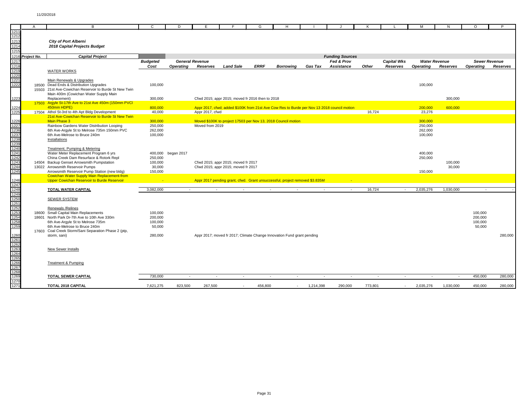|                                                      | A                | B                                                      | C               | D                  |                        |                                     | G                                                |                                                                                             |           |                        |         |                    |                  |                          | $\circ$          |                      |
|------------------------------------------------------|------------------|--------------------------------------------------------|-----------------|--------------------|------------------------|-------------------------------------|--------------------------------------------------|---------------------------------------------------------------------------------------------|-----------|------------------------|---------|--------------------|------------------|--------------------------|------------------|----------------------|
| 1211                                                 |                  |                                                        |                 |                    |                        |                                     |                                                  |                                                                                             |           |                        |         |                    |                  |                          |                  |                      |
| 1212                                                 |                  |                                                        |                 |                    |                        |                                     |                                                  |                                                                                             |           |                        |         |                    |                  |                          |                  |                      |
| 1213                                                 |                  | <b>City of Port Alberni</b>                            |                 |                    |                        |                                     |                                                  |                                                                                             |           |                        |         |                    |                  |                          |                  |                      |
|                                                      |                  |                                                        |                 |                    |                        |                                     |                                                  |                                                                                             |           |                        |         |                    |                  |                          |                  |                      |
| 1214                                                 |                  | 2018 Capital Projects Budget                           |                 |                    |                        |                                     |                                                  |                                                                                             |           |                        |         |                    |                  |                          |                  |                      |
| 1215                                                 |                  |                                                        |                 |                    |                        |                                     |                                                  |                                                                                             |           |                        |         |                    |                  |                          |                  |                      |
|                                                      | 1216 Project No. | <b>Capital Project</b>                                 |                 |                    |                        |                                     |                                                  |                                                                                             |           | <b>Funding Sources</b> |         |                    |                  |                          |                  |                      |
| 1217                                                 |                  |                                                        | <b>Budgeted</b> |                    | <b>General Revenue</b> |                                     |                                                  |                                                                                             |           | Fed & Prov             |         | <b>Capital Wks</b> |                  | <b>Water Revenue</b>     |                  | <b>Sewer Revenue</b> |
| 1218                                                 |                  |                                                        | Cost            | <b>Operating</b>   | Reserves               | <b>Land Sale</b>                    | <b>ERRF</b>                                      | Borrowina                                                                                   | Gas Tax   | <b>Assistance</b>      | Other   |                    |                  | Reserves                 | <b>Operating</b> | Reserves             |
|                                                      |                  |                                                        |                 |                    |                        |                                     |                                                  |                                                                                             |           |                        |         | Reserves           | <b>Operating</b> |                          |                  |                      |
| 1219<br>1220                                         |                  | <b>WATER WORKS</b>                                     |                 |                    |                        |                                     |                                                  |                                                                                             |           |                        |         |                    |                  |                          |                  |                      |
|                                                      |                  |                                                        |                 |                    |                        |                                     |                                                  |                                                                                             |           |                        |         |                    |                  |                          |                  |                      |
| 1221<br>1222                                         |                  | Main Renewals & Upgrades                               |                 |                    |                        |                                     |                                                  |                                                                                             |           |                        |         |                    |                  |                          |                  |                      |
|                                                      |                  | 18500 Dead Ends & Distribution Upgrades                | 100,000         |                    |                        |                                     |                                                  |                                                                                             |           |                        |         |                    | 100,000          |                          |                  |                      |
|                                                      |                  | 15503 21st Ave-Cowichan Reservoir to Burde St New Twin |                 |                    |                        |                                     |                                                  |                                                                                             |           |                        |         |                    |                  |                          |                  |                      |
|                                                      |                  | Main 400m (Cowichan Water Supply Main                  |                 |                    |                        |                                     |                                                  |                                                                                             |           |                        |         |                    |                  |                          |                  |                      |
| 1223                                                 |                  | Replacement)                                           | 300,000         |                    |                        |                                     | Cfwd 2015; appr 2015; moved fr 2016 then to 2018 |                                                                                             |           |                        |         |                    |                  | 300,000                  |                  |                      |
|                                                      |                  | 17503 Argyle St-17th Ave to 21st Ave 450m (150mm PVCI  |                 |                    |                        |                                     |                                                  |                                                                                             |           |                        |         |                    |                  |                          |                  |                      |
| 1224                                                 |                  | 450mm HDPE)                                            | 800,000         |                    |                        |                                     |                                                  | Appr 2017, cfwd; added \$100K from 21st Ave Cow Res to Burde per Nov 13 2018 council motion |           |                        |         |                    | 200,000          | 600,000                  |                  |                      |
| 1225                                                 |                  | 17504 Athol St-3rd to 4th Apt Bldg Development         | 40,000          |                    |                        |                                     |                                                  |                                                                                             |           |                        | 16,724  |                    | 23,276           |                          |                  |                      |
|                                                      |                  |                                                        |                 |                    | Appr 2017, cfwd        |                                     |                                                  |                                                                                             |           |                        |         |                    |                  |                          |                  |                      |
|                                                      |                  | 21st Ave-Cowichan Reservoir to Burde St New Twin       |                 |                    |                        |                                     |                                                  |                                                                                             |           |                        |         |                    |                  |                          |                  |                      |
| 1226                                                 |                  | Main Phase 3                                           | 300,000         |                    |                        |                                     |                                                  | Moved \$100K to project 17503 per Nov 13, 2018 Council motion                               |           |                        |         |                    | 300,000          |                          |                  |                      |
| 1227                                                 |                  | Rainbow Gardens Water Distribution Looping             | 250,000         |                    | Moved from 2019        |                                     |                                                  |                                                                                             |           |                        |         |                    | 250,000          |                          |                  |                      |
| 1236<br>1237                                         |                  | 6th Ave-Argyle St to Melrose 735m 150mm PVC            | 262,000         |                    |                        |                                     |                                                  |                                                                                             |           |                        |         |                    | 262,000          |                          |                  |                      |
|                                                      |                  | 6th Ave-Melrose to Bruce 240m                          | 100,000         |                    |                        |                                     |                                                  |                                                                                             |           |                        |         |                    | 100,000          |                          |                  |                      |
|                                                      |                  | Installations                                          |                 |                    |                        |                                     |                                                  |                                                                                             |           |                        |         |                    |                  |                          |                  |                      |
| 1238<br>1238<br>1240<br>1241<br>1242<br>1243         |                  |                                                        |                 |                    |                        |                                     |                                                  |                                                                                             |           |                        |         |                    |                  |                          |                  |                      |
|                                                      |                  | Treatment, Pumping & Metering                          |                 |                    |                        |                                     |                                                  |                                                                                             |           |                        |         |                    |                  |                          |                  |                      |
|                                                      |                  | Water Meter Replacement Program 6 yrs                  |                 | 400,000 began 2017 |                        |                                     |                                                  |                                                                                             |           |                        |         |                    | 400,000          |                          |                  |                      |
|                                                      |                  | China Creek Dam Resurface & Rotork Repl                | 250,000         |                    |                        |                                     |                                                  |                                                                                             |           |                        |         |                    | 250,000          |                          |                  |                      |
|                                                      |                  |                                                        |                 |                    |                        |                                     |                                                  |                                                                                             |           |                        |         |                    |                  |                          |                  |                      |
|                                                      |                  | 14504 Backup Genset Arrowsmith Pumpstation             | 100,000         |                    |                        | Cfwd 2015; appr 2015; moved fr 2017 |                                                  |                                                                                             |           |                        |         |                    |                  | 100,000                  |                  |                      |
| 1244                                                 |                  | 13022 Arrowsmith Reservoir Pumps                       | 30,000          |                    |                        | Cfwd 2015; appr 2015; moved fr 2017 |                                                  |                                                                                             |           |                        |         |                    |                  | 30,000                   |                  |                      |
| 1245                                                 |                  | Arrowsmith Reservoir Pump Station (new bldg)           | 150,000         |                    |                        |                                     |                                                  |                                                                                             |           |                        |         |                    | 150,000          |                          |                  |                      |
|                                                      |                  | <b>Cowichan Water Supply Main Replacement-from</b>     |                 |                    |                        |                                     |                                                  |                                                                                             |           |                        |         |                    |                  |                          |                  |                      |
| 1246                                                 |                  | Upper Cowichan Reservoir to Burde Reservoir            |                 |                    |                        |                                     |                                                  | Appr 2017 pending grant, cfwd. Grant unsuccessful, project removed \$3.835M                 |           |                        |         |                    |                  |                          |                  |                      |
| 1247                                                 |                  |                                                        |                 |                    |                        |                                     |                                                  |                                                                                             |           |                        |         |                    |                  |                          |                  |                      |
|                                                      |                  | <b>TOTAL WATER CAPITAL</b>                             | 3.082.000       | $\sim$             | $\sim$                 |                                     |                                                  | $\sim$                                                                                      | $\sim$    | $\sim$                 | 16,724  | $\sim$             | 2,035,276        | 1,030,000                |                  |                      |
|                                                      |                  |                                                        |                 |                    |                        |                                     |                                                  |                                                                                             |           |                        |         |                    |                  |                          |                  |                      |
| 1247<br>1248<br>1249<br>1250<br>1251                 |                  | <b>SEWER SYSTEM</b>                                    |                 |                    |                        |                                     |                                                  |                                                                                             |           |                        |         |                    |                  |                          |                  |                      |
|                                                      |                  |                                                        |                 |                    |                        |                                     |                                                  |                                                                                             |           |                        |         |                    |                  |                          |                  |                      |
|                                                      |                  | Renewals / Relines                                     |                 |                    |                        |                                     |                                                  |                                                                                             |           |                        |         |                    |                  |                          |                  |                      |
|                                                      |                  |                                                        |                 |                    |                        |                                     |                                                  |                                                                                             |           |                        |         |                    |                  |                          |                  |                      |
| 1253<br>1254                                         |                  | 18600 Small Capital Main Replacements                  | 100.000         |                    |                        |                                     |                                                  |                                                                                             |           |                        |         |                    |                  |                          | 100.000          |                      |
|                                                      |                  | 18601 North Park Dr-7th Ave to 10th Ave 330m           | 200,000         |                    |                        |                                     |                                                  |                                                                                             |           |                        |         |                    |                  |                          | 200,000          |                      |
| 1258<br>1259                                         |                  | 6th Ave-Argyle St to Melrose 735m                      | 100,000         |                    |                        |                                     |                                                  |                                                                                             |           |                        |         |                    |                  |                          | 100,000          |                      |
|                                                      |                  | 6th Ave-Melrose to Bruce 240m                          | 50,000          |                    |                        |                                     |                                                  |                                                                                             |           |                        |         |                    |                  |                          | 50,000           |                      |
|                                                      |                  | 17603 Coal Creek Storm/Sani Separation Phase 2 (ptp,   |                 |                    |                        |                                     |                                                  |                                                                                             |           |                        |         |                    |                  |                          |                  |                      |
| 1260                                                 |                  | storm, sani)                                           | 280,000         |                    |                        |                                     |                                                  | Appr 2017; moved fr 2017; Climate Change Innovation Fund grant pending                      |           |                        |         |                    |                  |                          |                  | 280,000              |
|                                                      |                  |                                                        |                 |                    |                        |                                     |                                                  |                                                                                             |           |                        |         |                    |                  |                          |                  |                      |
|                                                      |                  |                                                        |                 |                    |                        |                                     |                                                  |                                                                                             |           |                        |         |                    |                  |                          |                  |                      |
|                                                      |                  | New Sewer Installs                                     |                 |                    |                        |                                     |                                                  |                                                                                             |           |                        |         |                    |                  |                          |                  |                      |
| 1261<br>1262<br>1263<br>1264<br>1265<br>1266<br>1267 |                  |                                                        |                 |                    |                        |                                     |                                                  |                                                                                             |           |                        |         |                    |                  |                          |                  |                      |
|                                                      |                  |                                                        |                 |                    |                        |                                     |                                                  |                                                                                             |           |                        |         |                    |                  |                          |                  |                      |
|                                                      |                  |                                                        |                 |                    |                        |                                     |                                                  |                                                                                             |           |                        |         |                    |                  |                          |                  |                      |
|                                                      |                  | <b>Treatment &amp; Pumping</b>                         |                 |                    |                        |                                     |                                                  |                                                                                             |           |                        |         |                    |                  |                          |                  |                      |
|                                                      |                  |                                                        |                 |                    |                        |                                     |                                                  |                                                                                             |           |                        |         |                    |                  |                          |                  |                      |
| 1268<br>1269                                         |                  |                                                        |                 |                    |                        |                                     |                                                  |                                                                                             |           |                        |         |                    |                  |                          |                  |                      |
|                                                      |                  | <b>TOTAL SEWER CAPITAL</b>                             | 730,000         | $\sim$             | <b>.</b>               | $\sim$                              | <b>.</b>                                         | $\overline{\phantom{a}}$                                                                    | $\sim$    | $\sim$                 | $\sim$  | $\sim$             | $\sim$           | $\overline{\phantom{a}}$ | 450,000          | 280,000              |
| 1270                                                 |                  |                                                        |                 |                    |                        |                                     |                                                  |                                                                                             |           |                        |         |                    |                  |                          |                  |                      |
| 1271                                                 |                  | <b>TOTAL 2018 CAPITAL</b>                              | 7,621,275       | 823,500            | 267,500                |                                     | 456.800                                          |                                                                                             | 1,214,398 | 290,000                | 773,801 | $\sim$             | 2,035,276        | 1,030,000                | 450,000          | 280,000              |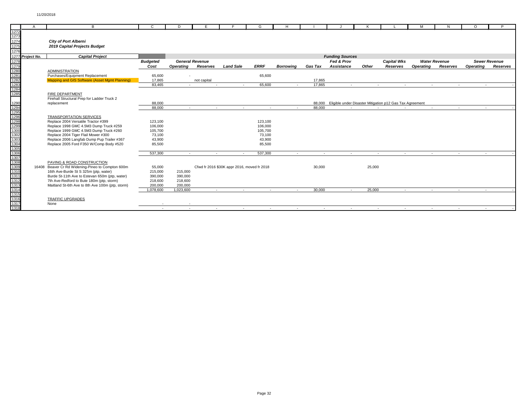|                                                                                                      | $\overline{A}$   | B                                                 | $\mathbf{C}$    | D         |                        |                                             | G           | H                |            |                        |        |                                                          | M                | N                    | $\Omega$         | D                    |
|------------------------------------------------------------------------------------------------------|------------------|---------------------------------------------------|-----------------|-----------|------------------------|---------------------------------------------|-------------|------------------|------------|------------------------|--------|----------------------------------------------------------|------------------|----------------------|------------------|----------------------|
| 1272                                                                                                 |                  |                                                   |                 |           |                        |                                             |             |                  |            |                        |        |                                                          |                  |                      |                  |                      |
| 1273<br>1274                                                                                         |                  |                                                   |                 |           |                        |                                             |             |                  |            |                        |        |                                                          |                  |                      |                  |                      |
|                                                                                                      |                  | <b>City of Port Alberni</b>                       |                 |           |                        |                                             |             |                  |            |                        |        |                                                          |                  |                      |                  |                      |
| 1275                                                                                                 |                  | 2019 Capital Projects Budget                      |                 |           |                        |                                             |             |                  |            |                        |        |                                                          |                  |                      |                  |                      |
| 1276                                                                                                 |                  |                                                   |                 |           |                        |                                             |             |                  |            |                        |        |                                                          |                  |                      |                  |                      |
|                                                                                                      | 1277 Project No. | <b>Capital Project</b>                            |                 |           |                        |                                             |             |                  |            | <b>Funding Sources</b> |        |                                                          |                  |                      |                  |                      |
| 1278                                                                                                 |                  |                                                   | <b>Budgeted</b> |           | <b>General Revenue</b> |                                             |             |                  |            | Fed & Prov             |        | <b>Capital Wks</b>                                       |                  | <b>Water Revenue</b> |                  | <b>Sewer Revenue</b> |
|                                                                                                      |                  |                                                   | Cost            | Operating | Reserves               | <b>Land Sale</b>                            | <b>ERRF</b> | <b>Borrowina</b> | Gas Tax    | <b>Assistance</b>      | Other  | Reserves                                                 | <b>Operating</b> | Reserves             | <b>Operating</b> | Reserves             |
|                                                                                                      |                  | <b>ADMINISTRATION</b>                             |                 |           |                        |                                             |             |                  |            |                        |        |                                                          |                  |                      |                  |                      |
|                                                                                                      |                  | Purchases/Equipment Replacement                   | 65,600          |           |                        |                                             | 65,600      |                  |            |                        |        |                                                          |                  |                      |                  |                      |
| 1279<br>1280<br>1281<br>1282<br>1283<br>1284                                                         |                  | Mapping and GIS Software (Asset Mgmt Planning)    | 17,865          |           | not capital            |                                             |             |                  | 17,865     |                        |        |                                                          |                  |                      |                  |                      |
|                                                                                                      |                  |                                                   | 83.465          |           | $\sim$                 |                                             | 65,600      |                  | 17,865     | $\sim$                 | $\sim$ | $\sim$                                                   | $\sim$           | $\sim$               |                  |                      |
|                                                                                                      |                  |                                                   |                 |           |                        |                                             |             |                  |            |                        |        |                                                          |                  |                      |                  |                      |
|                                                                                                      |                  | <b>FIRE DEPARTMENT</b>                            |                 |           |                        |                                             |             |                  |            |                        |        |                                                          |                  |                      |                  |                      |
|                                                                                                      |                  | Firehall Structural Prep for Ladder Truck 2       |                 |           |                        |                                             |             |                  |            |                        |        |                                                          |                  |                      |                  |                      |
|                                                                                                      |                  | replacement                                       | 88,000          |           |                        |                                             |             |                  | 88.000     |                        |        | Eligible under Disaster Mitigation p12 Gas Tax Agreement |                  |                      |                  |                      |
|                                                                                                      |                  |                                                   | 88,000          | $\sim$    | $\sim$                 | $\sim$                                      | $\sim$      | $\sim$           | 88,000     | $\sim$                 | $\sim$ | $\sim$                                                   | $\sim$ $-$       | $\sim$               | $\sim$           |                      |
|                                                                                                      |                  |                                                   |                 |           |                        |                                             |             |                  |            |                        |        |                                                          |                  |                      |                  |                      |
|                                                                                                      |                  | <b>TRANSPORTATION SERVICES</b>                    |                 |           |                        |                                             |             |                  |            |                        |        |                                                          |                  |                      |                  |                      |
|                                                                                                      |                  | Replace 2004 Versatile Tractor #399               | 123,100         |           |                        |                                             | 123,100     |                  |            |                        |        |                                                          |                  |                      |                  |                      |
|                                                                                                      |                  | Replace 1998 GMC 4.5M3 Dump Truck #259            | 106,000         |           |                        |                                             | 106,000     |                  |            |                        |        |                                                          |                  |                      |                  |                      |
|                                                                                                      |                  | Replace 1999 GMC 4.5M3 Dump Truck #260            | 105,700         |           |                        |                                             | 105,700     |                  |            |                        |        |                                                          |                  |                      |                  |                      |
|                                                                                                      |                  | Replace 2004 Tiger Flail Mower #300               | 73,100          |           |                        |                                             | 73,100      |                  |            |                        |        |                                                          |                  |                      |                  |                      |
|                                                                                                      |                  | Replace 2006 Langfab Dump Pup Trailer #367        | 43.900          |           |                        |                                             | 43.900      |                  |            |                        |        |                                                          |                  |                      |                  |                      |
|                                                                                                      |                  | Replace 2005 Ford F350 W/Comp Body #520           | 85,500          |           |                        |                                             | 85,500      |                  |            |                        |        |                                                          |                  |                      |                  |                      |
| 1290<br>1294<br>1295<br>1296<br>1298<br>1298<br>1302<br>1302<br>1304<br>1305<br>1306<br>1307<br>1308 |                  |                                                   |                 |           |                        |                                             |             |                  |            |                        |        |                                                          |                  |                      |                  |                      |
|                                                                                                      |                  |                                                   | 537,300         | $\sim$    | $\sim$                 | $\sim$                                      | 537,300     | $\sim$           | $\sim$     | $\sim$                 | $\sim$ | $\sim$                                                   | $\sim$           | $\sim$               | $\sim$           |                      |
|                                                                                                      |                  |                                                   |                 |           |                        |                                             |             |                  |            |                        |        |                                                          |                  |                      |                  |                      |
|                                                                                                      |                  | PAVING & ROAD CONSTRUCTION                        |                 |           |                        |                                             |             |                  |            |                        |        |                                                          |                  |                      |                  |                      |
|                                                                                                      |                  | 16408 Beaver Cr Rd Widening-Pineo to Compton 600m | 55,000          |           |                        | Cfwd fr 2016 \$30K appr 2016, moved fr 2018 |             |                  | 30,000     |                        | 25,000 |                                                          |                  |                      |                  |                      |
|                                                                                                      |                  | 16th Ave-Burde St S 325m (ptp, water)             | 215,000         | 215,000   |                        |                                             |             |                  |            |                        |        |                                                          |                  |                      |                  |                      |
| 1311                                                                                                 |                  | Burde St-11th Ave to Estevan 650m (ptp, water)    | 390,000         | 390,000   |                        |                                             |             |                  |            |                        |        |                                                          |                  |                      |                  |                      |
| 1312                                                                                                 |                  | 7th Ave-Redford to Bute 180m (ptp, storm)         | 218,600         | 218,600   |                        |                                             |             |                  |            |                        |        |                                                          |                  |                      |                  |                      |
|                                                                                                      |                  | Maitland St-6th Ave to 8th Ave 100m (ptp, storm)  | 200,000         | 200,000   |                        |                                             |             |                  |            |                        |        |                                                          |                  |                      |                  |                      |
| 1313<br>1314<br>1315                                                                                 |                  |                                                   | 1.078.600       | 1.023.600 | <b>Section</b>         | $\sim$                                      | $\sim$      | $\sim$           | 30,000     | $\sim$                 | 25,000 | $\sim$                                                   | $\sim$           | $\sim$               | $\sim$           |                      |
|                                                                                                      |                  |                                                   |                 |           |                        |                                             |             |                  |            |                        |        |                                                          |                  |                      |                  |                      |
| 1316                                                                                                 |                  | <b>TRAFFIC UPGRADES</b>                           |                 |           |                        |                                             |             |                  |            |                        |        |                                                          |                  |                      |                  |                      |
| 1317                                                                                                 |                  | None                                              |                 |           |                        |                                             |             |                  |            |                        |        |                                                          |                  |                      |                  |                      |
| 1318                                                                                                 |                  |                                                   | $\sim$          | $\sim$    | $\sim$                 | $\sim$                                      | $\sim$ $-$  | $\sim$           | $\sim$ $-$ | $\sim$                 | $\sim$ | $\sim$                                                   | $\sim$ $-$       | $\sim$               | $\sim$ $-$       |                      |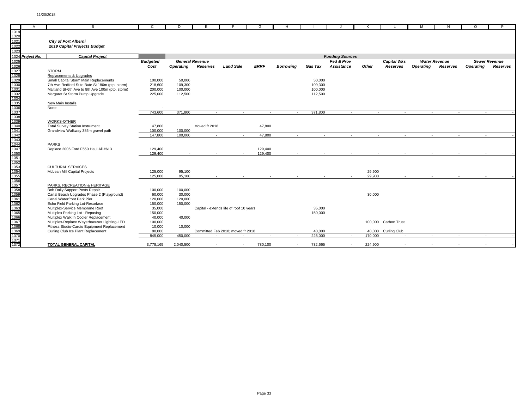|                                                                                                                                                                                                                                                                                                                         | $\mathsf{A}$     | B.                                                                  | C.                | D                | E.                     | F                                       | G           | H                        |         |                          | к       |                      | M                | N                    | $\Omega$         | P                    |
|-------------------------------------------------------------------------------------------------------------------------------------------------------------------------------------------------------------------------------------------------------------------------------------------------------------------------|------------------|---------------------------------------------------------------------|-------------------|------------------|------------------------|-----------------------------------------|-------------|--------------------------|---------|--------------------------|---------|----------------------|------------------|----------------------|------------------|----------------------|
| 1319                                                                                                                                                                                                                                                                                                                    |                  |                                                                     |                   |                  |                        |                                         |             |                          |         |                          |         |                      |                  |                      |                  |                      |
| 1320                                                                                                                                                                                                                                                                                                                    |                  |                                                                     |                   |                  |                        |                                         |             |                          |         |                          |         |                      |                  |                      |                  |                      |
| 1321                                                                                                                                                                                                                                                                                                                    |                  | <b>City of Port Alberni</b>                                         |                   |                  |                        |                                         |             |                          |         |                          |         |                      |                  |                      |                  |                      |
| 1322                                                                                                                                                                                                                                                                                                                    |                  | 2019 Capital Projects Budget                                        |                   |                  |                        |                                         |             |                          |         |                          |         |                      |                  |                      |                  |                      |
| 1323                                                                                                                                                                                                                                                                                                                    |                  |                                                                     |                   |                  |                        |                                         |             |                          |         |                          |         |                      |                  |                      |                  |                      |
|                                                                                                                                                                                                                                                                                                                         | 1324 Project No. | <b>Capital Project</b>                                              |                   |                  |                        |                                         |             |                          |         | <b>Funding Sources</b>   |         |                      |                  |                      |                  |                      |
| 1325                                                                                                                                                                                                                                                                                                                    |                  |                                                                     | <b>Budgeted</b>   |                  | <b>General Revenue</b> |                                         |             |                          |         | Fed & Prov               |         | <b>Capital Wks</b>   |                  | <b>Water Revenue</b> |                  | <b>Sewer Revenue</b> |
| 1326                                                                                                                                                                                                                                                                                                                    |                  |                                                                     | Cost              | <b>Operating</b> | Reserves               | <b>Land Sale</b>                        | <b>ERRF</b> | <b>Borrowina</b>         | Gas Tax | <b>Assistance</b>        | Other   | Reserves             | <b>Operating</b> | Reserves             | <b>Operating</b> | Reserves             |
|                                                                                                                                                                                                                                                                                                                         |                  | <b>STORM</b>                                                        |                   |                  |                        |                                         |             |                          |         |                          |         |                      |                  |                      |                  |                      |
|                                                                                                                                                                                                                                                                                                                         |                  | Replacements & Upgrades                                             |                   |                  |                        |                                         |             |                          |         |                          |         |                      |                  |                      |                  |                      |
|                                                                                                                                                                                                                                                                                                                         |                  | Small Capital Storm Main Replacements                               | 100,000           | 50,000           |                        |                                         |             |                          | 50,000  |                          |         |                      |                  |                      |                  |                      |
|                                                                                                                                                                                                                                                                                                                         |                  | 7th Ave-Redford St to Bute St 180m (ptp, storm)                     | 218,600           | 109,300          |                        |                                         |             |                          | 109,300 |                          |         |                      |                  |                      |                  |                      |
|                                                                                                                                                                                                                                                                                                                         |                  | Maitland St-6th Ave to 8th Ave 100m (ptp, storm)                    | 200,000           | 100,000          |                        |                                         |             |                          | 100,000 |                          |         |                      |                  |                      |                  |                      |
|                                                                                                                                                                                                                                                                                                                         |                  | Margaret St Storm Pump Upgrade                                      | 225,000           | 112,500          |                        |                                         |             |                          | 112,500 |                          |         |                      |                  |                      |                  |                      |
|                                                                                                                                                                                                                                                                                                                         |                  |                                                                     |                   |                  |                        |                                         |             |                          |         |                          |         |                      |                  |                      |                  |                      |
|                                                                                                                                                                                                                                                                                                                         |                  | New Main Installs                                                   |                   |                  |                        |                                         |             |                          |         |                          |         |                      |                  |                      |                  |                      |
|                                                                                                                                                                                                                                                                                                                         |                  | None                                                                |                   |                  |                        |                                         |             |                          |         |                          |         |                      |                  |                      |                  |                      |
|                                                                                                                                                                                                                                                                                                                         |                  |                                                                     | 743,600           | 371,800          | $\sim$ $-$             | $\sim$                                  | $\sim$      | $\sim$                   | 371,800 |                          | $\sim$  | $\sim$<br>$\sim$     |                  | $\sim$<br>$\sim$     |                  | $\sim$               |
|                                                                                                                                                                                                                                                                                                                         |                  |                                                                     |                   |                  |                        |                                         |             |                          |         |                          |         |                      |                  |                      |                  |                      |
|                                                                                                                                                                                                                                                                                                                         |                  | <b>WORKS-OTHER</b>                                                  |                   |                  |                        |                                         |             |                          |         |                          |         |                      |                  |                      |                  |                      |
|                                                                                                                                                                                                                                                                                                                         |                  | <b>Total Survey Station Instrument</b>                              | 47,800            |                  | Moved fr 2018          |                                         | 47,800      |                          |         |                          |         |                      |                  |                      |                  |                      |
|                                                                                                                                                                                                                                                                                                                         |                  | Grandview Walkway 385m gravel path                                  | 100.000           | 100.000          |                        |                                         |             |                          |         |                          |         |                      |                  |                      |                  |                      |
|                                                                                                                                                                                                                                                                                                                         |                  |                                                                     | 147.800           | 100.000          | $\sim$                 | $\overline{\phantom{a}}$                | 47,800      | $\overline{\phantom{a}}$ | $\sim$  | $\overline{\phantom{a}}$ |         | $\sim$<br>$\sim$     | $\sim$           | $\sim$               |                  | $\sim$               |
|                                                                                                                                                                                                                                                                                                                         |                  |                                                                     |                   |                  |                        |                                         |             |                          |         |                          |         |                      |                  |                      |                  |                      |
|                                                                                                                                                                                                                                                                                                                         |                  | <b>PARKS</b>                                                        |                   |                  |                        |                                         |             |                          |         |                          |         |                      |                  |                      |                  |                      |
|                                                                                                                                                                                                                                                                                                                         |                  | Replace 2006 Ford F550 Haul All #613                                | 129.400           |                  |                        |                                         | 129,400     |                          |         |                          |         |                      |                  |                      |                  |                      |
|                                                                                                                                                                                                                                                                                                                         |                  |                                                                     | 129,400           | $\sim$           | $\sim$                 |                                         | 129,400     | $\sim$                   | $\sim$  | $\overline{\phantom{a}}$ |         | $\sim$<br>$\sim$     | $\sim$           | $\sim$               |                  |                      |
|                                                                                                                                                                                                                                                                                                                         |                  |                                                                     |                   |                  |                        |                                         |             |                          |         |                          |         |                      |                  |                      |                  |                      |
|                                                                                                                                                                                                                                                                                                                         |                  |                                                                     |                   |                  |                        |                                         |             |                          |         |                          |         |                      |                  |                      |                  |                      |
|                                                                                                                                                                                                                                                                                                                         |                  | <b>CULTURAL SERVICES</b>                                            |                   |                  |                        |                                         |             |                          |         |                          |         |                      |                  |                      |                  |                      |
|                                                                                                                                                                                                                                                                                                                         |                  | McLean Mill Capital Projects                                        | 125,000           | 95,100           |                        |                                         |             |                          |         |                          | 29,900  |                      |                  |                      |                  |                      |
|                                                                                                                                                                                                                                                                                                                         |                  |                                                                     | 125,000           | 95.100           | $\sim$ $-$             | $\sim$                                  | $\sim$ $-$  | $\sim$                   | $\sim$  | $\overline{\phantom{a}}$ | 29.900  | $\sim$               | $\sim$           | $\sim$               |                  | $\sim$               |
|                                                                                                                                                                                                                                                                                                                         |                  |                                                                     |                   |                  |                        |                                         |             |                          |         |                          |         |                      |                  |                      |                  |                      |
|                                                                                                                                                                                                                                                                                                                         |                  | PARKS, RECREATION & HERITAGE                                        |                   |                  |                        |                                         |             |                          |         |                          |         |                      |                  |                      |                  |                      |
|                                                                                                                                                                                                                                                                                                                         |                  | Bob Daily Support Posts Repair                                      | 100,000           | 100,000          |                        |                                         |             |                          |         |                          |         |                      |                  |                      |                  |                      |
|                                                                                                                                                                                                                                                                                                                         |                  | Canal Beach Upgrades Phase 2 (Playground)                           | 60,000            | 30,000           |                        |                                         |             |                          |         |                          | 30,000  |                      |                  |                      |                  |                      |
|                                                                                                                                                                                                                                                                                                                         |                  | Canal Waterfront Park Pier                                          | 120,000           | 120,000          |                        |                                         |             |                          |         |                          |         |                      |                  |                      |                  |                      |
|                                                                                                                                                                                                                                                                                                                         |                  | Echo Field Parking Lot-Resurface<br>Multiplex-Service Membrane Roof | 150,000<br>35,000 | 150,000          |                        | Capital - extends life of roof 10 years |             |                          | 35,000  |                          |         |                      |                  |                      |                  |                      |
|                                                                                                                                                                                                                                                                                                                         |                  | Multiplex Parking Lot - Repaving                                    | 150,000           |                  |                        |                                         |             |                          | 150,000 |                          |         |                      |                  |                      |                  |                      |
|                                                                                                                                                                                                                                                                                                                         |                  | Multiplex Walk In Cooler Replacement                                | 40,000            | 40,000           |                        |                                         |             |                          |         |                          |         |                      |                  |                      |                  |                      |
|                                                                                                                                                                                                                                                                                                                         |                  | Multiplex-Replace Weyerhaeuser Lighting-LED                         | 100,000           |                  |                        |                                         |             |                          |         |                          |         | 100,000 Carbon Trust |                  |                      |                  |                      |
|                                                                                                                                                                                                                                                                                                                         |                  | Fitness Studio-Cardio Equipment Replacement                         | 10,000            | 10,000           |                        |                                         |             |                          |         |                          |         |                      |                  |                      |                  |                      |
|                                                                                                                                                                                                                                                                                                                         |                  | Curling Club Ice Plant Replacement                                  | 80,000            |                  |                        | Committed Feb 2018; moved fr 2018       |             |                          | 40,000  |                          | 40,000  | <b>Curling Club</b>  |                  |                      |                  |                      |
| $\frac{1327}{1328} \frac{1333}{1333} \frac{337}{1333} \frac{337}{1333} \frac{337}{1333} \frac{337}{1333} \frac{337}{1333} \frac{337}{1333} \frac{337}{1333} \frac{337}{1333} \frac{337}{1333} \frac{337}{1333} \frac{337}{1333} \frac{337}{13333} \frac{337}{13333} \frac{337}{13333} \frac{337}{13333} \frac{337}{133$ |                  |                                                                     | 845,000           | 450,000          | $\sim$                 | $\overline{a}$                          | $\sim$      |                          | 225,000 | $\sim$                   | 170,000 | $\sim$               | $\sim$           | $\sim$               |                  | . п.                 |
| 1371                                                                                                                                                                                                                                                                                                                    |                  |                                                                     |                   |                  |                        |                                         |             |                          |         |                          |         |                      |                  |                      |                  |                      |
| 1372                                                                                                                                                                                                                                                                                                                    |                  | <b>TOTAL GENERAL CAPITAL</b>                                        | 3,778,165         | 2,040,500        | ٠                      | $\overline{a}$                          | 780,100     | $\overline{\phantom{a}}$ | 732,665 | $\overline{a}$           | 224.900 |                      |                  |                      |                  |                      |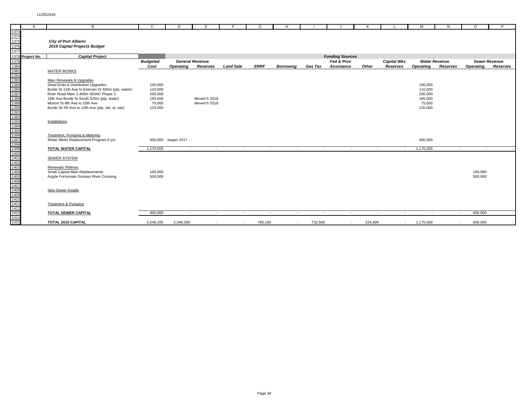|                                                                                                                                                                                                                                                                                                                    | $\overline{A}$   | B                                                 | C               | D                  | E                      |                  | G           | H                        |         |                                    | к       |                    | м                | N                    | $\circ$          | P                    |
|--------------------------------------------------------------------------------------------------------------------------------------------------------------------------------------------------------------------------------------------------------------------------------------------------------------------|------------------|---------------------------------------------------|-----------------|--------------------|------------------------|------------------|-------------|--------------------------|---------|------------------------------------|---------|--------------------|------------------|----------------------|------------------|----------------------|
| 1373                                                                                                                                                                                                                                                                                                               |                  |                                                   |                 |                    |                        |                  |             |                          |         |                                    |         |                    |                  |                      |                  |                      |
| 1374<br>1375                                                                                                                                                                                                                                                                                                       |                  |                                                   |                 |                    |                        |                  |             |                          |         |                                    |         |                    |                  |                      |                  |                      |
|                                                                                                                                                                                                                                                                                                                    |                  | <b>City of Port Alberni</b>                       |                 |                    |                        |                  |             |                          |         |                                    |         |                    |                  |                      |                  |                      |
| 1376                                                                                                                                                                                                                                                                                                               |                  | 2019 Capital Projects Budget                      |                 |                    |                        |                  |             |                          |         |                                    |         |                    |                  |                      |                  |                      |
| 1377                                                                                                                                                                                                                                                                                                               |                  |                                                   |                 |                    |                        |                  |             |                          |         |                                    |         |                    |                  |                      |                  |                      |
|                                                                                                                                                                                                                                                                                                                    | 1378 Project No. | <b>Capital Project</b>                            |                 |                    |                        |                  |             |                          |         | <b>Funding Sources</b>             |         |                    |                  |                      |                  |                      |
|                                                                                                                                                                                                                                                                                                                    |                  |                                                   | <b>Budgeted</b> |                    | <b>General Revenue</b> |                  |             |                          |         | Fed & Prov                         |         | <b>Capital Wks</b> |                  | <b>Water Revenue</b> |                  | <b>Sewer Revenue</b> |
|                                                                                                                                                                                                                                                                                                                    |                  |                                                   | Cost            | <b>Operating</b>   | Reserves               | <b>Land Sale</b> | <b>ERRF</b> | <b>Borrowina</b>         | Gas Tax | <b>Assistance</b>                  | Other   | Reserves           | <b>Operating</b> | Reserves             | <b>Operating</b> | Reserves             |
|                                                                                                                                                                                                                                                                                                                    |                  | <b>WATER WORKS</b>                                |                 |                    |                        |                  |             |                          |         |                                    |         |                    |                  |                      |                  |                      |
|                                                                                                                                                                                                                                                                                                                    |                  |                                                   |                 |                    |                        |                  |             |                          |         |                                    |         |                    |                  |                      |                  |                      |
|                                                                                                                                                                                                                                                                                                                    |                  | Main Renewals & Upgrades                          |                 |                    |                        |                  |             |                          |         |                                    |         |                    |                  |                      |                  |                      |
|                                                                                                                                                                                                                                                                                                                    |                  | Dead Ends & Distribution Upgrades                 | 100,000         |                    |                        |                  |             |                          |         |                                    |         |                    | 100,000          |                      |                  |                      |
|                                                                                                                                                                                                                                                                                                                    |                  | Burde St-11th Ave to Estevan Dr 650m (ptp, water) | 110,000         |                    |                        |                  |             |                          |         |                                    |         |                    | 110,000          |                      |                  |                      |
|                                                                                                                                                                                                                                                                                                                    |                  | River Road Main 2,400m 350AC Phase 3              | 200,000         |                    |                        |                  |             |                          |         |                                    |         |                    | 200,000          |                      |                  |                      |
|                                                                                                                                                                                                                                                                                                                    |                  | 16th Ave-Burde St South 325m (ptp, water)         | 165,000         |                    | Moved fr 2018          |                  |             |                          |         |                                    |         |                    | 165,000          |                      |                  |                      |
|                                                                                                                                                                                                                                                                                                                    |                  | Morton St-9th Ave to 10th Ave                     | 75,000          |                    | Moved fr 2018          |                  |             |                          |         |                                    |         |                    | 75,000           |                      |                  |                      |
|                                                                                                                                                                                                                                                                                                                    |                  | Burde St-7th Ave to 10th Ave (ptp, wtr, st, swr)  | 120,000         |                    |                        |                  |             |                          |         |                                    |         |                    | 120,000          |                      |                  |                      |
|                                                                                                                                                                                                                                                                                                                    |                  |                                                   |                 |                    |                        |                  |             |                          |         |                                    |         |                    |                  |                      |                  |                      |
|                                                                                                                                                                                                                                                                                                                    |                  |                                                   |                 |                    |                        |                  |             |                          |         |                                    |         |                    |                  |                      |                  |                      |
|                                                                                                                                                                                                                                                                                                                    |                  | Installations                                     |                 |                    |                        |                  |             |                          |         |                                    |         |                    |                  |                      |                  |                      |
|                                                                                                                                                                                                                                                                                                                    |                  |                                                   |                 |                    |                        |                  |             |                          |         |                                    |         |                    |                  |                      |                  |                      |
|                                                                                                                                                                                                                                                                                                                    |                  |                                                   |                 |                    |                        |                  |             |                          |         |                                    |         |                    |                  |                      |                  |                      |
|                                                                                                                                                                                                                                                                                                                    |                  | Treatment, Pumping & Metering                     |                 |                    |                        |                  |             |                          |         |                                    |         |                    |                  |                      |                  |                      |
|                                                                                                                                                                                                                                                                                                                    |                  | Water Meter Replacement Program 6 yrs             |                 | 400,000 began 2017 |                        |                  |             |                          |         |                                    |         |                    | 400,000          |                      |                  |                      |
|                                                                                                                                                                                                                                                                                                                    |                  |                                                   |                 |                    |                        |                  |             |                          |         |                                    |         |                    |                  |                      |                  |                      |
|                                                                                                                                                                                                                                                                                                                    |                  | TOTAL WATER CAPITAL                               | 1,170,000       | $\sim$             | $\sim$                 | $\sim$           | $\sim$      | $\overline{\phantom{a}}$ |         | $\overline{\phantom{a}}$<br>$\sim$ |         | $\sim$<br>$\sim$   | 1,170,000        | $\sim$               | $\sim$           |                      |
|                                                                                                                                                                                                                                                                                                                    |                  |                                                   |                 |                    |                        |                  |             |                          |         |                                    |         |                    |                  |                      |                  |                      |
|                                                                                                                                                                                                                                                                                                                    |                  | <b>SEWER SYSTEM</b>                               |                 |                    |                        |                  |             |                          |         |                                    |         |                    |                  |                      |                  |                      |
|                                                                                                                                                                                                                                                                                                                    |                  |                                                   |                 |                    |                        |                  |             |                          |         |                                    |         |                    |                  |                      |                  |                      |
|                                                                                                                                                                                                                                                                                                                    |                  | Renewals / Relines                                |                 |                    |                        |                  |             |                          |         |                                    |         |                    |                  |                      |                  |                      |
|                                                                                                                                                                                                                                                                                                                    |                  | Small Capital Main Replacements                   | 100,000         |                    |                        |                  |             |                          |         |                                    |         |                    |                  |                      | 100,000          |                      |
|                                                                                                                                                                                                                                                                                                                    |                  | Argyle Forcemain Somass River Crossing            | 500,000         |                    |                        |                  |             |                          |         |                                    |         |                    |                  |                      | 500,000          |                      |
|                                                                                                                                                                                                                                                                                                                    |                  |                                                   |                 |                    |                        |                  |             |                          |         |                                    |         |                    |                  |                      |                  |                      |
|                                                                                                                                                                                                                                                                                                                    |                  |                                                   |                 |                    |                        |                  |             |                          |         |                                    |         |                    |                  |                      |                  |                      |
|                                                                                                                                                                                                                                                                                                                    |                  | New Sewer Installs                                |                 |                    |                        |                  |             |                          |         |                                    |         |                    |                  |                      |                  |                      |
|                                                                                                                                                                                                                                                                                                                    |                  |                                                   |                 |                    |                        |                  |             |                          |         |                                    |         |                    |                  |                      |                  |                      |
|                                                                                                                                                                                                                                                                                                                    |                  |                                                   |                 |                    |                        |                  |             |                          |         |                                    |         |                    |                  |                      |                  |                      |
|                                                                                                                                                                                                                                                                                                                    |                  | <b>Treatment &amp; Pumping</b>                    |                 |                    |                        |                  |             |                          |         |                                    |         |                    |                  |                      |                  |                      |
|                                                                                                                                                                                                                                                                                                                    |                  |                                                   |                 |                    |                        |                  |             |                          |         |                                    |         |                    |                  |                      |                  |                      |
| $\frac{1378}{13880} \frac{1380}{1380} \frac{1380}{1380} \frac{1380}{1380} \frac{1380}{1380} \frac{1380}{1380} \frac{1380}{1380} \frac{1380}{1380} \frac{1380}{1380} \frac{1380}{1380} \frac{1380}{1380} \frac{1380}{1380} \frac{1380}{1380} \frac{1380}{1380} \frac{1380}{1380} \frac{1380}{1380} \frac{1380}{138$ |                  | <b>TOTAL SEWER CAPITAL</b>                        | 600,000         | $\sim$             | $\sim$ $-$             | $\sim$           | $\sim$      | $\sim$                   |         | $\sim$<br>$\sim$                   |         | $\sim$<br>$\sim$   | $\sim$ $-$       | $\sim$               | 600,000          |                      |
| 1415                                                                                                                                                                                                                                                                                                               |                  | TOTAL 2019 CAPITAL                                |                 | 2,040,500          |                        | $\overline{a}$   | 780,100     |                          | 732,665 |                                    | 224,900 |                    | 1,170,000        |                      |                  |                      |
|                                                                                                                                                                                                                                                                                                                    |                  |                                                   | 5,548,165       |                    |                        |                  |             | $\overline{\phantom{a}}$ |         | $\overline{\phantom{a}}$           |         | $\sim$             |                  | $\sim$               | 600,000          |                      |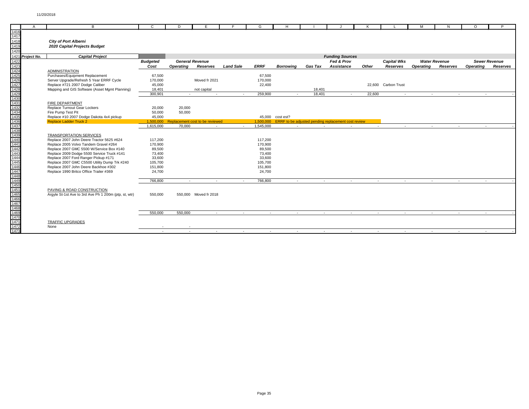|                                                                                                                                                                                                                                                                                                                                                                                                                                                                     | $\mathsf{A}$     | B                                                     | $\mathsf{C}$    | D                | E                               |                  | G                 | H                |                |                                                     |        |                     | M                | N                    | $\Omega$         | P                    |
|---------------------------------------------------------------------------------------------------------------------------------------------------------------------------------------------------------------------------------------------------------------------------------------------------------------------------------------------------------------------------------------------------------------------------------------------------------------------|------------------|-------------------------------------------------------|-----------------|------------------|---------------------------------|------------------|-------------------|------------------|----------------|-----------------------------------------------------|--------|---------------------|------------------|----------------------|------------------|----------------------|
| 1416                                                                                                                                                                                                                                                                                                                                                                                                                                                                |                  |                                                       |                 |                  |                                 |                  |                   |                  |                |                                                     |        |                     |                  |                      |                  |                      |
| 1417                                                                                                                                                                                                                                                                                                                                                                                                                                                                |                  |                                                       |                 |                  |                                 |                  |                   |                  |                |                                                     |        |                     |                  |                      |                  |                      |
| 1418                                                                                                                                                                                                                                                                                                                                                                                                                                                                |                  | <b>City of Port Alberni</b>                           |                 |                  |                                 |                  |                   |                  |                |                                                     |        |                     |                  |                      |                  |                      |
| 1419                                                                                                                                                                                                                                                                                                                                                                                                                                                                |                  | 2020 Capital Projects Budget                          |                 |                  |                                 |                  |                   |                  |                |                                                     |        |                     |                  |                      |                  |                      |
| 1420                                                                                                                                                                                                                                                                                                                                                                                                                                                                |                  |                                                       |                 |                  |                                 |                  |                   |                  |                |                                                     |        |                     |                  |                      |                  |                      |
|                                                                                                                                                                                                                                                                                                                                                                                                                                                                     | 1421 Project No. | <b>Capital Project</b>                                |                 |                  |                                 |                  |                   |                  |                | <b>Funding Sources</b>                              |        |                     |                  |                      |                  |                      |
| 1422                                                                                                                                                                                                                                                                                                                                                                                                                                                                |                  |                                                       | <b>Budgeted</b> |                  | <b>General Revenue</b>          |                  |                   |                  |                | Fed & Prov                                          |        | <b>Capital Wks</b>  |                  | <b>Water Revenue</b> |                  | <b>Sewer Revenue</b> |
|                                                                                                                                                                                                                                                                                                                                                                                                                                                                     |                  |                                                       | Cost            | <b>Operating</b> | Reserves                        | <b>Land Sale</b> | <b>ERRF</b>       | <b>Borrowina</b> | <b>Gas Tax</b> | <b>Assistance</b>                                   | Other  | Reserves            | <b>Operating</b> | <b>Reserves</b>      | <b>Operating</b> | Reserves             |
|                                                                                                                                                                                                                                                                                                                                                                                                                                                                     |                  | <b>ADMINISTRATION</b>                                 |                 |                  |                                 |                  |                   |                  |                |                                                     |        |                     |                  |                      |                  |                      |
|                                                                                                                                                                                                                                                                                                                                                                                                                                                                     |                  | Purchases/Equipment Replacement                       | 67,500          |                  |                                 |                  | 67,500            |                  |                |                                                     |        |                     |                  |                      |                  |                      |
|                                                                                                                                                                                                                                                                                                                                                                                                                                                                     |                  | Server Upgrade/Refresh 5 Year ERRF Cycle              | 170,000         |                  | Moved fr 2021                   |                  | 170,000           |                  |                |                                                     |        |                     |                  |                      |                  |                      |
|                                                                                                                                                                                                                                                                                                                                                                                                                                                                     |                  | Replace #721 2007 Dodge Caliber                       | 45,000          |                  |                                 |                  | 22,400            |                  |                |                                                     |        | 22,600 Carbon Trust |                  |                      |                  |                      |
|                                                                                                                                                                                                                                                                                                                                                                                                                                                                     |                  | Mapping and GIS Software (Asset Mgmt Planning)        | 18,401          |                  | not capital                     |                  |                   |                  | 18.401         |                                                     |        |                     |                  |                      |                  |                      |
|                                                                                                                                                                                                                                                                                                                                                                                                                                                                     |                  |                                                       | 300,901         |                  | $\sim$                          | $\overline{a}$   | 259,900           |                  | 18,401         | $\sim$                                              | 22,600 | $\sim$              | $\sim$           | $\sim$               |                  |                      |
|                                                                                                                                                                                                                                                                                                                                                                                                                                                                     |                  |                                                       |                 |                  |                                 |                  |                   |                  |                |                                                     |        |                     |                  |                      |                  |                      |
|                                                                                                                                                                                                                                                                                                                                                                                                                                                                     |                  | <b>FIRE DEPARTMENT</b>                                |                 |                  |                                 |                  |                   |                  |                |                                                     |        |                     |                  |                      |                  |                      |
|                                                                                                                                                                                                                                                                                                                                                                                                                                                                     |                  | Replace Turnout Gear Lockers                          | 20,000          | 20,000           |                                 |                  |                   |                  |                |                                                     |        |                     |                  |                      |                  |                      |
|                                                                                                                                                                                                                                                                                                                                                                                                                                                                     |                  | Fire Pump Test Pit                                    | 50,000          | 50,000           |                                 |                  |                   |                  |                |                                                     |        |                     |                  |                      |                  |                      |
|                                                                                                                                                                                                                                                                                                                                                                                                                                                                     |                  | Replace #10 2007 Dodge Dakota 4x4 pickup              | 45,000          |                  |                                 |                  |                   | 45,000 cost est? |                |                                                     |        |                     |                  |                      |                  |                      |
|                                                                                                                                                                                                                                                                                                                                                                                                                                                                     |                  | <b>Replace Ladder Truck 2</b>                         | 1.500.000       |                  | Replacement cost to be reviewed |                  | 1.500.000         |                  |                | ERRF to be adjusted pending replacement cost review |        |                     |                  |                      |                  |                      |
|                                                                                                                                                                                                                                                                                                                                                                                                                                                                     |                  |                                                       | 1,615,000       | 70,000           | $\sim$                          | $\sim$           | 1,545,000         | $\sim$           | $\sim$         | $\sim$                                              | $\sim$ | $\sim$              | $\sim$           | $\sim$               | $\sim$           |                      |
|                                                                                                                                                                                                                                                                                                                                                                                                                                                                     |                  |                                                       |                 |                  |                                 |                  |                   |                  |                |                                                     |        |                     |                  |                      |                  |                      |
|                                                                                                                                                                                                                                                                                                                                                                                                                                                                     |                  | <b>TRANSPORTATION SERVICES</b>                        |                 |                  |                                 |                  |                   |                  |                |                                                     |        |                     |                  |                      |                  |                      |
|                                                                                                                                                                                                                                                                                                                                                                                                                                                                     |                  | Replace 2007 John Deere Tractor 5625 #624             | 117,200         |                  |                                 |                  | 117,200           |                  |                |                                                     |        |                     |                  |                      |                  |                      |
|                                                                                                                                                                                                                                                                                                                                                                                                                                                                     |                  | Replace 2005 Volvo Tandem Gravel #264                 | 170,900         |                  |                                 |                  | 170,900           |                  |                |                                                     |        |                     |                  |                      |                  |                      |
|                                                                                                                                                                                                                                                                                                                                                                                                                                                                     |                  | Replace 2007 GMC 5500 W/Service Box #140              | 89,500          |                  |                                 |                  | 89,500            |                  |                |                                                     |        |                     |                  |                      |                  |                      |
|                                                                                                                                                                                                                                                                                                                                                                                                                                                                     |                  | Replace 2009 Dodge 5500 Service Truck #141            | 73,400          |                  |                                 |                  | 73,400            |                  |                |                                                     |        |                     |                  |                      |                  |                      |
|                                                                                                                                                                                                                                                                                                                                                                                                                                                                     |                  | Replace 2007 Ford Ranger Pickup #171                  | 33,600          |                  |                                 |                  | 33,600            |                  |                |                                                     |        |                     |                  |                      |                  |                      |
|                                                                                                                                                                                                                                                                                                                                                                                                                                                                     |                  | Replace 2007 GMC C5500 Utility Dump Trk #240          | 105,700         |                  |                                 |                  | 105,700           |                  |                |                                                     |        |                     |                  |                      |                  |                      |
|                                                                                                                                                                                                                                                                                                                                                                                                                                                                     |                  | Replace 2007 John Deere Backhoe #302                  | 151,800         |                  |                                 |                  | 151,800           |                  |                |                                                     |        |                     |                  |                      |                  |                      |
|                                                                                                                                                                                                                                                                                                                                                                                                                                                                     |                  | Replace 1990 Britco Office Trailer #369               | 24,700          |                  |                                 |                  | 24,700            |                  |                |                                                     |        |                     |                  |                      |                  |                      |
|                                                                                                                                                                                                                                                                                                                                                                                                                                                                     |                  |                                                       |                 |                  |                                 |                  |                   |                  |                |                                                     |        |                     |                  |                      |                  |                      |
|                                                                                                                                                                                                                                                                                                                                                                                                                                                                     |                  |                                                       | 766,800         | $\sim$           | $\sim$                          |                  | 766,800<br>$\sim$ | $\sim$           | $\sim$         | $\sim$                                              | $\sim$ | $\sim$              | $\sim$           | $\sim$               | $\sim$           |                      |
|                                                                                                                                                                                                                                                                                                                                                                                                                                                                     |                  |                                                       |                 |                  |                                 |                  |                   |                  |                |                                                     |        |                     |                  |                      |                  |                      |
|                                                                                                                                                                                                                                                                                                                                                                                                                                                                     |                  | PAVING & ROAD CONSTRUCTION                            |                 |                  |                                 |                  |                   |                  |                |                                                     |        |                     |                  |                      |                  |                      |
|                                                                                                                                                                                                                                                                                                                                                                                                                                                                     |                  | Argyle St-1st Ave to 3rd Ave Ph 1 200m (ptp, st, wtr) | 550,000         |                  | 550,000 Moved fr 2018           |                  |                   |                  |                |                                                     |        |                     |                  |                      |                  |                      |
|                                                                                                                                                                                                                                                                                                                                                                                                                                                                     |                  |                                                       |                 |                  |                                 |                  |                   |                  |                |                                                     |        |                     |                  |                      |                  |                      |
|                                                                                                                                                                                                                                                                                                                                                                                                                                                                     |                  |                                                       |                 |                  |                                 |                  |                   |                  |                |                                                     |        |                     |                  |                      |                  |                      |
| $\frac{1424}{1426} \underline{1428} \underline{29} \underline{1424} \underline{284} \underline{29} \underline{1425} \underline{1426} \underline{27428} \underline{2844} \underline{2944} \underline{2944} \underline{2344} \underline{2344} \underline{2344} \underline{2344} \underline{2344} \underline{2444} \underline{24444} \underline{24444} \underline{24444} \underline{24444} \underline{254444} \underline{244444} \underline{254444} \underline{244444$ |                  |                                                       | 550,000         | 550,000          | $\sim$                          |                  | $\sim$<br>$\sim$  | $\sim$           | $\sim$         | $\sim$                                              | $\sim$ | $\sim$              | $\sim$           | $\sim$               | $\sim$           |                      |
|                                                                                                                                                                                                                                                                                                                                                                                                                                                                     |                  |                                                       |                 |                  |                                 |                  |                   |                  |                |                                                     |        |                     |                  |                      |                  |                      |
| 1471                                                                                                                                                                                                                                                                                                                                                                                                                                                                |                  | <b>TRAFFIC UPGRADES</b>                               |                 |                  |                                 |                  |                   |                  |                |                                                     |        |                     |                  |                      |                  |                      |
|                                                                                                                                                                                                                                                                                                                                                                                                                                                                     |                  | None                                                  |                 |                  |                                 |                  |                   |                  |                |                                                     |        |                     |                  |                      |                  |                      |
| 1472<br>1473                                                                                                                                                                                                                                                                                                                                                                                                                                                        |                  |                                                       | $\sim$          | $\sim$           | $\sim$                          |                  | $\sim$<br>$\sim$  | $\sim$           | $\sim$         | $\sim$                                              | $\sim$ | $\sim$              | $\sim$           | $\sim$               | $\sim$           |                      |
|                                                                                                                                                                                                                                                                                                                                                                                                                                                                     |                  |                                                       |                 |                  |                                 |                  |                   |                  |                |                                                     |        |                     |                  |                      |                  |                      |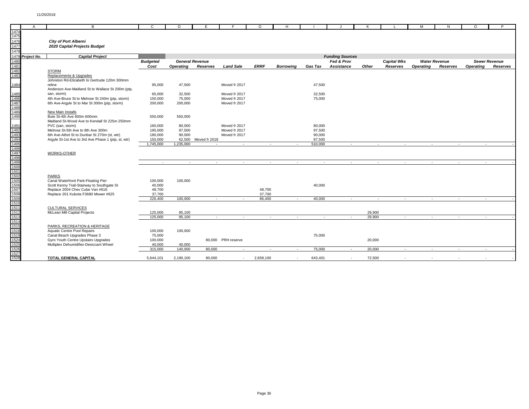|                                                                                                      | $\mathsf{A}$     | B                                                                                  | $\mathbf{C}$       | D                | E.                     | F                              | G           | H                        |                  |                          | K      |                    | м                | N                    | $\Omega$         | P                    |
|------------------------------------------------------------------------------------------------------|------------------|------------------------------------------------------------------------------------|--------------------|------------------|------------------------|--------------------------------|-------------|--------------------------|------------------|--------------------------|--------|--------------------|------------------|----------------------|------------------|----------------------|
| 1474                                                                                                 |                  |                                                                                    |                    |                  |                        |                                |             |                          |                  |                          |        |                    |                  |                      |                  |                      |
| 1475                                                                                                 |                  |                                                                                    |                    |                  |                        |                                |             |                          |                  |                          |        |                    |                  |                      |                  |                      |
| 1476                                                                                                 |                  | <b>City of Port Alberni</b>                                                        |                    |                  |                        |                                |             |                          |                  |                          |        |                    |                  |                      |                  |                      |
| 1477                                                                                                 |                  | 2020 Capital Projects Budget                                                       |                    |                  |                        |                                |             |                          |                  |                          |        |                    |                  |                      |                  |                      |
| 1478                                                                                                 |                  |                                                                                    |                    |                  |                        |                                |             |                          |                  |                          |        |                    |                  |                      |                  |                      |
|                                                                                                      | 1479 Project No. | <b>Capital Project</b>                                                             |                    |                  |                        |                                |             |                          |                  | <b>Funding Sources</b>   |        |                    |                  |                      |                  |                      |
| 1480                                                                                                 |                  |                                                                                    | <b>Budgeted</b>    |                  | <b>General Revenue</b> |                                |             |                          |                  | Fed & Prov               |        | <b>Capital Wks</b> |                  | <b>Water Revenue</b> |                  | <b>Sewer Revenue</b> |
| 1481                                                                                                 |                  |                                                                                    | Cost               | <b>Operating</b> | Reserves               | <b>Land Sale</b>               | <b>ERRF</b> | <b>Borrowing</b>         | <b>Gas Tax</b>   | Assistance               | Other  | Reserves           | <b>Operating</b> | Reserves             | <b>Operating</b> | Reserves             |
| 1482<br>1483                                                                                         |                  | <b>STORM</b>                                                                       |                    |                  |                        |                                |             |                          |                  |                          |        |                    |                  |                      |                  |                      |
|                                                                                                      |                  | Replacements & Upgrades<br>Johnston Rd-Elizabeth to Gertrude 120m 300mm            |                    |                  |                        |                                |             |                          |                  |                          |        |                    |                  |                      |                  |                      |
| 1484                                                                                                 |                  | reline                                                                             | 95,000             | 47,500           |                        | Moved fr 2017                  |             |                          | 47,500           |                          |        |                    |                  |                      |                  |                      |
|                                                                                                      |                  | Anderson Ave-Maitland St to Wallace St 200m (ptp,                                  |                    |                  |                        |                                |             |                          |                  |                          |        |                    |                  |                      |                  |                      |
| 1485                                                                                                 |                  | san, storm)                                                                        | 65,000             | 32,500           |                        | Moved fr 2017                  |             |                          | 32,500           |                          |        |                    |                  |                      |                  |                      |
|                                                                                                      |                  | 4th Ave-Bruce St to Melrose St 240m (ptp, storm)                                   | 150,000            | 75,000           |                        | Moved fr 2017                  |             |                          | 75,000           |                          |        |                    |                  |                      |                  |                      |
| 1155<br>1486<br>1487<br>1488                                                                         |                  | 6th Ave-Argyle St to Mar St 300m (ptp, storm)                                      | 200,000            | 200,000          |                        | Moved fr 2017                  |             |                          |                  |                          |        |                    |                  |                      |                  |                      |
|                                                                                                      |                  |                                                                                    |                    |                  |                        |                                |             |                          |                  |                          |        |                    |                  |                      |                  |                      |
|                                                                                                      |                  | New Main Installs                                                                  |                    |                  |                        |                                |             |                          |                  |                          |        |                    |                  |                      |                  |                      |
| 1490                                                                                                 |                  | Bute St-4th Ave 600m 600mm                                                         | 550,000            | 550,000          |                        |                                |             |                          |                  |                          |        |                    |                  |                      |                  |                      |
|                                                                                                      |                  | Maitland St-Wood Ave to Kendall St 225m 250mm                                      |                    |                  |                        |                                |             |                          |                  |                          |        |                    |                  |                      |                  |                      |
|                                                                                                      |                  | PVC (san, storm)                                                                   | 160,000            | 80,000           |                        | Moved fr 2017                  |             |                          | 80,000           |                          |        |                    |                  |                      |                  |                      |
|                                                                                                      |                  | Melrose St-5th Ave to 8th Ave 300m<br>6th Ave-Athol St to Dunbar St 270m (st, wtr) | 195,000<br>180,000 | 97,500<br>90,000 |                        | Moved fr 2017<br>Moved fr 2017 |             |                          | 97,500<br>90,000 |                          |        |                    |                  |                      |                  |                      |
|                                                                                                      |                  | Argyle St-1st Ave to 3rd Ave Phase 1 (ptp, st, wtr)                                | 150,000            |                  | 62,500 Moved fr 2018   |                                |             |                          | 87,500           |                          |        |                    |                  |                      |                  |                      |
|                                                                                                      |                  |                                                                                    | 1,745,000          | 1,235,000        |                        | $\overline{\phantom{a}}$       |             |                          | 510,000          | $\sim$                   |        |                    |                  |                      |                  |                      |
|                                                                                                      |                  |                                                                                    |                    |                  |                        |                                |             |                          |                  |                          |        |                    |                  |                      |                  |                      |
| 1491<br>1493<br>1493<br>1494<br>1496<br>1498<br>1498<br>1498<br>1500<br>1500<br>1500<br>1500<br>1500 |                  | WORKS-OTHER                                                                        |                    |                  |                        |                                |             |                          |                  |                          |        |                    |                  |                      |                  |                      |
|                                                                                                      |                  |                                                                                    |                    |                  |                        |                                |             |                          |                  |                          |        |                    |                  |                      |                  |                      |
|                                                                                                      |                  |                                                                                    | $\sim$             | $\sim$           | $\sim$                 | $\sim$                         | $\sim$ $-$  | $\sim$                   | $\sim$           | $\sim$                   |        | $\sim$<br>$\sim$   | $\sim$           | $\sim$               |                  | $\sim$               |
|                                                                                                      |                  |                                                                                    |                    |                  |                        |                                |             |                          |                  |                          |        |                    |                  |                      |                  |                      |
|                                                                                                      |                  |                                                                                    |                    |                  |                        |                                |             |                          |                  |                          |        |                    |                  |                      |                  |                      |
|                                                                                                      |                  | <b>PARKS</b>                                                                       |                    |                  |                        |                                |             |                          |                  |                          |        |                    |                  |                      |                  |                      |
|                                                                                                      |                  | Canal Waterfront Park-Floating Pier<br>Scott Kenny Trail-Stairway to Southgate St  | 100,000<br>40,000  | 100,000          |                        |                                |             |                          | 40,000           |                          |        |                    |                  |                      |                  |                      |
|                                                                                                      |                  | Replace 2004 Chev Cube Van #616                                                    | 48,700             |                  |                        |                                | 48,700      |                          |                  |                          |        |                    |                  |                      |                  |                      |
|                                                                                                      |                  | Replace 201 Kubota F3680 Mower #625                                                | 37,700             |                  |                        |                                | 37,700      |                          |                  |                          |        |                    |                  |                      |                  |                      |
| 1509                                                                                                 |                  |                                                                                    | 226,400            | 100.000          | $\sim$                 | $\sim$                         | 86,400      | $\sim$                   | 40.000           | $\sim$                   |        | $\sim$<br>$\sim$   | $\sim$           | $\sim$               | $\sim$           |                      |
|                                                                                                      |                  |                                                                                    |                    |                  |                        |                                |             |                          |                  |                          |        |                    |                  |                      |                  |                      |
| 1510<br>1511<br>1512                                                                                 |                  | <b>CULTURAL SERVICES</b>                                                           |                    |                  |                        |                                |             |                          |                  |                          |        |                    |                  |                      |                  |                      |
|                                                                                                      |                  | McLean Mill Capital Projects                                                       | 125,000            | 95,100           |                        |                                |             |                          |                  |                          | 29,900 |                    |                  |                      |                  |                      |
| 1513                                                                                                 |                  |                                                                                    | 125,000            | 95,100           | $\sim$                 | $\sim$                         | $\sim$      | $\sim$                   | $\sim$           | $\sim$                   | 29,900 | $\sim$             | $\sim$           | $\sim$               | $\sim$           |                      |
| 1514                                                                                                 |                  |                                                                                    |                    |                  |                        |                                |             |                          |                  |                          |        |                    |                  |                      |                  |                      |
| $\frac{1511}{1515}$ $\frac{1518}{1519}$ $\frac{1524}{1525}$                                          |                  | PARKS, RECREATION & HERITAGE                                                       |                    |                  |                        |                                |             |                          |                  |                          |        |                    |                  |                      |                  |                      |
|                                                                                                      |                  | Aquatic Centre Pool Repairs<br>Canal Beach Upgrades Phase 3                        | 100,000<br>75,000  | 100,000          |                        |                                |             |                          | 75,000           |                          |        |                    |                  |                      |                  |                      |
|                                                                                                      |                  | Gyro Youth Centre Upstairs Upgrades                                                | 100,000            |                  |                        | 80,000 PRH reserve             |             |                          |                  |                          | 20,000 |                    |                  |                      |                  |                      |
|                                                                                                      |                  | Multiplex Dehumidifier-Desiccant Wheel                                             | 40,000             | 40,000           |                        |                                |             |                          |                  |                          |        |                    |                  |                      |                  |                      |
| 1526                                                                                                 |                  |                                                                                    | 315,000            | 140,000          | 80,000                 | $\sim$                         | $\sim$      | $\overline{\phantom{a}}$ | 75,000           | $\overline{\phantom{a}}$ | 20,000 | $\sim$             | $\sim$           | $\sim$               | $\sim$           |                      |
| 1527                                                                                                 |                  |                                                                                    |                    |                  |                        |                                |             |                          |                  |                          |        |                    |                  |                      |                  |                      |
| 1528                                                                                                 |                  | TOTAL GENERAL CAPITAL                                                              | 5.644.101          | 2.190.100        | 80,000                 | $\sim$                         | 2.658.100   | $\overline{\phantom{a}}$ | 643.401          | $\overline{\phantom{a}}$ | 72.500 |                    |                  |                      |                  |                      |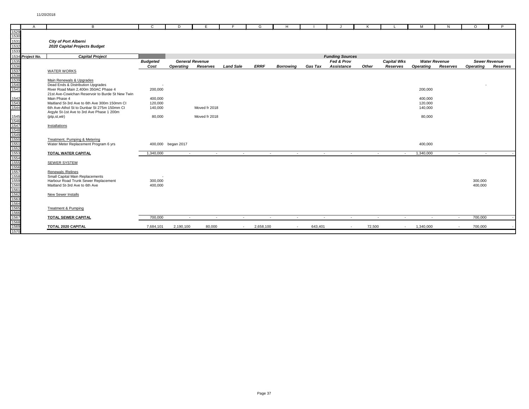|                                              | $\mathsf{A}$     | B                                                                                           | C               | D                  | E.                     | F.               | G           | H                        |                |                          | K      |                    | м                | N                    | $\Omega$           | P                    |
|----------------------------------------------|------------------|---------------------------------------------------------------------------------------------|-----------------|--------------------|------------------------|------------------|-------------|--------------------------|----------------|--------------------------|--------|--------------------|------------------|----------------------|--------------------|----------------------|
| 1529                                         |                  |                                                                                             |                 |                    |                        |                  |             |                          |                |                          |        |                    |                  |                      |                    |                      |
| 1530<br>1530<br>1531                         |                  |                                                                                             |                 |                    |                        |                  |             |                          |                |                          |        |                    |                  |                      |                    |                      |
|                                              |                  | <b>City of Port Alberni</b>                                                                 |                 |                    |                        |                  |             |                          |                |                          |        |                    |                  |                      |                    |                      |
|                                              |                  | 2020 Capital Projects Budget                                                                |                 |                    |                        |                  |             |                          |                |                          |        |                    |                  |                      |                    |                      |
| 1533                                         |                  |                                                                                             |                 |                    |                        |                  |             |                          |                |                          |        |                    |                  |                      |                    |                      |
|                                              | 1534 Project No. | <b>Capital Project</b>                                                                      |                 |                    |                        |                  |             |                          |                | <b>Funding Sources</b>   |        |                    |                  |                      |                    |                      |
| 1535<br>1536<br>1537<br>1538<br>1539<br>1540 |                  |                                                                                             | <b>Budgeted</b> |                    | <b>General Revenue</b> |                  |             |                          |                | Fed & Prov               |        | <b>Capital Wks</b> |                  | <b>Water Revenue</b> |                    | <b>Sewer Revenue</b> |
|                                              |                  |                                                                                             | Cost            | Operating          | Reserves               | <b>Land Sale</b> | <b>ERRF</b> | <b>Borrowing</b>         | <b>Gas Tax</b> | <b>Assistance</b>        | Other  | Reserves           | <b>Operating</b> | Reserves             | <b>Operating</b>   | Reserves             |
|                                              |                  | <b>WATER WORKS</b>                                                                          |                 |                    |                        |                  |             |                          |                |                          |        |                    |                  |                      |                    |                      |
|                                              |                  |                                                                                             |                 |                    |                        |                  |             |                          |                |                          |        |                    |                  |                      |                    |                      |
|                                              |                  | Main Renewals & Upgrades                                                                    |                 |                    |                        |                  |             |                          |                |                          |        |                    |                  |                      |                    |                      |
|                                              |                  | Dead Ends & Distribution Upgrades                                                           |                 |                    |                        |                  |             |                          |                |                          |        |                    |                  |                      |                    |                      |
|                                              |                  | River Road Main 2,400m 350AC Phase 4                                                        | 200,000         |                    |                        |                  |             |                          |                |                          |        |                    | 200,000          |                      |                    |                      |
|                                              |                  | 21st Ave-Cowichan Reservoir to Burde St New Twin                                            |                 |                    |                        |                  |             |                          |                |                          |        |                    |                  |                      |                    |                      |
| 1542<br>1543<br>1544                         |                  | Main Phase 4                                                                                | 400,000         |                    |                        |                  |             |                          |                |                          |        |                    | 400,000          |                      |                    |                      |
|                                              |                  | Maitland St-3rd Ave to 6th Ave 300m 150mm CI<br>6th Ave-Athol St to Dunbar St 275m 150mm CI | 120,000         |                    |                        |                  |             |                          |                |                          |        |                    | 120,000          |                      |                    |                      |
|                                              |                  | Argyle St-1st Ave to 3rd Ave Phase 1 200m                                                   | 140,000         |                    | Moved fr 2018          |                  |             |                          |                |                          |        |                    | 140,000          |                      |                    |                      |
|                                              |                  | (ptp.st.wtr)                                                                                | 80,000          |                    | Moved fr 2018          |                  |             |                          |                |                          |        |                    | 80,000           |                      |                    |                      |
|                                              |                  |                                                                                             |                 |                    |                        |                  |             |                          |                |                          |        |                    |                  |                      |                    |                      |
|                                              |                  | Installations                                                                               |                 |                    |                        |                  |             |                          |                |                          |        |                    |                  |                      |                    |                      |
|                                              |                  |                                                                                             |                 |                    |                        |                  |             |                          |                |                          |        |                    |                  |                      |                    |                      |
|                                              |                  |                                                                                             |                 |                    |                        |                  |             |                          |                |                          |        |                    |                  |                      |                    |                      |
|                                              |                  | Treatment, Pumping & Metering                                                               |                 |                    |                        |                  |             |                          |                |                          |        |                    |                  |                      |                    |                      |
|                                              |                  | Water Meter Replacement Program 6 yrs                                                       |                 | 400,000 began 2017 |                        |                  |             |                          |                |                          |        |                    | 400,000          |                      |                    |                      |
|                                              |                  |                                                                                             |                 |                    |                        |                  |             |                          |                |                          |        |                    |                  |                      |                    |                      |
|                                              |                  | TOTAL WATER CAPITAL                                                                         | 1,340,000       | $\sim$             | $\sim$                 | $\sim$           |             | $\sim$<br>$\sim$         |                | $\sim$<br>$\sim$         |        | $\sim$<br>$\sim$   | 1,340,000        | $\sim$               | $\sim$             |                      |
|                                              |                  |                                                                                             |                 |                    |                        |                  |             |                          |                |                          |        |                    |                  |                      |                    |                      |
|                                              |                  | <b>SEWER SYSTEM</b>                                                                         |                 |                    |                        |                  |             |                          |                |                          |        |                    |                  |                      |                    |                      |
|                                              |                  |                                                                                             |                 |                    |                        |                  |             |                          |                |                          |        |                    |                  |                      |                    |                      |
|                                              |                  | Renewals / Relines                                                                          |                 |                    |                        |                  |             |                          |                |                          |        |                    |                  |                      |                    |                      |
|                                              |                  | Small Capital Main Replacements                                                             |                 |                    |                        |                  |             |                          |                |                          |        |                    |                  |                      |                    |                      |
|                                              |                  | Harbour Road Trunk Sewer Replacement<br>Maitland St-3rd Ave to 6th Ave                      | 300,000         |                    |                        |                  |             |                          |                |                          |        |                    |                  |                      | 300,000<br>400.000 |                      |
|                                              |                  |                                                                                             | 400,000         |                    |                        |                  |             |                          |                |                          |        |                    |                  |                      |                    |                      |
|                                              |                  | New Sewer Installs                                                                          |                 |                    |                        |                  |             |                          |                |                          |        |                    |                  |                      |                    |                      |
|                                              |                  |                                                                                             |                 |                    |                        |                  |             |                          |                |                          |        |                    |                  |                      |                    |                      |
|                                              |                  |                                                                                             |                 |                    |                        |                  |             |                          |                |                          |        |                    |                  |                      |                    |                      |
|                                              |                  | Treatment & Pumping                                                                         |                 |                    |                        |                  |             |                          |                |                          |        |                    |                  |                      |                    |                      |
|                                              |                  |                                                                                             |                 |                    |                        |                  |             |                          |                |                          |        |                    |                  |                      |                    |                      |
|                                              |                  | TOTAL SEWER CAPITAL                                                                         | 700,000         | $\sim$             | $\sim$                 | $\sim$           |             | $\sim$<br>$\sim$         | $\sim$         | $\sim$                   |        | $\sim$<br>$\sim$   | $\sim$           | $\sim$               | 700,000            |                      |
|                                              |                  |                                                                                             |                 |                    |                        |                  |             |                          |                |                          |        |                    |                  |                      |                    |                      |
|                                              |                  | TOTAL 2020 CAPITAL                                                                          | 7,684,101       | 2,190,100          | 80,000                 | $\sim$           | 2,658,100   | $\overline{\phantom{a}}$ | 643,401        | $\overline{\phantom{a}}$ | 72,500 | $\sim$             | 1,340,000        | $\sim$               | 700,000            |                      |
|                                              |                  |                                                                                             |                 |                    |                        |                  |             |                          |                |                          |        |                    |                  |                      |                    |                      |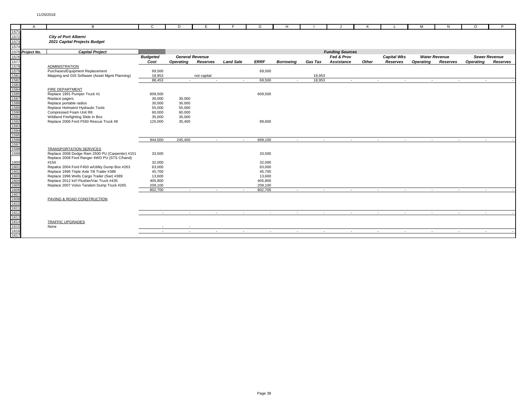|                                                                                                      | $\mathsf{A}$     | B                                                                                 | C.               | D                      | F.          |                  | G                    | H                        |                |                        | к     |                    | м                | N                    | $\Omega$         | P                    |
|------------------------------------------------------------------------------------------------------|------------------|-----------------------------------------------------------------------------------|------------------|------------------------|-------------|------------------|----------------------|--------------------------|----------------|------------------------|-------|--------------------|------------------|----------------------|------------------|----------------------|
| 1571<br>1572<br>1573<br>1574                                                                         |                  | <b>City of Port Alberni</b><br>2021 Capital Projects Budget                       |                  |                        |             |                  |                      |                          |                |                        |       |                    |                  |                      |                  |                      |
|                                                                                                      | 1575 Project No. | <b>Capital Project</b>                                                            |                  |                        |             |                  |                      |                          |                | <b>Funding Sources</b> |       |                    |                  |                      |                  |                      |
| 1576                                                                                                 |                  |                                                                                   | <b>Budgeted</b>  | <b>General Revenue</b> |             |                  |                      |                          |                | Fed & Prov             |       | <b>Capital Wks</b> |                  | <b>Water Revenue</b> |                  | <b>Sewer Revenue</b> |
| 1577                                                                                                 |                  |                                                                                   | Cost             | Operating              | Reserves    | <b>Land Sale</b> | <b>ERRF</b>          | <b>Borrowina</b>         | <b>Gas Tax</b> | <b>Assistance</b>      | Other | Reserves           | <b>Operating</b> | Reserves             | <b>Operating</b> | Reserves             |
| 1578                                                                                                 |                  | <b>ADMINISTRATION</b>                                                             |                  |                        |             |                  |                      |                          |                |                        |       |                    |                  |                      |                  |                      |
|                                                                                                      |                  | Purchases/Equipment Replacement                                                   | 69,500           |                        |             |                  | 69,500               |                          |                |                        |       |                    |                  |                      |                  |                      |
|                                                                                                      |                  | Mapping and GIS Software (Asset Mgmt Planning)                                    | 18,953           |                        | not capital |                  |                      |                          | 18,953         |                        |       |                    |                  |                      |                  |                      |
|                                                                                                      |                  |                                                                                   | 88.453           | $\sim$                 | $\sim$      | $\overline{a}$   | 69.500               | $\sim$                   | 18.953         | $\sim$                 |       | $\sim$<br>$\sim$   | $\sim$           | $\sim$               | $\sim$           |                      |
|                                                                                                      |                  |                                                                                   |                  |                        |             |                  |                      |                          |                |                        |       |                    |                  |                      |                  |                      |
|                                                                                                      |                  | <b>FIRE DEPARTMENT</b>                                                            |                  |                        |             |                  |                      |                          |                |                        |       |                    |                  |                      |                  |                      |
|                                                                                                      |                  | Replace 1991 Pumper Truck #1                                                      | 609,500          |                        |             |                  | 609,500              |                          |                |                        |       |                    |                  |                      |                  |                      |
|                                                                                                      |                  | Replace pagers<br>Replace portable radios                                         | 30,000<br>30,000 | 30,000<br>30,000       |             |                  |                      |                          |                |                        |       |                    |                  |                      |                  |                      |
|                                                                                                      |                  | Replace Holmatrol Hydraulic Tools                                                 | 55,000           | 55,000                 |             |                  |                      |                          |                |                        |       |                    |                  |                      |                  |                      |
|                                                                                                      |                  | Compressed Foam Unit R8                                                           | 60,000           | 60,000                 |             |                  |                      |                          |                |                        |       |                    |                  |                      |                  |                      |
|                                                                                                      |                  | Wildland Firefighting Slide In Box                                                | 35,000           | 35,000                 |             |                  |                      |                          |                |                        |       |                    |                  |                      |                  |                      |
|                                                                                                      |                  | Replace 2006 Ford F550 Rescue Truck #8                                            | 125,000          | 35,400                 |             |                  | 89,600               |                          |                |                        |       |                    |                  |                      |                  |                      |
| 1579<br>1581<br>1582<br>1583<br>1587<br>1587<br>1587<br>1592<br>1593<br>1593<br>1593<br>1593<br>1595 |                  |                                                                                   |                  |                        |             |                  |                      |                          |                |                        |       |                    |                  |                      |                  |                      |
|                                                                                                      |                  |                                                                                   |                  |                        |             |                  |                      |                          |                |                        |       |                    |                  |                      |                  |                      |
|                                                                                                      |                  |                                                                                   |                  |                        |             |                  |                      |                          |                |                        |       |                    |                  |                      |                  |                      |
|                                                                                                      |                  |                                                                                   | 944,500          | 245,400                | $\sim$      | $\sim$           | 699,100              | $\sim$                   | $\sim$         | $\sim$                 |       | $\sim$<br>$\sim$   | $\sim$           | $\sim$               | $\sim$           |                      |
|                                                                                                      |                  |                                                                                   |                  |                        |             |                  |                      |                          |                |                        |       |                    |                  |                      |                  |                      |
| 1599                                                                                                 |                  | <b>TRANSPORTATION SERVICES</b><br>Replace 2008 Dodge Ram 2500 PU (Carpenter) #151 | 33,500           |                        |             |                  | 33,500               |                          |                |                        |       |                    |                  |                      |                  |                      |
|                                                                                                      |                  | Replace 2008 Ford Ranger 4WD PU (STS C/hand)                                      |                  |                        |             |                  |                      |                          |                |                        |       |                    |                  |                      |                  |                      |
| 1600                                                                                                 |                  | #154                                                                              | 32,000           |                        |             |                  | 32,000               |                          |                |                        |       |                    |                  |                      |                  |                      |
| 1601<br>1601<br>1602<br>1603                                                                         |                  | Repalce 2004 Ford F450 w/Utility Dump Box #263                                    | 63,000           |                        |             |                  | 63,000               |                          |                |                        |       |                    |                  |                      |                  |                      |
|                                                                                                      |                  | Replace 1996 Triple Axle Tilt Trailer #388                                        | 45,700           |                        |             |                  | 45,700               |                          |                |                        |       |                    |                  |                      |                  |                      |
|                                                                                                      |                  | Replace 1996 Wells Cargo Trailer (Swr) #389                                       | 13,600           |                        |             |                  | 13,600               |                          |                |                        |       |                    |                  |                      |                  |                      |
|                                                                                                      |                  | Replace 2012 Int'l Flusher/Vac Truck #435                                         | 405,800          |                        |             |                  | 405,800              |                          |                |                        |       |                    |                  |                      |                  |                      |
| 1605                                                                                                 |                  | Replace 2007 Volvo Tandem Dump Truck #265                                         | 209,100          |                        |             |                  | 209,100              |                          |                |                        |       |                    |                  |                      |                  |                      |
|                                                                                                      |                  |                                                                                   | 802,700          | $\sim$                 | $\sim$      | $\sim$           | 802,700              | $\overline{\phantom{a}}$ | $\sim$         | $\sim$                 |       | $\sim$<br>$\sim$   | $\sim$           | $\sim$               | $\sim$           |                      |
|                                                                                                      |                  | PAVING & ROAD CONSTRUCTION                                                        |                  |                        |             |                  |                      |                          |                |                        |       |                    |                  |                      |                  |                      |
|                                                                                                      |                  |                                                                                   |                  |                        |             |                  |                      |                          |                |                        |       |                    |                  |                      |                  |                      |
|                                                                                                      |                  |                                                                                   |                  |                        |             |                  |                      |                          |                |                        |       |                    |                  |                      |                  |                      |
|                                                                                                      |                  |                                                                                   | $\sim$           | $\sim$                 | $\sim$      |                  | $\sim$<br>$\sim$     | $\sim$                   | $\sim$         | $\sim$                 |       | $\sim$<br>$\sim$   | $\sim$           | $\sim$               | $\sim$           |                      |
| 1606<br>1607<br>1608<br>1610<br>1611<br>1612<br>1613                                                 |                  |                                                                                   |                  |                        |             |                  |                      |                          |                |                        |       |                    |                  |                      |                  |                      |
|                                                                                                      |                  | <b>TRAFFIC UPGRADES</b>                                                           |                  |                        |             |                  |                      |                          |                |                        |       |                    |                  |                      |                  |                      |
| 1615                                                                                                 |                  | None                                                                              | <b>1999</b>      | ۰.                     |             |                  |                      |                          |                |                        |       |                    |                  |                      |                  |                      |
| 1616                                                                                                 |                  |                                                                                   | $\sim$           | $\sim$                 | $\sim$      |                  | $\sim$<br>$\sim$ $-$ | $\sim$                   | $\sim$         | $\sim$                 |       | $\sim$<br>$\sim$   | $\sim$           | $\sim$               |                  | <b>Contract</b>      |
| 1617                                                                                                 |                  |                                                                                   |                  |                        |             |                  |                      |                          |                |                        |       |                    |                  |                      |                  |                      |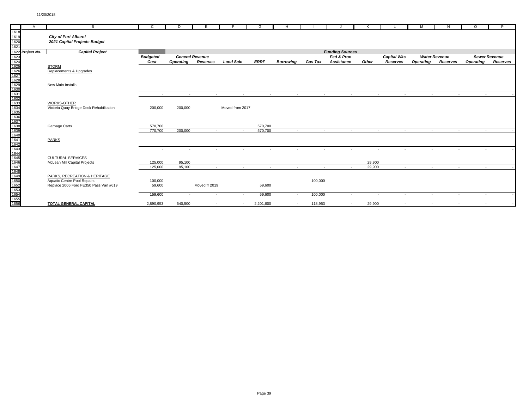|      | $\mathsf{A}$     | $\overline{B}$                           | $\mathbf{C}$    | D.               | F.                     |                  | G           | H                |                |                        |            |                    | M                | N                    | $\Omega$         | P.                   |
|------|------------------|------------------------------------------|-----------------|------------------|------------------------|------------------|-------------|------------------|----------------|------------------------|------------|--------------------|------------------|----------------------|------------------|----------------------|
| 1618 |                  |                                          |                 |                  |                        |                  |             |                  |                |                        |            |                    |                  |                      |                  |                      |
| 1619 |                  | <b>City of Port Alberni</b>              |                 |                  |                        |                  |             |                  |                |                        |            |                    |                  |                      |                  |                      |
| 1620 |                  | 2021 Capital Projects Budget             |                 |                  |                        |                  |             |                  |                |                        |            |                    |                  |                      |                  |                      |
| 1621 |                  |                                          |                 |                  |                        |                  |             |                  |                |                        |            |                    |                  |                      |                  |                      |
|      | 1622 Project No. | <b>Capital Project</b>                   |                 |                  |                        |                  |             |                  |                | <b>Funding Sources</b> |            |                    |                  |                      |                  |                      |
| 1623 |                  |                                          | <b>Budgeted</b> |                  | <b>General Revenue</b> |                  |             |                  |                | Fed & Prov             |            | <b>Capital Wks</b> |                  | <b>Water Revenue</b> |                  | <b>Sewer Revenue</b> |
|      |                  |                                          | Cost            | <b>Operating</b> | Reserves               | <b>Land Sale</b> | <b>ERRF</b> | <b>Borrowing</b> | Gas Tax        | <b>Assistance</b>      | Other      | Reserves           | <b>Operating</b> | Reserves             | <b>Operating</b> | Reserves             |
|      |                  | <b>STORM</b>                             |                 |                  |                        |                  |             |                  |                |                        |            |                    |                  |                      |                  |                      |
|      |                  | Replacements & Upgrades                  |                 |                  |                        |                  |             |                  |                |                        |            |                    |                  |                      |                  |                      |
|      |                  |                                          |                 |                  |                        |                  |             |                  |                |                        |            |                    |                  |                      |                  |                      |
|      |                  |                                          |                 |                  |                        |                  |             |                  |                |                        |            |                    |                  |                      |                  |                      |
|      |                  | New Main Installs                        |                 |                  |                        |                  |             |                  |                |                        |            |                    |                  |                      |                  |                      |
|      |                  |                                          |                 |                  |                        |                  |             |                  |                |                        |            |                    |                  |                      |                  |                      |
|      |                  |                                          | $\sim$          | $\sim$           | $\sim$                 | $\sim$           | $\sim$      | $\sim$           | $\sim$         | $\sim$                 | $\sim$     | $\sim$             | $\sim$           | $\sim$               | <b>Service</b>   |                      |
|      |                  |                                          |                 |                  |                        |                  |             |                  |                |                        |            |                    |                  |                      |                  |                      |
|      |                  | <b>WORKS-OTHER</b>                       |                 |                  |                        |                  |             |                  |                |                        |            |                    |                  |                      |                  |                      |
|      |                  | Victoria Quay Bridge Deck Rehabilitation | 200,000         | 200,000          |                        | Moved from 2017  |             |                  |                |                        |            |                    |                  |                      |                  |                      |
|      |                  |                                          |                 |                  |                        |                  |             |                  |                |                        |            |                    |                  |                      |                  |                      |
|      |                  |                                          |                 |                  |                        |                  |             |                  |                |                        |            |                    |                  |                      |                  |                      |
|      |                  |                                          |                 |                  |                        |                  |             |                  |                |                        |            |                    |                  |                      |                  |                      |
|      |                  | Garbage Carts                            | 570,700         |                  |                        |                  | 570,700     |                  |                |                        |            |                    |                  |                      |                  |                      |
|      |                  |                                          | 770,700         | 200,000          | $\sim$                 | $\sim$           | 570,700     | $\sim$           | <b>Section</b> | $\sim$                 | $\sim$ $-$ | $\sim$ 100 $\mu$   | $\sim 10^{-11}$  | $\sim$ $-$           | <b>Contract</b>  |                      |
|      |                  |                                          |                 |                  |                        |                  |             |                  |                |                        |            |                    |                  |                      |                  |                      |
|      |                  | <b>PARKS</b>                             |                 |                  |                        |                  |             |                  |                |                        |            |                    |                  |                      |                  |                      |
|      |                  |                                          |                 |                  |                        |                  |             |                  |                |                        |            |                    |                  |                      |                  |                      |
|      |                  |                                          | $\sim$          | $\sim$           | $\sim$                 | $\sim$           | $\sim$      | $\sim$           | $\sim$         | $\sim$                 | $\sim$     | $\sim$             | $\sim$           | $\sim$               | $\sim$           |                      |
|      |                  |                                          |                 |                  |                        |                  |             |                  |                |                        |            |                    |                  |                      |                  |                      |
|      |                  | <b>CULTURAL SERVICES</b>                 |                 |                  |                        |                  |             |                  |                |                        |            |                    |                  |                      |                  |                      |
|      |                  | McLean Mill Capital Projects             | 125,000         | 95,100           |                        |                  |             |                  |                |                        | 29,900     |                    |                  |                      |                  |                      |
|      |                  |                                          | 125,000         | 95.100           | $\sim$                 | $\sim$           | $\sim$      | $\sim$           | $\sim$         | $\sim$                 | 29,900     | $\sim$             | $\sim$           | $\sim$               | $\sim$           |                      |
|      |                  |                                          |                 |                  |                        |                  |             |                  |                |                        |            |                    |                  |                      |                  |                      |
|      |                  | PARKS, RECREATION & HERITAGE             |                 |                  |                        |                  |             |                  |                |                        |            |                    |                  |                      |                  |                      |
|      |                  | Aquatic Centre Pool Repairs              | 100,000         |                  |                        |                  |             |                  | 100,000        |                        |            |                    |                  |                      |                  |                      |
|      |                  | Replace 2006 Ford FE350 Pass Van #619    | 59,600          |                  | Moved fr 2019          |                  | 59,600      |                  |                |                        |            |                    |                  |                      |                  |                      |
|      |                  |                                          |                 |                  |                        |                  |             |                  |                |                        |            |                    |                  |                      |                  |                      |
|      |                  |                                          | 159,600         | $\sim$           | $\sim$                 | $\sim$           | 59,600      | $\sim$           | 100,000        | $\sim$                 | $\sim$     | $\sim$             | $\sim$           | $\sim$               | $\sim$           |                      |
|      |                  |                                          |                 |                  |                        |                  |             |                  |                |                        |            |                    |                  |                      |                  |                      |
|      |                  | <b>TOTAL GENERAL CAPITAL</b>             | 2,890,953       | 540,500          |                        | $\sim$           | 2,201,600   | $\sim$           | 118,953        | $\sim$                 | 29,900     |                    |                  |                      |                  |                      |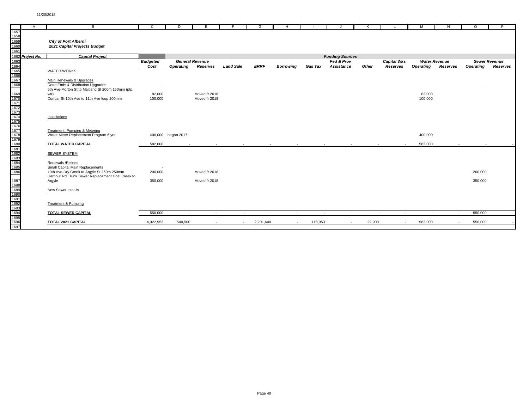|                                                                                                      | $\mathsf{A}$     | B                                                                                              | C               | D                  | E.                     | Е                | G              | H.                       |                |                        | K      |                          | м                | N                        | $\Omega$         | P                    |
|------------------------------------------------------------------------------------------------------|------------------|------------------------------------------------------------------------------------------------|-----------------|--------------------|------------------------|------------------|----------------|--------------------------|----------------|------------------------|--------|--------------------------|------------------|--------------------------|------------------|----------------------|
| 1657                                                                                                 |                  |                                                                                                |                 |                    |                        |                  |                |                          |                |                        |        |                          |                  |                          |                  |                      |
| 1658<br>1659                                                                                         |                  |                                                                                                |                 |                    |                        |                  |                |                          |                |                        |        |                          |                  |                          |                  |                      |
|                                                                                                      |                  | <b>City of Port Alberni</b>                                                                    |                 |                    |                        |                  |                |                          |                |                        |        |                          |                  |                          |                  |                      |
| 1660<br>1661                                                                                         |                  | 2021 Capital Projects Budget                                                                   |                 |                    |                        |                  |                |                          |                |                        |        |                          |                  |                          |                  |                      |
|                                                                                                      |                  |                                                                                                |                 |                    |                        |                  |                |                          |                |                        |        |                          |                  |                          |                  |                      |
|                                                                                                      | 1662 Project No. | <b>Capital Project</b>                                                                         |                 |                    |                        |                  |                |                          |                | <b>Funding Sources</b> |        |                          |                  |                          |                  |                      |
| 1663<br>1664<br>1665<br>1666<br>1667<br>1668                                                         |                  |                                                                                                | <b>Budgeted</b> |                    | <b>General Revenue</b> |                  |                |                          |                | Fed & Prov             |        | <b>Capital Wks</b>       |                  | <b>Water Revenue</b>     |                  | <b>Sewer Revenue</b> |
|                                                                                                      |                  |                                                                                                | Cost            | <b>Operating</b>   | Reserves               | <b>Land Sale</b> | <b>ERRF</b>    | <b>Borrowina</b>         | <b>Gas Tax</b> | <b>Assistance</b>      | Other  | Reserves                 | <b>Operating</b> | <b>Reserves</b>          | <b>Operating</b> | Reserves             |
|                                                                                                      |                  | <b>WATER WORKS</b>                                                                             |                 |                    |                        |                  |                |                          |                |                        |        |                          |                  |                          |                  |                      |
|                                                                                                      |                  |                                                                                                |                 |                    |                        |                  |                |                          |                |                        |        |                          |                  |                          |                  |                      |
|                                                                                                      |                  | Main Renewals & Upgrades                                                                       |                 |                    |                        |                  |                |                          |                |                        |        |                          |                  |                          |                  |                      |
|                                                                                                      |                  | Dead Ends & Distribution Upgrades<br>5th Ave-Morton St to Maitland St 200m 150mm (ptp,         |                 |                    |                        |                  |                |                          |                |                        |        |                          |                  |                          |                  |                      |
|                                                                                                      |                  | wtr)                                                                                           | 82,000          |                    | Moved fr 2018          |                  |                |                          |                |                        |        |                          | 82,000           |                          |                  |                      |
|                                                                                                      |                  | Dunbar St-10th Ave to 11th Ave loop 200mm                                                      | 100,000         |                    | Moved fr 2018          |                  |                |                          |                |                        |        |                          | 100,000          |                          |                  |                      |
|                                                                                                      |                  |                                                                                                |                 |                    |                        |                  |                |                          |                |                        |        |                          |                  |                          |                  |                      |
|                                                                                                      |                  |                                                                                                |                 |                    |                        |                  |                |                          |                |                        |        |                          |                  |                          |                  |                      |
|                                                                                                      |                  |                                                                                                |                 |                    |                        |                  |                |                          |                |                        |        |                          |                  |                          |                  |                      |
|                                                                                                      |                  | Installations                                                                                  |                 |                    |                        |                  |                |                          |                |                        |        |                          |                  |                          |                  |                      |
|                                                                                                      |                  |                                                                                                |                 |                    |                        |                  |                |                          |                |                        |        |                          |                  |                          |                  |                      |
|                                                                                                      |                  | Treatment, Pumping & Metering                                                                  |                 |                    |                        |                  |                |                          |                |                        |        |                          |                  |                          |                  |                      |
|                                                                                                      |                  | Water Meter Replacement Program 6 yrs                                                          |                 | 400,000 began 2017 |                        |                  |                |                          |                |                        |        |                          | 400,000          |                          |                  |                      |
|                                                                                                      |                  |                                                                                                |                 |                    |                        |                  |                |                          |                |                        |        |                          |                  |                          |                  |                      |
|                                                                                                      |                  | TOTAL WATER CAPITAL                                                                            | 582,000         | $\sim$             | $\sim$ $-$             | $\sim$           | $\sim 10^{-1}$ | $\sim$ $-$               | $\sim 10^{-1}$ | $\sim$                 |        | $\sim 10^{-1}$<br>$\sim$ | 582,000          | $\sim$                   | <b>Contract</b>  |                      |
|                                                                                                      |                  |                                                                                                |                 |                    |                        |                  |                |                          |                |                        |        |                          |                  |                          |                  |                      |
|                                                                                                      |                  | <b>SEWER SYSTEM</b>                                                                            |                 |                    |                        |                  |                |                          |                |                        |        |                          |                  |                          |                  |                      |
|                                                                                                      |                  |                                                                                                |                 |                    |                        |                  |                |                          |                |                        |        |                          |                  |                          |                  |                      |
|                                                                                                      |                  | Renewals / Relines                                                                             |                 |                    |                        |                  |                |                          |                |                        |        |                          |                  |                          |                  |                      |
|                                                                                                      |                  | Small Capital Main Replacements                                                                |                 |                    |                        |                  |                |                          |                |                        |        |                          |                  |                          |                  |                      |
| 1669<br>1671<br>1671<br>1673<br>1675<br>1675<br>1676<br>1677<br>1678<br>1680<br>1680<br>1680<br>1680 |                  | 10th Ave-Dry Creek to Argyle St 250m 250mm<br>Harbour Rd Trunk Sewer Replacement Coal Creek to | 200,000         |                    | Moved fr 2018          |                  |                |                          |                |                        |        |                          |                  |                          | 200,000          |                      |
|                                                                                                      |                  | Argyle                                                                                         | 350,000         |                    | Moved fr 2018          |                  |                |                          |                |                        |        |                          |                  |                          | 350,000          |                      |
|                                                                                                      |                  |                                                                                                |                 |                    |                        |                  |                |                          |                |                        |        |                          |                  |                          |                  |                      |
|                                                                                                      |                  | New Sewer Installs                                                                             |                 |                    |                        |                  |                |                          |                |                        |        |                          |                  |                          |                  |                      |
|                                                                                                      |                  |                                                                                                |                 |                    |                        |                  |                |                          |                |                        |        |                          |                  |                          |                  |                      |
|                                                                                                      |                  |                                                                                                |                 |                    |                        |                  |                |                          |                |                        |        |                          |                  |                          |                  |                      |
|                                                                                                      |                  | Treatment & Pumping                                                                            |                 |                    |                        |                  |                |                          |                |                        |        |                          |                  |                          |                  |                      |
|                                                                                                      |                  |                                                                                                |                 |                    |                        |                  |                |                          |                |                        |        |                          |                  |                          |                  |                      |
|                                                                                                      |                  | TOTAL SEWER CAPITAL                                                                            | 550,000         | $\sim$             | $\sim$                 | $\sim$           | $\sim$         | $\sim$                   | $\sim$         | $\sim$                 |        | $\sim$<br>$\sim$         | $\sim$           | $\sim$                   | 550,000          |                      |
| 1687<br>1688<br>1689<br>1699<br>1691<br>1692<br>1693<br>1694<br>1695<br>1696                         |                  | TOTAL 2021 CAPITAL                                                                             | 4,022,953       | 540,500            | $\sim$                 | $\sim$           | 2,201,600      | $\overline{\phantom{a}}$ | 118,953        | $\sim$                 | 29,900 | $\sim$                   | 582,000          | $\overline{\phantom{a}}$ | 550,000          |                      |
|                                                                                                      |                  |                                                                                                |                 |                    |                        |                  |                |                          |                |                        |        |                          |                  |                          |                  |                      |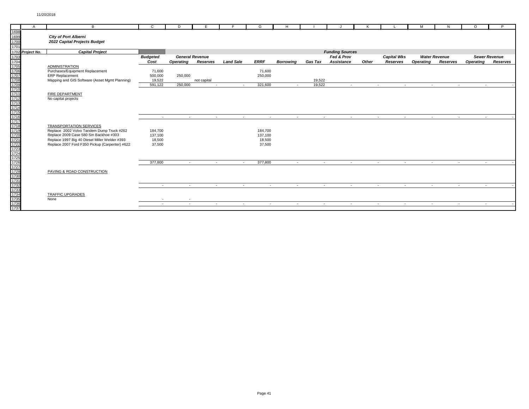|      | A                | B                                              | C               | D                | E                      |                                        | G              | H                |                          |                        |       |                                    | M                | N.                   | $\circ$          | P                    |
|------|------------------|------------------------------------------------|-----------------|------------------|------------------------|----------------------------------------|----------------|------------------|--------------------------|------------------------|-------|------------------------------------|------------------|----------------------|------------------|----------------------|
| 1698 |                  |                                                |                 |                  |                        |                                        |                |                  |                          |                        |       |                                    |                  |                      |                  |                      |
|      |                  |                                                |                 |                  |                        |                                        |                |                  |                          |                        |       |                                    |                  |                      |                  |                      |
| 1699 |                  | <b>City of Port Alberni</b>                    |                 |                  |                        |                                        |                |                  |                          |                        |       |                                    |                  |                      |                  |                      |
| 1700 |                  | 2022 Capital Projects Budget                   |                 |                  |                        |                                        |                |                  |                          |                        |       |                                    |                  |                      |                  |                      |
| 1701 |                  |                                                |                 |                  |                        |                                        |                |                  |                          |                        |       |                                    |                  |                      |                  |                      |
|      | 1702 Project No. | <b>Capital Project</b>                         |                 |                  |                        |                                        |                |                  |                          | <b>Funding Sources</b> |       |                                    |                  |                      |                  |                      |
| 1703 |                  |                                                | <b>Budgeted</b> |                  | <b>General Revenue</b> |                                        |                |                  |                          | Fed & Prov             |       | <b>Capital Wks</b>                 |                  | <b>Water Revenue</b> |                  | <b>Sewer Revenue</b> |
|      |                  |                                                | Cost            | <b>Operating</b> | Reserves               | <b>Land Sale</b>                       | <b>ERRF</b>    | <b>Borrowina</b> | Gas Tax                  | <b>Assistance</b>      | Other | Reserves                           | <b>Operating</b> | Reserves             | <b>Operating</b> | Reserves             |
|      |                  | <b>ADMINISTRATION</b>                          |                 |                  |                        |                                        |                |                  |                          |                        |       |                                    |                  |                      |                  |                      |
|      |                  | Purchases/Equipment Replacement                | 71,600          |                  |                        |                                        | 71,600         |                  |                          |                        |       |                                    |                  |                      |                  |                      |
|      |                  | <b>ERP Replacement</b>                         | 500,000         | 250,000          |                        |                                        | 250,000        |                  |                          |                        |       |                                    |                  |                      |                  |                      |
|      |                  | Mapping and GIS Software (Asset Mgmt Planning) | 19,522          |                  | not capital            |                                        |                |                  | 19,522                   |                        |       |                                    |                  |                      |                  |                      |
|      |                  |                                                | 591,122         | 250,000          | $\sim$                 | $\sim$                                 | 321,600        | $\sim$           | 19,522                   | $\sim$                 |       | $\sim$<br>$\sim$                   | $\sim$           | $\sim$               | <b>Section</b>   |                      |
|      |                  |                                                |                 |                  |                        |                                        |                |                  |                          |                        |       |                                    |                  |                      |                  |                      |
|      |                  | FIRE DEPARTMENT                                |                 |                  |                        |                                        |                |                  |                          |                        |       |                                    |                  |                      |                  |                      |
|      |                  | No capital projects                            |                 |                  |                        |                                        |                |                  |                          |                        |       |                                    |                  |                      |                  |                      |
|      |                  |                                                |                 |                  |                        |                                        |                |                  |                          |                        |       |                                    |                  |                      |                  |                      |
|      |                  |                                                |                 |                  |                        |                                        |                |                  |                          |                        |       |                                    |                  |                      |                  |                      |
|      |                  |                                                |                 |                  |                        |                                        |                |                  |                          |                        |       |                                    |                  |                      |                  |                      |
|      |                  |                                                | $\sim$          | $\sim$           | $\sim$                 | $\sim$                                 | $\sim$         | $\sim$           | $\sim$                   | $\sim$                 |       | $\sim$<br>$\sim$                   | $\sim$           | $\sim$               | <b>COL</b>       |                      |
|      |                  |                                                |                 |                  |                        |                                        |                |                  |                          |                        |       |                                    |                  |                      |                  |                      |
|      |                  | <b>TRANSPORTATION SERVICES</b>                 |                 |                  |                        |                                        |                |                  |                          |                        |       |                                    |                  |                      |                  |                      |
|      |                  | Replace 2002 Volvo Tandem Dump Truck #262      | 184,700         |                  |                        |                                        | 184,700        |                  |                          |                        |       |                                    |                  |                      |                  |                      |
|      |                  | Replace 2009 Case 580 Sm Backhoe #303          | 137,100         |                  |                        |                                        | 137,100        |                  |                          |                        |       |                                    |                  |                      |                  |                      |
|      |                  | Replace 1997 Big 40 Diesel Miller Welder #393  | 18,500          |                  |                        |                                        | 18,500         |                  |                          |                        |       |                                    |                  |                      |                  |                      |
|      |                  | Replace 2007 Ford F350 Pickup (Carpenter) #622 | 37,500          |                  |                        |                                        | 37,500         |                  |                          |                        |       |                                    |                  |                      |                  |                      |
|      |                  |                                                |                 |                  |                        |                                        |                |                  |                          |                        |       |                                    |                  |                      |                  |                      |
|      |                  |                                                |                 |                  |                        |                                        |                |                  |                          |                        |       |                                    |                  |                      |                  |                      |
|      |                  |                                                |                 |                  |                        |                                        |                |                  |                          |                        |       |                                    |                  |                      |                  |                      |
|      |                  |                                                | 377,800         | $\sim$ $-$       |                        | $\sim$ $-$<br><b>Contract Contract</b> | 377,800        | <b>Service</b>   | <b>Contract Contract</b> | $\sim$                 |       | <b>Contract Contract</b><br>$\sim$ | $\sim 10^{-10}$  | $\sim$ $-$           | <b>Service</b>   |                      |
|      |                  |                                                |                 |                  |                        |                                        |                |                  |                          |                        |       |                                    |                  |                      |                  |                      |
|      |                  | PAVING & ROAD CONSTRUCTION                     |                 |                  |                        |                                        |                |                  |                          |                        |       |                                    |                  |                      |                  |                      |
|      |                  |                                                |                 |                  |                        |                                        |                |                  |                          |                        |       |                                    |                  |                      |                  |                      |
|      |                  |                                                |                 |                  |                        |                                        |                |                  |                          |                        |       |                                    |                  |                      |                  |                      |
|      |                  |                                                | $\sim 100$      | $\sim$           | $\sim$                 | $\sim$                                 | $\sim 10^{-1}$ | $\sim$           | $\sim 10^{-11}$          | $\sim$                 |       | $\sim 10^{-11}$<br>$\sim$          | $\sim 10^{-11}$  | $\sim$               | <b>Service</b>   |                      |
|      |                  |                                                |                 |                  |                        |                                        |                |                  |                          |                        |       |                                    |                  |                      |                  |                      |
|      |                  | <b>TRAFFIC UPGRADES</b>                        |                 |                  |                        |                                        |                |                  |                          |                        |       |                                    |                  |                      |                  |                      |
|      |                  | None                                           |                 |                  |                        |                                        |                |                  |                          |                        |       |                                    |                  |                      |                  |                      |
|      |                  |                                                | $\sim$          | $\sim$           | <b>Section</b>         | $\sim$                                 | <b>Service</b> | $\sim$           | <b>Service</b>           | $\sim$                 |       | <b>Service</b><br>$\sim$           | <b>Service</b>   | $\sim$               |                  |                      |
|      |                  |                                                |                 |                  |                        |                                        |                |                  |                          |                        |       |                                    |                  |                      |                  |                      |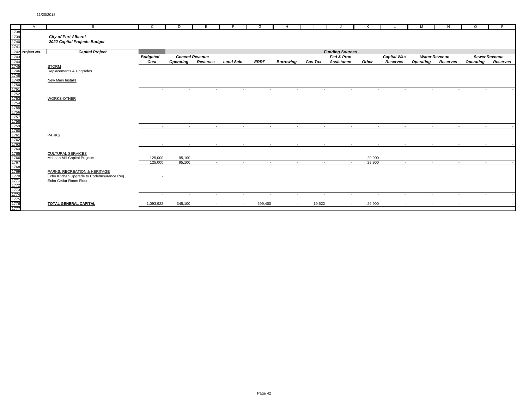|              | $\overline{A}$   | B                                          | $\mathsf{C}$    | D                | E                      | F                | G               | H                |                 |                        |        |                          | M                | N                    | $\circ$          | P                    |
|--------------|------------------|--------------------------------------------|-----------------|------------------|------------------------|------------------|-----------------|------------------|-----------------|------------------------|--------|--------------------------|------------------|----------------------|------------------|----------------------|
| 1738         |                  |                                            |                 |                  |                        |                  |                 |                  |                 |                        |        |                          |                  |                      |                  |                      |
| 1739<br>1739 |                  | <b>City of Port Alberni</b>                |                 |                  |                        |                  |                 |                  |                 |                        |        |                          |                  |                      |                  |                      |
|              |                  | 2022 Capital Projects Budget               |                 |                  |                        |                  |                 |                  |                 |                        |        |                          |                  |                      |                  |                      |
| 1741         |                  |                                            |                 |                  |                        |                  |                 |                  |                 |                        |        |                          |                  |                      |                  |                      |
|              | 1742 Project No. | <b>Capital Project</b>                     |                 |                  |                        |                  |                 |                  |                 | <b>Funding Sources</b> |        |                          |                  |                      |                  |                      |
|              |                  |                                            | <b>Budgeted</b> |                  | <b>General Revenue</b> |                  |                 |                  |                 | Fed & Prov             |        | <b>Capital Wks</b>       |                  | <b>Water Revenue</b> |                  | <b>Sewer Revenue</b> |
|              |                  |                                            | Cost            | <b>Operating</b> | Reserves               | <b>Land Sale</b> | <b>ERRF</b>     | <b>Borrowina</b> | <b>Gas Tax</b>  | <b>Assistance</b>      | Other  | Reserves                 | <b>Operating</b> | Reserves             | <b>Operating</b> | Reserves             |
|              |                  | <b>STORM</b>                               |                 |                  |                        |                  |                 |                  |                 |                        |        |                          |                  |                      |                  |                      |
|              |                  | Replacements & Upgrades                    |                 |                  |                        |                  |                 |                  |                 |                        |        |                          |                  |                      |                  |                      |
|              |                  |                                            |                 |                  |                        |                  |                 |                  |                 |                        |        |                          |                  |                      |                  |                      |
|              |                  | New Main Installs                          |                 |                  |                        |                  |                 |                  |                 |                        |        |                          |                  |                      |                  |                      |
|              |                  |                                            |                 |                  |                        |                  |                 |                  |                 |                        |        |                          |                  |                      |                  |                      |
|              |                  |                                            | $\sim$          | $\sim$           | $\sim$                 | $\sim$           | $\sim$          | $\sim$           | $\sim$          | $\sim$                 |        | $\sim$<br>$\sim$         | $\sim$           | $\sim$               | <b>Section</b>   |                      |
|              |                  |                                            |                 |                  |                        |                  |                 |                  |                 |                        |        |                          |                  |                      |                  |                      |
|              |                  | WORKS-OTHER                                |                 |                  |                        |                  |                 |                  |                 |                        |        |                          |                  |                      |                  |                      |
|              |                  |                                            |                 |                  |                        |                  |                 |                  |                 |                        |        |                          |                  |                      |                  |                      |
|              |                  |                                            |                 |                  |                        |                  |                 |                  |                 |                        |        |                          |                  |                      |                  |                      |
|              |                  |                                            |                 |                  |                        |                  |                 |                  |                 |                        |        |                          |                  |                      |                  |                      |
|              |                  |                                            |                 |                  |                        |                  |                 |                  |                 |                        |        |                          |                  |                      |                  |                      |
|              |                  |                                            |                 |                  |                        |                  |                 |                  |                 |                        |        |                          |                  |                      |                  |                      |
|              |                  |                                            | <b>Contract</b> | <b>Contract</b>  | <b>Contract</b>        | $\sim$           | $\sim 10^{-11}$ | $\sim$ $-$       | $\sim 10^{-11}$ | $\sim$ $-$             |        | <b>Service</b><br>$\sim$ | <b>Contract</b>  | <b>Service</b>       |                  | <b>Service</b>       |
|              |                  |                                            |                 |                  |                        |                  |                 |                  |                 |                        |        |                          |                  |                      |                  |                      |
|              |                  | <b>PARKS</b>                               |                 |                  |                        |                  |                 |                  |                 |                        |        |                          |                  |                      |                  |                      |
|              |                  |                                            |                 | $\sim$           |                        |                  |                 |                  |                 |                        |        |                          |                  |                      |                  |                      |
|              |                  |                                            | a.              | $\sim$           | $\sim$                 | $\sim$           |                 | $\sim$<br>$\sim$ | $\sim$          | $\sim$                 |        | $\sim$<br>$\sim$         | $\sim$           | $\sim$               | <b>COL</b>       |                      |
|              |                  |                                            |                 |                  |                        |                  |                 |                  |                 |                        |        |                          |                  |                      |                  |                      |
|              |                  | CULTURAL SERVICES                          |                 |                  |                        |                  |                 |                  |                 |                        |        |                          |                  |                      |                  |                      |
|              |                  | McLean Mill Capital Projects               | 125,000         | 95,100           |                        |                  |                 |                  |                 |                        | 29,900 |                          |                  |                      |                  |                      |
|              |                  |                                            | 125,000         | 95,100           | $\sim$                 | $\sim$           | <b>Section</b>  | $\sim$           | $\sim$          | $\sim$                 | 29,900 | $\sim$                   | $\sim$           | $\sim$               |                  | $\sim 10$            |
|              |                  |                                            |                 |                  |                        |                  |                 |                  |                 |                        |        |                          |                  |                      |                  |                      |
|              |                  | PARKS, RECREATION & HERITAGE               |                 |                  |                        |                  |                 |                  |                 |                        |        |                          |                  |                      |                  |                      |
|              |                  | Echo Kitchen Upgrade to Code/Insurance Req |                 |                  |                        |                  |                 |                  |                 |                        |        |                          |                  |                      |                  |                      |
|              |                  | Echo Cedar Room Floor                      |                 |                  |                        |                  |                 |                  |                 |                        |        |                          |                  |                      |                  |                      |
|              |                  |                                            |                 |                  |                        |                  |                 |                  |                 |                        |        |                          |                  |                      |                  |                      |
|              |                  |                                            |                 |                  |                        |                  |                 |                  |                 |                        |        |                          |                  |                      |                  |                      |
|              |                  |                                            | $\sim$          | $\sim$           | $\sim$ $-$             | $\sim$           | $\sim$          | $\sim$           | $\sim$          | $\sim$                 |        | $\sim$<br>$\sim$         | $\sim$           | $\sim$               | <b>Contract</b>  |                      |
|              |                  |                                            |                 |                  |                        |                  |                 |                  |                 |                        |        |                          |                  |                      |                  |                      |
|              |                  | TOTAL GENERAL CAPITAL                      | 1,093,922       | 345,100          | $\sim$                 | $\sim$           | 699,400         | $\sim$           | 19,522          | $\sim$                 | 29,900 | $\sim$                   | $\sim$           | $\sim$               | $\sim$           |                      |
|              |                  |                                            |                 |                  |                        |                  |                 |                  |                 |                        |        |                          |                  |                      |                  |                      |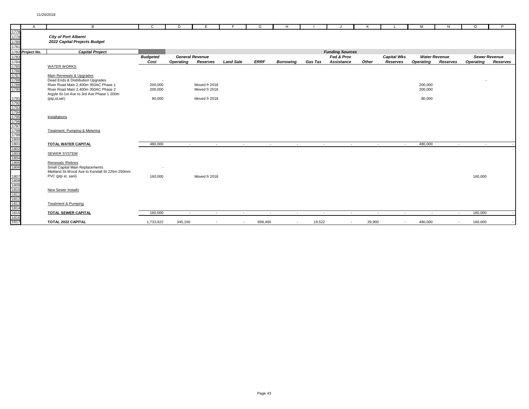|                                                                                                      | $\overline{A}$   | B                                             | $\mathsf{C}$    | D                | E                      | F                | G       | H                        |                |                          | K      |                    | м                | N                    | $\Omega$         | P                    |
|------------------------------------------------------------------------------------------------------|------------------|-----------------------------------------------|-----------------|------------------|------------------------|------------------|---------|--------------------------|----------------|--------------------------|--------|--------------------|------------------|----------------------|------------------|----------------------|
| 1778                                                                                                 |                  |                                               |                 |                  |                        |                  |         |                          |                |                          |        |                    |                  |                      |                  |                      |
| 1779<br>1780                                                                                         |                  | City of Port Alberni                          |                 |                  |                        |                  |         |                          |                |                          |        |                    |                  |                      |                  |                      |
|                                                                                                      |                  | 2022 Capital Projects Budget                  |                 |                  |                        |                  |         |                          |                |                          |        |                    |                  |                      |                  |                      |
| 1781                                                                                                 |                  |                                               |                 |                  |                        |                  |         |                          |                |                          |        |                    |                  |                      |                  |                      |
|                                                                                                      | 1782 Project No. | <b>Capital Project</b>                        |                 |                  |                        |                  |         |                          |                | <b>Funding Sources</b>   |        |                    |                  |                      |                  |                      |
|                                                                                                      |                  |                                               | <b>Budgeted</b> |                  | <b>General Revenue</b> |                  |         |                          |                | Fed & Prov               |        | <b>Capital Wks</b> |                  | <b>Water Revenue</b> |                  | <b>Sewer Revenue</b> |
| 1783<br>1784<br>1785<br>1786<br>1787<br>1788<br>1789                                                 |                  |                                               | Cost            | <b>Operating</b> | Reserves               | <b>Land Sale</b> | ERRF    | <b>Borrowing</b>         | <b>Gas Tax</b> | Assistance               | Other  | Reserves           | <b>Operating</b> | Reserves             | <b>Operating</b> | Reserves             |
|                                                                                                      |                  | <b>WATER WORKS</b>                            |                 |                  |                        |                  |         |                          |                |                          |        |                    |                  |                      |                  |                      |
|                                                                                                      |                  |                                               |                 |                  |                        |                  |         |                          |                |                          |        |                    |                  |                      |                  |                      |
|                                                                                                      |                  | Main Renewals & Upgrades                      |                 |                  |                        |                  |         |                          |                |                          |        |                    |                  |                      |                  |                      |
|                                                                                                      |                  | Dead Ends & Distribution Upgrades             |                 |                  |                        |                  |         |                          |                |                          |        |                    |                  |                      |                  |                      |
|                                                                                                      |                  | River Road Main 2,400m 350AC Phase 1          | 200,000         |                  | Moved fr 2018          |                  |         |                          |                |                          |        |                    | 200,000          |                      |                  |                      |
|                                                                                                      |                  | River Road Main 2.400m 350AC Phase 2          | 200,000         |                  | Moved fr 2018          |                  |         |                          |                |                          |        |                    | 200.000          |                      |                  |                      |
|                                                                                                      |                  | Argyle St-1st Ave to 3rd Ave Phase 1 200m     |                 |                  |                        |                  |         |                          |                |                          |        |                    |                  |                      |                  |                      |
|                                                                                                      |                  | (ptp,st,wtr)                                  | 80,000          |                  | Moved fr 2018          |                  |         |                          |                |                          |        |                    | 80,000           |                      |                  |                      |
|                                                                                                      |                  |                                               |                 |                  |                        |                  |         |                          |                |                          |        |                    |                  |                      |                  |                      |
|                                                                                                      |                  |                                               |                 |                  |                        |                  |         |                          |                |                          |        |                    |                  |                      |                  |                      |
|                                                                                                      |                  |                                               |                 |                  |                        |                  |         |                          |                |                          |        |                    |                  |                      |                  |                      |
|                                                                                                      |                  | Installations                                 |                 |                  |                        |                  |         |                          |                |                          |        |                    |                  |                      |                  |                      |
|                                                                                                      |                  |                                               |                 |                  |                        |                  |         |                          |                |                          |        |                    |                  |                      |                  |                      |
|                                                                                                      |                  |                                               |                 |                  |                        |                  |         |                          |                |                          |        |                    |                  |                      |                  |                      |
|                                                                                                      |                  | Treatment, Pumping & Metering                 |                 |                  |                        |                  |         |                          |                |                          |        |                    |                  |                      |                  |                      |
|                                                                                                      |                  |                                               |                 |                  |                        |                  |         |                          |                |                          |        |                    |                  |                      |                  |                      |
| 1791<br>1792<br>1794<br>1795<br>1796<br>1797<br>1798<br>1799<br>1800<br>1802<br>1802<br>1803<br>1804 |                  | TOTAL WATER CAPITAL                           | 480,000         | $\sim$           | $\sim$                 | $\sim$           | $\sim$  | $\sim$                   | $\sim$         | $\sim$                   |        | $\sim$<br>$\sim$   | 480,000          | $\sim$               | $\sim$           |                      |
|                                                                                                      |                  |                                               |                 |                  |                        |                  |         |                          |                |                          |        |                    |                  |                      |                  |                      |
|                                                                                                      |                  | <b>SEWER SYSTEM</b>                           |                 |                  |                        |                  |         |                          |                |                          |        |                    |                  |                      |                  |                      |
|                                                                                                      |                  |                                               |                 |                  |                        |                  |         |                          |                |                          |        |                    |                  |                      |                  |                      |
|                                                                                                      |                  | Renewals / Relines                            |                 |                  |                        |                  |         |                          |                |                          |        |                    |                  |                      |                  |                      |
|                                                                                                      |                  | Small Capital Main Replacements               |                 |                  |                        |                  |         |                          |                |                          |        |                    |                  |                      |                  |                      |
|                                                                                                      |                  | Maitland St-Wood Ave to Kendall St 225m 250mm |                 |                  |                        |                  |         |                          |                |                          |        |                    |                  |                      |                  |                      |
|                                                                                                      |                  | PVC (ptp st, sani)                            | 160,000         |                  | Moved fr 2018          |                  |         |                          |                |                          |        |                    |                  |                      | 160,000          |                      |
|                                                                                                      |                  |                                               |                 |                  |                        |                  |         |                          |                |                          |        |                    |                  |                      |                  |                      |
|                                                                                                      |                  |                                               |                 |                  |                        |                  |         |                          |                |                          |        |                    |                  |                      |                  |                      |
|                                                                                                      |                  | <b>New Sewer Installs</b>                     |                 |                  |                        |                  |         |                          |                |                          |        |                    |                  |                      |                  |                      |
|                                                                                                      |                  |                                               |                 |                  |                        |                  |         |                          |                |                          |        |                    |                  |                      |                  |                      |
|                                                                                                      |                  |                                               |                 |                  |                        |                  |         |                          |                |                          |        |                    |                  |                      |                  |                      |
|                                                                                                      |                  | Treatment & Pumping                           |                 |                  |                        |                  |         |                          |                |                          |        |                    |                  |                      |                  |                      |
|                                                                                                      |                  | <b>TOTAL SEWER CAPITAL</b>                    | 160,000         | $\sim$           | $\sim$                 | $\sim$           | $\sim$  | $\sim$                   | $\sim$         |                          |        | $\sim$             | $\sim$           | $\sim$               | 160,000          |                      |
| 1807<br>1808<br>1809<br>1810<br>1811<br>1813<br>1813<br>1814<br>1815                                 |                  |                                               |                 |                  |                        |                  |         |                          |                | $\sim$                   |        | $\sim$             |                  |                      |                  |                      |
| 1817                                                                                                 |                  | TOTAL 2022 CAPITAL                            | 1,733,922       | 345,100          |                        | $\sim$           | 699,400 | $\overline{\phantom{a}}$ | 19,522         | $\overline{\phantom{a}}$ | 29,900 | $\sim$             | 480,000          | $\sim$               | 160,000          |                      |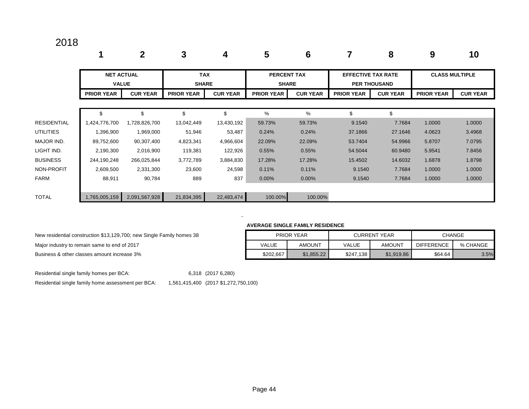|                    | 1                                 | $\mathbf{2}$    | 3                          | 4               | 5                                  | $6\phantom{1}6$ |                           | 8                   | 9                     | 10              |
|--------------------|-----------------------------------|-----------------|----------------------------|-----------------|------------------------------------|-----------------|---------------------------|---------------------|-----------------------|-----------------|
|                    | <b>NET ACTUAL</b><br><b>VALUE</b> |                 | <b>TAX</b><br><b>SHARE</b> |                 | <b>PERCENT TAX</b><br><b>SHARE</b> |                 | <b>EFFECTIVE TAX RATE</b> | <b>PER THOUSAND</b> | <b>CLASS MULTIPLE</b> |                 |
|                    | <b>PRIOR YEAR</b>                 | <b>CUR YEAR</b> | <b>PRIOR YEAR</b>          | <b>CUR YEAR</b> | <b>PRIOR YEAR</b>                  | <b>CUR YEAR</b> | <b>PRIOR YEAR</b>         | <b>CUR YEAR</b>     | <b>PRIOR YEAR</b>     | <b>CUR YEAR</b> |
|                    |                                   |                 |                            |                 |                                    |                 |                           |                     |                       |                 |
|                    | \$                                | \$              | \$                         | \$              | %                                  | %               | \$                        | \$                  |                       |                 |
| <b>RESIDENTIAL</b> | 1,424,776,700                     | 1,728,826,700   | 13,042,449                 | 13,430,192      | 59.73%                             | 59.73%          | 9.1540                    | 7.7684              | 1.0000                | 1.0000          |
| <b>UTILITIES</b>   | 1,396,900                         | 1,969,000       | 51,946                     | 53,487          | 0.24%                              | 0.24%           | 37.1866                   | 27.1646             | 4.0623                | 3.4968          |
| MAJOR IND.         | 89,752,600                        | 90,307,400      | 4,823,341                  | 4,966,604       | 22.09%                             | 22.09%          | 53.7404                   | 54.9966             | 5.8707                | 7.0795          |
| LIGHT IND.         | 2,190,300                         | 2,016,900       | 119,381                    | 122,926         | 0.55%                              | 0.55%           | 54.5044                   | 60.9480             | 5.9541                | 7.8456          |
| <b>BUSINESS</b>    | 244,190,248                       | 266,025,844     | 3,772,789                  | 3,884,830       | 17.28%                             | 17.28%          | 15.4502                   | 14.6032             | 1.6878                | 1.8798          |
| NON-PROFIT         | 2,609,500                         | 2,331,300       | 23,600                     | 24,598          | 0.11%                              | 0.11%           | 9.1540                    | 7.7684              | 1.0000                | 1.0000          |
| <b>FARM</b>        | 88,911                            | 90,784          | 889                        | 837             | 0.00%                              | 0.00%           | 9.1540                    | 7.7684              | 1.0000                | 1.0000          |
|                    |                                   |                 |                            |                 |                                    |                 |                           |                     |                       |                 |
| <b>TOTAL</b>       | 1,765,005,159                     | 2,091,567,928   | 21,834,395                 | 22,483,474      | 100.00%                            | 100.00%         |                           |                     |                       |                 |

#### **AVERAGE SINGLE FAMILY RESIDENCE**

| New residential construction \$13,129,700; new Single Family homes 38 |
|-----------------------------------------------------------------------|
| Major industry to remain same to end of 2017                          |
| Business & other classes amount increase 3%                           |

| New residential construction \$13,129,700; new Single Family homes 38 |           | PRIOR YEAR    |           | <b>CURRENT YEAR</b> |                   | <b>CHANGE</b> |
|-----------------------------------------------------------------------|-----------|---------------|-----------|---------------------|-------------------|---------------|
| Major industry to remain same to end of 2017                          | VALUE     | <b>AMOUNT</b> | VALUE     | <b>AMOUNT</b>       | <b>DIFFERENCE</b> | % CHANGE      |
| Business & other classes amount increase 3%                           | \$202,667 | \$1.855.22    | \$247.138 | \$1,919.86          | \$64.64           | 3.5%          |

Residential single family homes per BCA: 6,318 (2017 6,280)

- 1990 - 1990 - 1990 - 1991 - 1992<br>- 1992 - 1992 - 1992 - 1992 - 1992 - 1992 - 1992 - 1992 - 1992 - 1992 - 1992 - 1992 - 1992 - 1992 - 1992 - 19

Residential single family home assessment per BCA: 1,561,415,400 (2017 \$1,272,750,100)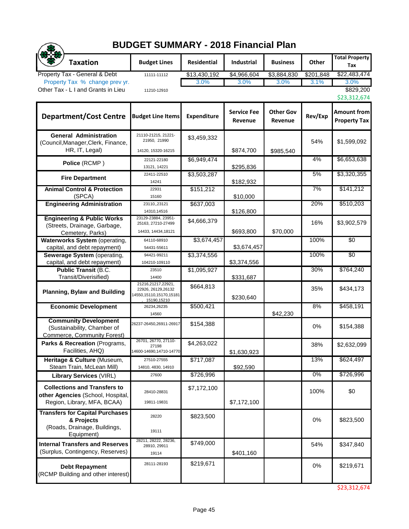|                                                                                                         | <b>BUDGET SUMMARY - 2018 Financial Plan</b>                                         |                    |                               |                             |           |                                           |
|---------------------------------------------------------------------------------------------------------|-------------------------------------------------------------------------------------|--------------------|-------------------------------|-----------------------------|-----------|-------------------------------------------|
| <b>Taxation</b>                                                                                         | <b>Budget Lines</b>                                                                 | <b>Residential</b> | <b>Industrial</b>             | <b>Business</b>             | Other     | <b>Total Property</b><br>Tax              |
| Property Tax - General & Debt                                                                           | 11111-11112                                                                         | \$13,430,192       | \$4,966,604                   | \$3,884,830                 | \$201,848 | \$22,483,474                              |
| Property Tax % change prev yr.<br>Other Tax - L I and Grants in Lieu                                    | 11210-12910                                                                         | 3.0%               | 3.0%                          | 3.0%                        | 3.1%      | 3.0%<br>\$829,200<br>\$23,312,674         |
| <b>Department/Cost Centre</b>                                                                           | <b>Budget Line Items</b>                                                            | Expenditure        | <b>Service Fee</b><br>Revenue | <b>Other Gov</b><br>Revenue | Rev/Exp   | <b>Amount from</b><br><b>Property Tax</b> |
| <b>General Administration</b><br>(Council, Manager, Clerk, Finance,<br>HR, IT, Legal)                   | 21110-21215, 21221-<br>21950, 21990<br>14120, 15320-16215                           | \$3,459,332        | \$874,700                     | \$985,540                   | 54%       | \$1,599,092                               |
| Police (RCMP)                                                                                           | 22121-22180<br>13121, 14221                                                         | \$6,949,474        | \$295,836                     |                             | 4%        | \$6,653,638                               |
| <b>Fire Department</b>                                                                                  | 22411-22510<br>14241                                                                | \$3,503,287        | \$182,932                     |                             | 5%        | \$3,320,355                               |
| <b>Animal Control &amp; Protection</b><br>(SPCA)                                                        | 22931<br>15160                                                                      | \$151,212          | \$10,000                      |                             | 7%        | \$141,212                                 |
| <b>Engineering Administration</b>                                                                       | 23110,,23121<br>14310,14516                                                         | \$637,003          | \$126,800                     |                             | 20%       | \$510,203                                 |
| <b>Engineering &amp; Public Works</b><br>(Streets, Drainage, Garbage,<br>Cemetery, Parks)               | 23129-23884, 23951-<br>25163, 27210-27499<br>14433, 14434, 18121                    | \$4,666,379        | \$693,800                     | \$70,000                    | 16%       | \$3,902,579                               |
| Waterworks System (operating,<br>capital, and debt repayment)                                           | 64110-68910<br>54431-55611                                                          | \$3,674,457        | \$3,674,457                   |                             | 100%      | $\overline{50}$                           |
| Sewerage System (operating,<br>capital, and debt repayment)                                             | 94421-99211<br>104210-109110                                                        | \$3,374,556        | \$3,374,556                   |                             | 100%      | $\overline{50}$                           |
| <b>Public Transit (B.C.</b><br>Transit/Diverisified)                                                    | 23510<br>14400                                                                      | \$1,095,927        | \$331,687                     |                             | 30%       | \$764,240                                 |
| <b>Planning, Bylaw and Building</b>                                                                     | 21216,21217,22921,<br>22926, 26129, 26132<br>14550,15110,15170,15181<br>15190,15210 | \$664,813          | \$230,640                     |                             | 35%       | \$434,173                                 |
| <b>Economic Development</b>                                                                             | 26234,26235<br>14560                                                                | \$500,421          |                               | \$42,230                    | 8%        | \$458,191                                 |
| <b>Community Development</b><br>(Sustainability, Chamber of<br><b>Commerce, Community Forest)</b>       | 26237-26450,26911-26917                                                             | \$154,388          |                               |                             | 0%        | \$154,388                                 |
| Parks & Recreation (Programs,<br>Facilities, AHQ)                                                       | 26701, 26770, 27110-<br>27198<br>14600-14690,14710-14770                            | \$4,263,022        | \$1,630,923                   |                             | 38%       | \$2,632,099                               |
| Heritage & Culture (Museum,<br>Steam Train, McLean Mill)                                                | 27510-27555<br>14810, 4830, 14910                                                   | \$717,087          | \$92,590                      |                             | 13%       | \$624,497                                 |
| <b>Library Services (VIRL)</b>                                                                          | 27600                                                                               | \$726,996          |                               |                             | 0%        | \$726,996                                 |
| <b>Collections and Transfers to</b><br>other Agencies (School, Hospital,<br>Region, Library, MFA, BCAA) | 28410-28831<br>19811-19831                                                          | \$7,172,100        | \$7,172,100                   |                             | 100%      | \$0                                       |
| <b>Transfers for Capital Purchases</b><br>& Projects<br>(Roads, Drainage, Buildings,<br>Equipment)      | 28220<br>19111                                                                      | \$823,500          |                               |                             | 0%        | \$823,500                                 |
| <b>Internal Transfers and Reserves</b><br>(Surplus, Contingency, Reserves)                              | 28211, 28222, 28236,<br>28910, 29911<br>19114                                       | \$749,000          | \$401,160                     |                             | 54%       | \$347,840                                 |
| <b>Debt Repayment</b><br>(RCMP Building and other interest)                                             | 28111-28193                                                                         | \$219,671          |                               |                             | 0%        | \$219,671                                 |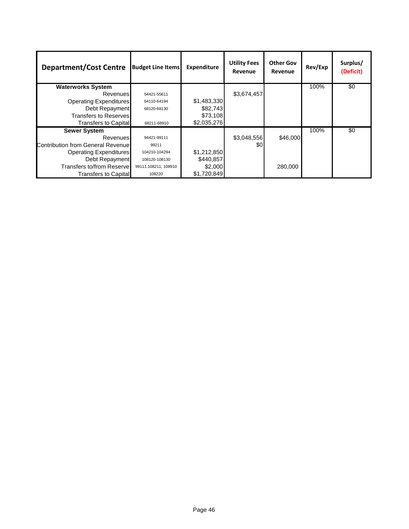| <b>Department/Cost Centre</b>     | <b>Budget Line Items</b> | <b>Expenditure</b> | <b>Utility Fees</b><br>Revenue | <b>Other Gov</b><br>Revenue | Rev/Exp | Surplus/<br>(Deficit) |
|-----------------------------------|--------------------------|--------------------|--------------------------------|-----------------------------|---------|-----------------------|
| <b>Waterworks System</b>          |                          |                    |                                |                             | 100%    | \$0                   |
| Revenues                          | 54421-55611              |                    | \$3,674,457                    |                             |         |                       |
| <b>Operating Expenditures</b>     | 64110-64194              | \$1,483,330        |                                |                             |         |                       |
| Debt Repayment                    | 68120-68130              | \$82,743           |                                |                             |         |                       |
| Transfers to Reserves             |                          | \$73,108           |                                |                             |         |                       |
| <b>Transfers to Capital</b>       | 68211-68910              | \$2,035,276        |                                |                             |         |                       |
| <b>Sewer System</b>               |                          |                    |                                |                             | 100%    | \$0                   |
| Revenues                          | 94421-99111              |                    | \$3,048,556                    | \$46,000                    |         |                       |
| Contribution from General Revenue | 99211                    |                    | \$0                            |                             |         |                       |
| <b>Operating Expenditures</b>     | 104210-104294            | \$1,212,850        |                                |                             |         |                       |
| Debt Repayment                    | 108120-108130            | \$440,857          |                                |                             |         |                       |
| Transfers to/from Reserve         | 99111.108211, 108910     | \$2,000            |                                | 280,000                     |         |                       |
| Transfers to Capital              | 108220                   | \$1,720,849        |                                |                             |         |                       |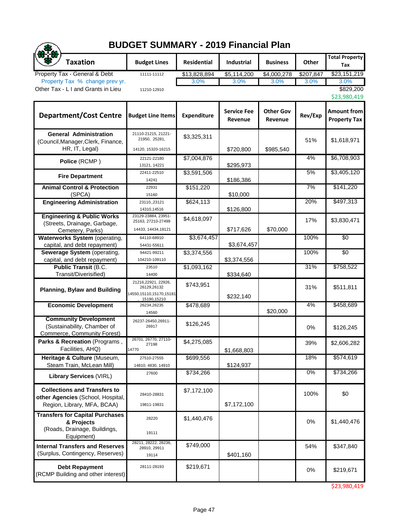## **BUDGET SUMMARY - 2019 Financial Plan**

 $\bigcirc$ 

| <b>Taxation</b>                                                            | <b>Budget Lines</b>                                                          | <b>Residential</b> | <b>Industrial</b>             | <b>Business</b>             | Other     | <b>Total Property</b><br>Tax              |
|----------------------------------------------------------------------------|------------------------------------------------------------------------------|--------------------|-------------------------------|-----------------------------|-----------|-------------------------------------------|
| Property Tax - General & Debt                                              | 11111-11112                                                                  | \$13,828,894       | \$5,114,200                   | \$4,000,278                 | \$207,847 | \$23,151,219                              |
| Property Tax % change prev yr.                                             |                                                                              | 3.0%               | 3.0%                          | 3.0%                        | 3.0%      | 3.0%                                      |
| Other Tax - L I and Grants in Lieu                                         | 11210-12910                                                                  |                    |                               |                             |           | \$829,200                                 |
|                                                                            |                                                                              |                    |                               |                             |           | \$23,980,419                              |
| <b>Department/Cost Centre</b>                                              | <b>Budget Line Items</b>                                                     | <b>Expenditure</b> | <b>Service Fee</b><br>Revenue | <b>Other Gov</b><br>Revenue | Rev/Exp   | <b>Amount from</b><br><b>Property Tax</b> |
| <b>General Administration</b><br>(Council, Manager, Clerk, Finance,        | 21110-21215, 21221-<br>21950, 25281,                                         | \$3,325,311        |                               |                             | 51%       | \$1,618,971                               |
| HR, IT, Legal)                                                             | 14120, 15320-16215                                                           |                    | \$720,800                     | \$985,540                   |           |                                           |
| Police (RCMP)                                                              | 22121-22180                                                                  | \$7,004,876        |                               |                             | 4%        | \$6,708,903                               |
|                                                                            | 13121, 14221<br>22411-22510                                                  | \$3,591,506        | \$295,973                     |                             | 5%        | \$3,405,120                               |
| <b>Fire Department</b>                                                     | 14241                                                                        |                    | \$186,386                     |                             |           |                                           |
| <b>Animal Control &amp; Protection</b>                                     | 22931                                                                        | \$151,220          |                               |                             | 7%        | \$141,220                                 |
| (SPCA)                                                                     | 15160                                                                        |                    | \$10,000                      |                             |           |                                           |
| <b>Engineering Administration</b>                                          | 23110,,23121                                                                 | \$624,113          |                               |                             | 20%       | \$497,313                                 |
|                                                                            | 14310,14516                                                                  |                    | \$126,800                     |                             |           |                                           |
| <b>Engineering &amp; Public Works</b>                                      | 23129-23884, 23951-<br>25163, 27210-27499                                    | \$4,618,097        |                               |                             | 17%       | \$3,830,471                               |
| (Streets, Drainage, Garbage,                                               | 14433, 14434, 18121                                                          |                    | \$717,626                     | \$70,000                    |           |                                           |
| Cemetery, Parks)<br><b>Waterworks System (operating,</b>                   | 64110-68910                                                                  | \$3,674,457        |                               |                             | 100%      | $\overline{50}$                           |
| capital, and debt repayment)                                               | 54431-55611                                                                  |                    | \$3,674,457                   |                             |           |                                           |
| Sewerage System (operating,                                                | 94421-99211                                                                  | \$3,374,556        |                               |                             | 100%      | $\overline{50}$                           |
| capital, and debt repayment)                                               | 104210-109110                                                                |                    | \$3,374,556                   |                             |           |                                           |
| <b>Public Transit (B.C.</b>                                                | 23510                                                                        | \$1,093,162        |                               |                             | 31%       | \$758,522                                 |
| Transit/Diverisified)                                                      | 14400                                                                        |                    | \$334,640                     |                             |           |                                           |
| <b>Planning, Bylaw and Building</b>                                        | 21216,22921, 22926,<br>26129,26132<br>14550,15110,15170,15181<br>15190,15210 | \$743,951          | \$232,140                     |                             | 31%       | \$511,811                                 |
| <b>Economic Development</b>                                                | 26234,26235<br>14560                                                         | \$478,689          |                               | \$20,000                    | 4%        | \$458,689                                 |
| <b>Community Development</b>                                               | 26237-26450,26911-                                                           |                    |                               |                             |           |                                           |
| (Sustainability, Chamber of<br><b>Commerce, Community Forest)</b>          | 26917                                                                        | \$126,245          |                               |                             | 0%        | \$126,245                                 |
| Parks & Recreation (Programs,                                              | 26701, 26770, 27110-<br>27198                                                | \$4,275,085        |                               |                             | 39%       | \$2,606,282                               |
| Facilities, AHQ)                                                           | 14770                                                                        |                    | \$1,668,803                   |                             |           |                                           |
| Heritage & Culture (Museum,                                                | 27510-27555                                                                  | \$699,556          |                               |                             | 18%       | \$574,619                                 |
| Steam Train, McLean Mill)                                                  | 14810, 4830, 14910                                                           |                    | \$124,937                     |                             | 0%        |                                           |
| <b>Library Services (VIRL)</b>                                             | 27600                                                                        | \$734,266          |                               |                             |           | \$734,266                                 |
| <b>Collections and Transfers to</b>                                        |                                                                              | \$7,172,100        |                               |                             | 100%      | \$0                                       |
| other Agencies (School, Hospital,                                          | 28410-28831                                                                  |                    |                               |                             |           |                                           |
| Region, Library, MFA, BCAA)                                                | 19811-19831                                                                  |                    | \$7,172,100                   |                             |           |                                           |
| <b>Transfers for Capital Purchases</b><br>& Projects                       | 28220                                                                        | \$1,440,476        |                               |                             | 0%        | \$1,440,476                               |
| (Roads, Drainage, Buildings,                                               | 19111                                                                        |                    |                               |                             |           |                                           |
| Equipment)                                                                 | 28211, 28222, 28236,                                                         |                    |                               |                             |           |                                           |
| <b>Internal Transfers and Reserves</b><br>(Surplus, Contingency, Reserves) | 28910, 29911<br>19114                                                        | \$749,000          | \$401,160                     |                             | 54%       | \$347,840                                 |
|                                                                            |                                                                              |                    |                               |                             |           |                                           |
| <b>Debt Repayment</b><br>(RCMP Building and other interest)                | 28111-28193                                                                  | \$219,671          |                               |                             | 0%        | \$219,671                                 |

\$23,980,419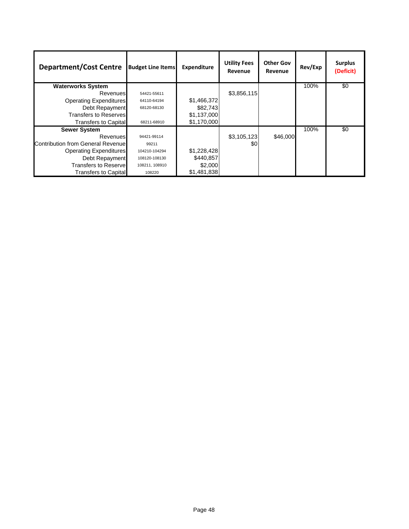| <b>Department/Cost Centre</b>     | <b>Budget Line Items</b> | <b>Expenditure</b> | <b>Utility Fees</b><br>Revenue | <b>Other Gov</b><br>Revenue | Rev/Exp | <b>Surplus</b><br>(Deficit) |
|-----------------------------------|--------------------------|--------------------|--------------------------------|-----------------------------|---------|-----------------------------|
| <b>Waterworks System</b>          |                          |                    |                                |                             | 100%    | \$0                         |
| <b>Revenues</b>                   | 54421-55611              |                    | \$3,856,115                    |                             |         |                             |
| <b>Operating Expenditures</b>     | 64110-64194              | \$1,466,372        |                                |                             |         |                             |
| Debt Repayment                    | 68120-68130              | \$82,743           |                                |                             |         |                             |
| <b>Transfers to Reserves</b>      |                          | \$1,137,000        |                                |                             |         |                             |
| <b>Transfers to Capital</b>       | 68211-68910              | \$1,170,000        |                                |                             |         |                             |
| <b>Sewer System</b>               |                          |                    |                                |                             | 100%    | \$0                         |
| Revenues                          | 94421-99114              |                    | \$3,105,123                    | \$46,000                    |         |                             |
| Contribution from General Revenue | 99211                    |                    | \$0                            |                             |         |                             |
| <b>Operating Expenditures</b>     | 104210-104294            | \$1,228,428        |                                |                             |         |                             |
| Debt Repayment                    | 108120-108130            | \$440,857          |                                |                             |         |                             |
| <b>Transfers to Reservel</b>      | 108211, 108910           | \$2,000            |                                |                             |         |                             |
| <b>Transfers to Capital</b>       | 108220                   | \$1,481,838        |                                |                             |         |                             |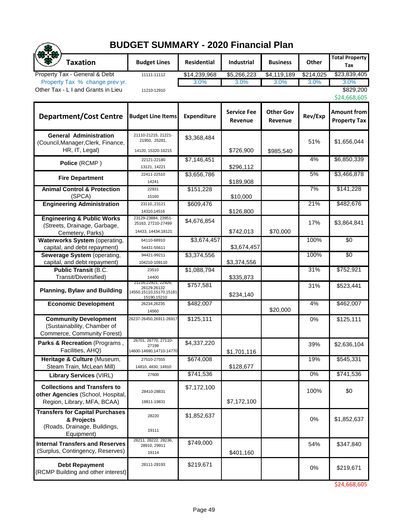## **BUDGET SUMMARY - 2020 Financial Plan**

|                                                                                                         | <b>BUDGET SUMMARY - 2020 Financial Plan</b>                                     |                          |                               |                             |           |                                    |  |  |  |
|---------------------------------------------------------------------------------------------------------|---------------------------------------------------------------------------------|--------------------------|-------------------------------|-----------------------------|-----------|------------------------------------|--|--|--|
| <b>Taxation</b>                                                                                         | <b>Budget Lines</b>                                                             | Residential              | Industrial                    | <b>Business</b>             | Other     | <b>Total Property</b><br>Tax       |  |  |  |
| Property Tax - General & Debt                                                                           | 11111-11112                                                                     | $\overline{$14,239,968}$ | \$5,266,223                   | \$4,119,189                 | \$214,025 | \$23,839,405                       |  |  |  |
| Property Tax % change prev yr.                                                                          |                                                                                 | 3.0%                     | 3.0%                          | 3.0%                        | 3.0%      | 3.0%                               |  |  |  |
| Other Tax - L I and Grants in Lieu                                                                      | 11210-12910                                                                     |                          |                               |                             |           | \$829,200<br>\$24,668,605          |  |  |  |
| <b>Department/Cost Centre</b>                                                                           | <b>Budget Line Items</b>                                                        | Expenditure              | <b>Service Fee</b><br>Revenue | <b>Other Gov</b><br>Revenue | Rev/Exp   | Amount from<br><b>Property Tax</b> |  |  |  |
| <b>General Administration</b><br>(Council, Manager, Clerk, Finance,<br>HR, IT, Legal)                   | 21110-21215, 21221-<br>21950, 25281,<br>14120, 15320-16215                      | \$3,368,484              | \$726,900                     | \$985,540                   | 51%       | \$1,656,044                        |  |  |  |
| Police (RCMP)                                                                                           | 22121-22180<br>13121, 14221                                                     | \$7,146,451              | \$296,112                     |                             | 4%        | \$6,850,339                        |  |  |  |
| <b>Fire Department</b>                                                                                  | 22411-22510<br>14241                                                            | \$3,656,786              | \$189,908                     |                             | 5%        | \$3,466,878                        |  |  |  |
| <b>Animal Control &amp; Protection</b><br>(SPCA)                                                        | 22931<br>15160                                                                  | \$151,228                | \$10,000                      |                             | 7%        | \$141,228                          |  |  |  |
| <b>Engineering Administration</b>                                                                       | 23110,,23121<br>14310,14516                                                     | \$609,476                | \$126,800                     |                             | 21%       | \$482,676                          |  |  |  |
| <b>Engineering &amp; Public Works</b><br>(Streets, Drainage, Garbage,<br>Cemetery, Parks)               | 23129-23884, 23951-<br>25163, 27210-27499<br>14433, 14434, 18121                | \$4.676.854              | \$742,013                     | \$70,000                    | 17%       | \$3,864,841                        |  |  |  |
| Waterworks System (operating,<br>capital, and debt repayment)                                           | 64110-68910<br>54431-55611                                                      | \$3,674,457              | \$3,674,457                   |                             | 100%      | $\overline{50}$                    |  |  |  |
| Sewerage System (operating,<br>capital, and debt repayment)                                             | 94421-99211<br>104210-109110                                                    | \$3,374,556              | \$3,374,556                   |                             | 100%      | $\overline{50}$                    |  |  |  |
| <b>Public Transit (B.C.</b><br>Transit/Diverisified)                                                    | 23510<br>14400                                                                  | \$1,088,794              | \$335,873                     |                             | 31%       | \$752,921                          |  |  |  |
| <b>Planning, Bylaw and Building</b>                                                                     | 21216,22921, 22926,<br>26129.26132<br>14550, 15110, 15170, 15181<br>15190,15210 | \$757,581                | \$234,140                     |                             | 31%       | \$523,441                          |  |  |  |
| <b>Economic Development</b>                                                                             | 26234,26235<br>14560                                                            | \$482,007                |                               | \$20,000                    | 4%        | \$462,007                          |  |  |  |
| <b>Community Development</b><br>(Sustainability, Chamber of<br>Commerce, Community Forest)              | 26237-26450,26911-26917                                                         | \$125,111                |                               |                             | 0%        | \$125,111                          |  |  |  |
| Parks & Recreation (Programs,<br>Facilities, AHQ)                                                       | 26701, 26770, 27110-<br>27198<br>14600-14690,14710-14770                        | \$4,337,220              | \$1,701,116                   |                             | 39%       | \$2,636,104                        |  |  |  |
| Heritage & Culture (Museum,<br>Steam Train, McLean Mill)                                                | 27510-27555<br>14810, 4830, 14910                                               | \$674,008                | \$128,677                     |                             | 19%       | \$545,331                          |  |  |  |
| <b>Library Services (VIRL)</b>                                                                          | 27600                                                                           | \$741,536                |                               |                             | $0\%$     | \$741,536                          |  |  |  |
| <b>Collections and Transfers to</b><br>other Agencies (School, Hospital,<br>Region, Library, MFA, BCAA) | 28410-28831<br>19811-19831                                                      | \$7,172,100              | \$7,172,100                   |                             | 100%      | \$0                                |  |  |  |
| <b>Transfers for Capital Purchases</b><br>& Projects<br>(Roads, Drainage, Buildings,<br>Equipment)      | 28220<br>19111                                                                  | \$1,852,637              |                               |                             | 0%        | \$1,852,637                        |  |  |  |
| <b>Internal Transfers and Reserves</b><br>(Surplus, Contingency, Reserves)                              | 28211, 28222, 28236,<br>28910, 29911<br>19114                                   | \$749,000                | \$401,160                     |                             | 54%       | \$347,840                          |  |  |  |
| <b>Debt Repayment</b><br>(RCMP Building and other interest)                                             | 28111-28193                                                                     | \$219,671                |                               |                             | 0%        | \$219,671                          |  |  |  |

\$24,668,605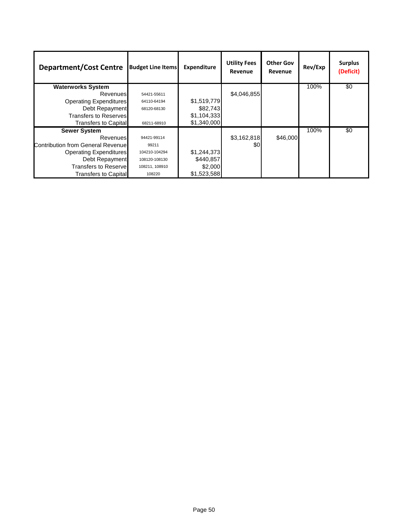| <b>Department/Cost Centre</b>     | <b>Budget Line Items</b> | <b>Expenditure</b> | <b>Utility Fees</b><br><b>Revenue</b> | <b>Other Gov</b><br>Revenue | Rev/Exp | <b>Surplus</b><br>(Deficit) |
|-----------------------------------|--------------------------|--------------------|---------------------------------------|-----------------------------|---------|-----------------------------|
| <b>Waterworks System</b>          |                          |                    |                                       |                             | 100%    | \$0                         |
| Revenues                          | 54421-55611              |                    | \$4,046,855                           |                             |         |                             |
| <b>Operating Expenditures</b>     | 64110-64194              | \$1,519,779        |                                       |                             |         |                             |
| Debt Repayment                    | 68120-68130              | \$82,743           |                                       |                             |         |                             |
| <b>Transfers to Reserves</b>      |                          | \$1,104,333        |                                       |                             |         |                             |
| Transfers to Capital              | 68211-68910              | \$1,340,000        |                                       |                             |         |                             |
| <b>Sewer System</b>               |                          |                    |                                       |                             | 100%    | \$0                         |
| Revenues                          | 94421-99114              |                    | \$3,162,818                           | \$46,000                    |         |                             |
| Contribution from General Revenue | 99211                    |                    | \$0                                   |                             |         |                             |
| <b>Operating Expenditures</b>     | 104210-104294            | \$1,244,373        |                                       |                             |         |                             |
| Debt Repayment                    | 108120-108130            | \$440,857          |                                       |                             |         |                             |
| <b>Transfers to Reservel</b>      | 108211, 108910           | \$2,000            |                                       |                             |         |                             |
| <b>Transfers to Capital</b>       | 108220                   | \$1,523,588        |                                       |                             |         |                             |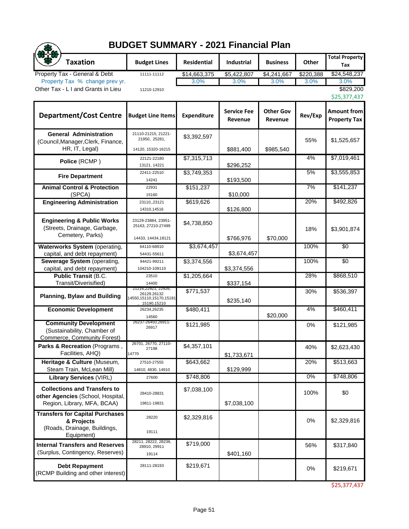## **BUDGET SUMMARY - 2021 Financial Plan**

 $\bigcirc$ 

| <b>Taxation</b>                                                                                         | <b>Budget Lines</b>                                                         | <b>Residential</b> | <b>Industrial</b>             | <b>Business</b>             | Other     | <b>Total Property</b>              |
|---------------------------------------------------------------------------------------------------------|-----------------------------------------------------------------------------|--------------------|-------------------------------|-----------------------------|-----------|------------------------------------|
| Property Tax - General & Debt                                                                           | 11111-11112                                                                 | \$14,663,375       | \$5,422,807                   | \$4,241,667                 | \$220,388 | Tax<br>\$24,548,237                |
| Property Tax % change prev yr.                                                                          |                                                                             | 3.0%               | 3.0%                          | 3.0%                        | 3.0%      | 3.0%                               |
| Other Tax - L I and Grants in Lieu                                                                      | 11210-12910                                                                 |                    |                               |                             |           | \$829,200                          |
|                                                                                                         |                                                                             |                    |                               |                             |           | \$25,377,437                       |
| <b>Department/Cost Centre</b>                                                                           | <b>Budget Line Items</b>                                                    | <b>Expenditure</b> | <b>Service Fee</b><br>Revenue | <b>Other Gov</b><br>Revenue | Rev/Exp   | Amount from<br><b>Property Tax</b> |
| <b>General Administration</b><br>(Council, Manager, Clerk, Finance,<br>HR, IT, Legal)                   | 21110-21215, 21221-<br>21950, 25281,<br>14120, 15320-16215                  | \$3,392,597        | \$881,400                     | \$985,540                   | 55%       | \$1,525,657                        |
| Police (RCMP)                                                                                           | 22121-22180<br>13121, 14221                                                 | \$7,315,713        | \$296,252                     |                             | 4%        | \$7,019,461                        |
| <b>Fire Department</b>                                                                                  | 22411-22510<br>14241                                                        | \$3,749,353        | \$193,500                     |                             | 5%        | \$3,555,853                        |
| <b>Animal Control &amp; Protection</b><br>(SPCA)                                                        | 22931<br>15160                                                              | \$151,237          | \$10,000                      |                             | 7%        | \$141,237                          |
| <b>Engineering Administration</b>                                                                       | 23110,,23121<br>14310,14516                                                 | \$619,626          | \$126,800                     |                             | 20%       | \$492,826                          |
| <b>Engineering &amp; Public Works</b><br>(Streets, Drainage, Garbage,<br>Cemetery, Parks)               | 23129-23884, 23951-<br>25163, 27210-27499<br>14433, 14434, 18121            | \$4,738,850        | \$766,976                     | \$70,000                    | 18%       | \$3,901,874                        |
| Waterworks System (operating,<br>capital, and debt repayment)                                           | 64110-68910<br>54431-55611                                                  | \$3,674,457        | \$3,674,457                   |                             | 100%      | \$0                                |
| Sewerage System (operating,                                                                             | 94421-99211                                                                 | \$3,374,556        |                               |                             | 100%      | \$0                                |
| capital, and debt repayment)                                                                            | 104210-109110                                                               |                    | \$3,374,556                   |                             |           |                                    |
| <b>Public Transit (B.C.</b><br>Transit/Diverisified)                                                    | 23510<br>14400                                                              | \$1,205,664        | \$337,154                     |                             | 28%       | \$868,510                          |
| <b>Planning, Bylaw and Building</b>                                                                     | 21216,22921, 22926,<br>26129.26132<br>4550,15110,15170,15181<br>15190,15210 | \$771,537          | \$235,140                     |                             | 30%       | \$536,397                          |
| <b>Economic Development</b>                                                                             | 26234,26235<br>14560                                                        | \$480,411          |                               | \$20,000                    | 4%        | \$460,411                          |
| <b>Community Development</b><br>(Sustainability, Chamber of<br>Commerce, Community Forest)              | 26237-26450,26911-<br>26917                                                 | \$121,985          |                               |                             | 0%        | \$121,985                          |
| Parks & Recreation (Programs,<br>Facilities, AHQ)                                                       | 26701, 26770, 27110-<br>27198<br>14770                                      | \$4,357,101        | \$1,733,671                   |                             | 40%       | \$2,623,430                        |
| Heritage & Culture (Museum,<br>Steam Train, McLean Mill)                                                | 27510-27555<br>14810, 4830, 14910                                           | \$643,662          | \$129,999                     |                             | 20%       | \$513,663                          |
| <b>Library Services (VIRL)</b>                                                                          | 27600                                                                       | \$748,806          |                               |                             | $0\%$     | \$748,806                          |
| <b>Collections and Transfers to</b><br>other Agencies (School, Hospital,<br>Region, Library, MFA, BCAA) | 28410-28831<br>19811-19831                                                  | \$7,038,100        | \$7,038,100                   |                             | 100%      | \$0                                |
| <b>Transfers for Capital Purchases</b><br>& Projects<br>(Roads, Drainage, Buildings,<br>Equipment)      | 28220<br>19111                                                              | \$2,329,816        |                               |                             | 0%        | \$2,329,816                        |
| <b>Internal Transfers and Reserves</b><br>(Surplus, Contingency, Reserves)                              | 28211, 28222, 28236,<br>28910, 29911<br>19114                               | \$719,000          | \$401,160                     |                             | 56%       | \$317,840                          |
| <b>Debt Repayment</b><br>(RCMP Building and other interest)                                             | 28111-28193                                                                 | \$219,671          |                               |                             | 0%        | \$219,671                          |

\$25,377,437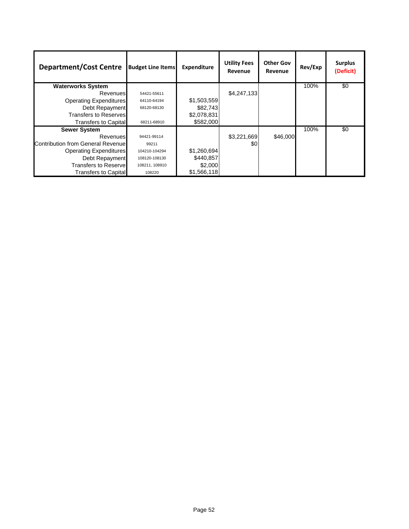| <b>Department/Cost Centre</b>     | <b>Budget Line Items</b> | <b>Expenditure</b> | <b>Utility Fees</b><br>Revenue | <b>Other Gov</b><br>Revenue | Rev/Exp | <b>Surplus</b><br>(Deficit) |
|-----------------------------------|--------------------------|--------------------|--------------------------------|-----------------------------|---------|-----------------------------|
| <b>Waterworks System</b>          |                          |                    |                                |                             | 100%    | \$0                         |
| <b>Revenues</b>                   | 54421-55611              |                    | \$4,247,133                    |                             |         |                             |
| <b>Operating Expenditures</b>     | 64110-64194              | \$1,503,559        |                                |                             |         |                             |
| Debt Repayment                    | 68120-68130              | \$82,743           |                                |                             |         |                             |
| Transfers to Reserves             |                          | \$2,078,831        |                                |                             |         |                             |
| <b>Transfers to Capital</b>       | 68211-68910              | \$582,000          |                                |                             |         |                             |
| <b>Sewer System</b>               |                          |                    |                                |                             | 100%    | \$0                         |
| Revenues                          | 94421-99114              |                    | \$3,221,669                    | \$46,000                    |         |                             |
| Contribution from General Revenue | 99211                    |                    | \$0                            |                             |         |                             |
| <b>Operating Expenditures</b>     | 104210-104294            | \$1,260,694        |                                |                             |         |                             |
| Debt Repayment                    | 108120-108130            | \$440,857          |                                |                             |         |                             |
| <b>Transfers to Reservel</b>      | 108211, 108910           | \$2,000            |                                |                             |         |                             |
| <b>Transfers to Capital</b>       | 108220                   | \$1,566,118        |                                |                             |         |                             |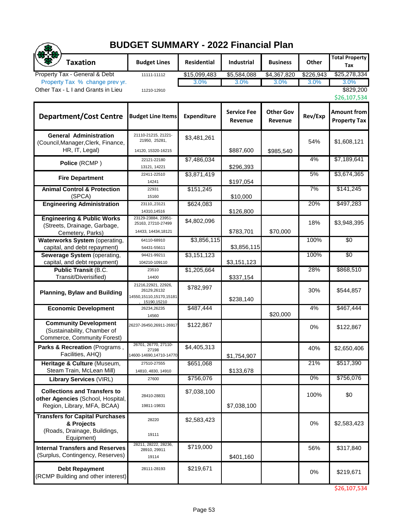## **BUDGET SUMMARY - 2022 Financial Plan**

| <b>BUDGET SUMMARY - 2022 Financial Plan</b>                                                             |                                                                                 |                    |                               |                             |           |                                    |  |  |
|---------------------------------------------------------------------------------------------------------|---------------------------------------------------------------------------------|--------------------|-------------------------------|-----------------------------|-----------|------------------------------------|--|--|
| <b>Taxation</b>                                                                                         | <b>Budget Lines</b>                                                             | <b>Residential</b> | Industrial                    | <b>Business</b>             | Other     | <b>Total Property</b><br>Tax       |  |  |
| Property Tax - General & Debt                                                                           | 11111-11112                                                                     | \$15,099,483       | \$5,584,088                   | $\overline{$4,367,820}$     | \$226,943 | \$25,278,334                       |  |  |
| Property Tax % change prev yr.<br>Other Tax - L I and Grants in Lieu                                    | 11210-12910                                                                     | 3.0%               | 3.0%                          | 3.0%                        | 3.0%      | 3.0%<br>\$829,200<br>\$26,107,534  |  |  |
| <b>Department/Cost Centre</b>                                                                           | <b>Budget Line Items</b>                                                        | <b>Expenditure</b> | <b>Service Fee</b><br>Revenue | <b>Other Gov</b><br>Revenue | Rev/Exp   | Amount from<br><b>Property Tax</b> |  |  |
| <b>General Administration</b><br>(Council, Manager, Clerk, Finance,<br>HR, IT, Legal)                   | 21110-21215, 21221-<br>21950, 25281,<br>14120, 15320-16215                      | \$3,481,261        | \$887,600                     | \$985,540                   | 54%       | \$1,608,121                        |  |  |
| Police (RCMP)                                                                                           | 22121-22180<br>13121, 14221                                                     | \$7,486,034        | \$296,393                     |                             | 4%        | \$7,189,641                        |  |  |
| <b>Fire Department</b>                                                                                  | 22411-22510<br>14241                                                            | \$3,871,419        | \$197,054                     |                             | 5%        | \$3,674,365                        |  |  |
| <b>Animal Control &amp; Protection</b><br>(SPCA)                                                        | 22931<br>15160                                                                  | \$151,245          | \$10,000                      |                             | 7%        | \$141,245                          |  |  |
| <b>Engineering Administration</b>                                                                       | 23110,,23121<br>14310,14516                                                     | \$624,083          | \$126,800                     |                             | 20%       | \$497,283                          |  |  |
| <b>Engineering &amp; Public Works</b><br>(Streets, Drainage, Garbage,<br>Cemetery, Parks)               | 23129-23884, 23951-<br>25163, 27210-27499<br>14433, 14434, 18121                | \$4,802,096        | \$783,701                     | \$70,000                    | 18%       | \$3.948.395                        |  |  |
| <b>Waterworks System (operating,</b><br>capital, and debt repayment)                                    | 64110-68910<br>54431-55611                                                      | \$3,856,115        | \$3,856,115                   |                             | 100%      | $\overline{50}$                    |  |  |
| Sewerage System (operating,<br>capital, and debt repayment)                                             | 94421-99211<br>104210-109110                                                    | \$3,151,123        | \$3,151,123                   |                             | 100%      | $\overline{50}$                    |  |  |
| <b>Public Transit (B.C.</b><br>Transit/Diverisified)                                                    | 23510<br>14400                                                                  | \$1,205,664        | \$337,154                     |                             | 28%       | \$868,510                          |  |  |
| <b>Planning, Bylaw and Building</b>                                                                     | 21216,22921, 22926,<br>26129,26132<br>14550, 15110, 15170, 15181<br>15190,15210 | \$782,997          | \$238,140                     |                             | 30%       | \$544,857                          |  |  |
| <b>Economic Development</b>                                                                             | 26234,26235<br>14560                                                            | \$487,444          |                               | \$20,000                    | 4%        | \$467,444                          |  |  |
| <b>Community Development</b><br>(Sustainability, Chamber of<br>Commerce, Community Forest)              | 26237-26450,26911-26917                                                         | \$122,867          |                               |                             | 0%        | \$122,867                          |  |  |
| Parks & Recreation (Programs,<br>Facilities, AHQ)                                                       | 26701, 26770, 27110-<br>27198<br>14600-14690,14710-14770                        | \$4,405,313        | \$1,754,907                   |                             | 40%       | \$2,650,406                        |  |  |
| Heritage & Culture (Museum,<br>Steam Train, McLean Mill)                                                | 27510-27555<br>14810, 4830, 14910                                               | \$651,068          | \$133,678                     |                             | 21%       | \$517,390                          |  |  |
| <b>Library Services (VIRL)</b>                                                                          | 27600                                                                           | \$756,076          |                               |                             | $0\%$     | \$756,076                          |  |  |
| <b>Collections and Transfers to</b><br>other Agencies (School, Hospital,<br>Region, Library, MFA, BCAA) | 28410-28831<br>19811-19831                                                      | \$7,038,100        | \$7,038,100                   |                             | 100%      | \$0                                |  |  |
| <b>Transfers for Capital Purchases</b><br>& Projects<br>(Roads, Drainage, Buildings,<br>Equipment)      | 28220<br>19111                                                                  | \$2,583,423        |                               |                             | 0%        | \$2,583,423                        |  |  |
| <b>Internal Transfers and Reserves</b><br>(Surplus, Contingency, Reserves)                              | 28211, 28222, 28236,<br>28910, 29911<br>19114                                   | \$719,000          | \$401,160                     |                             | 56%       | \$317,840                          |  |  |
| <b>Debt Repayment</b><br>(RCMP Building and other interest)                                             | 28111-28193                                                                     | \$219,671          |                               |                             | 0%        | \$219,671                          |  |  |

\$26,107,534